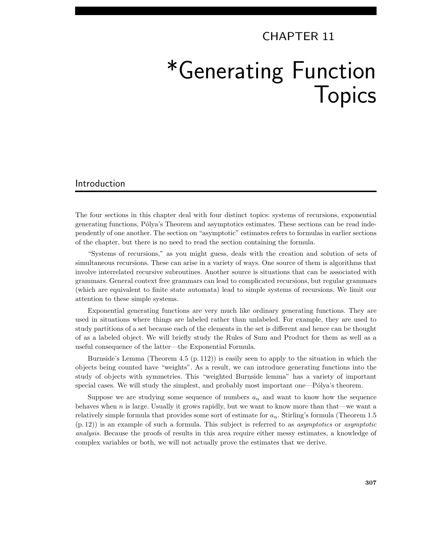## CHAPTER 11

# \*Generating Function **Topics**

## Introduction

The four sections in this chapter deal with four distinct topics: systems of recursions, exponential generating functions, Pólya's Theorem and asymptotics estimates. These sections can be read independently of one another. The section on "asymptotic" estimates refers to formulas in earlier sections of the chapter, but there is no need to read the section containing the formula.

"Systems of recursions," as you might guess, deals with the creation and solution of sets of simultaneous recursions. These can arise in a variety of ways. One source of them is algorithms that involve interrelated recursive subroutines. Another source is situations that can be associated with grammars. General context free grammars can lead to complicated recursions, but regular grammars (which are equivalent to finite state automata) lead to simple systems of recursions. We limit our attention to these simple systems.

Exponential generating functions are very much like ordinary generating functions. They are used in situations where things are labeled rather than unlabeled. For example, they are used to study partitions of a set because each of the elements in the set is different and hence can be thought of as a labeled object. We will briefly study the Rules of Sum and Product for them as well as a useful consequence of the latter—the Exponential Formula.

Burnside's Lemma (Theorem 4.5 (p. 112)) is easily seen to apply to the situation in which the objects being counted have "weights". As a result, we can introduce generating functions into the study of objects with symmetries. This "weighted Burnside lemma" has a variety of important special cases. We will study the simplest, and probably most important one—Pólya's theorem.

Suppose we are studying some sequence of numbers  $a_n$  and want to know how the sequence behaves when  $n$  is large. Usually it grows rapidly, but we want to know more than that—we want a relatively simple formula that provides some sort of estimate for  $a_n$ . Stirling's formula (Theorem 1.5)  $(p. 12)$ ) is an example of such a formula. This subject is referred to as *asymptotics* or *asymptotic* analysis. Because the proofs of results in this area require either messy estimates, a knowledge of complex variables or both, we will not actually prove the estimates that we derive.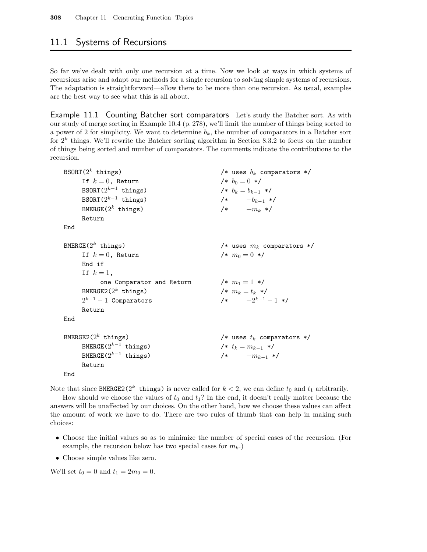## 11.1 Systems of Recursions

So far we've dealt with only one recursion at a time. Now we look at ways in which systems of recursions arise and adapt our methods for a single recursion to solving simple systems of recursions. The adaptation is straightforward—allow there to be more than one recursion. As usual, examples are the best way to see what this is all about.

Example 11.1 Counting Batcher sort comparators Let's study the Batcher sort. As with our study of merge sorting in Example 10.4 (p. 278), we'll limit the number of things being sorted to a power of 2 for simplicity. We want to determine  $b_k$ , the number of comparators in a Batcher sort for  $2^k$  things. We'll rewrite the Batcher sorting algorithm in Section 8.3.2 to focus on the number of things being sorted and number of comparators. The comments indicate the contributions to the recursion.

| BSORT $(2^k$ things)      | /* uses $b_k$ comparators */  |
|---------------------------|-------------------------------|
| If $k=0$ , Return         | $/* b_0 = 0 */$               |
| BSORT $(2^{k-1}$ things)  | /* $b_k = b_{k-1}$ */         |
| BSORT $(2^{k-1}$ things)  | $/* +b_{k-1}$ */              |
| BMERGE $(2^k$ things)     | $/* + m_k * /$                |
| Return                    |                               |
| End                       |                               |
|                           |                               |
| BMERGE $(2^k$ things)     | /* uses $m_k$ comparators */  |
| If $k=0$ , Return         | $/* m_0 = 0$ */               |
| End if                    |                               |
| If $k=1$ ,                |                               |
| one Comparator and Return | $/* m_1 = 1 */$               |
| BMERGE2 $(2^k$ things)    | $/* m_k = t_k *$              |
| $2^{k-1}-1$ Comparators   | $'*$ +2 <sup>k-1</sup> - 1 */ |
| Return                    |                               |
| End                       |                               |
| BMERGE2 $(2^k$ things)    |                               |
|                           | /* uses $t_k$ comparators */  |
| BMERGE $(2^{k-1}$ things) | $/* t_k = m_{k-1}$ */         |
| BMERGE $(2^{k-1}$ things) | $/* + m_{k-1} */$             |
| Return                    |                               |
| End                       |                               |

Note that since BMERGE2( $2^k$  things) is never called for  $k < 2$ , we can define  $t_0$  and  $t_1$  arbitrarily.

How should we choose the values of  $t_0$  and  $t_1$ ? In the end, it doesn't really matter because the answers will be unaffected by our choices. On the other hand, how we choose these values can affect the amount of work we have to do. There are two rules of thumb that can help in making such choices:

- Choose the initial values so as to minimize the number of special cases of the recursion. (For example, the recursion below has two special cases for  $m_k$ .)
- Choose simple values like zero.

We'll set  $t_0 = 0$  and  $t_1 = 2m_0 = 0$ .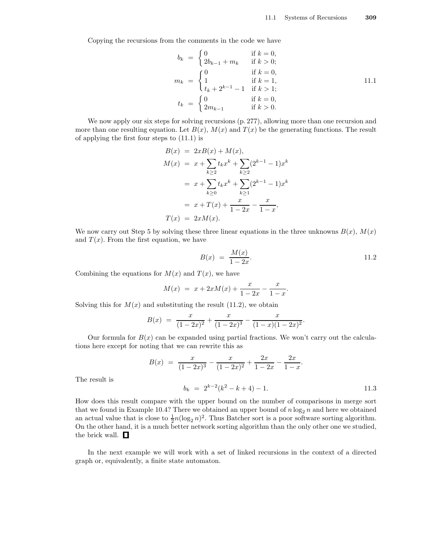Copying the recursions from the comments in the code we have

$$
b_k = \begin{cases} 0 & \text{if } k = 0, \\ 2b_{k-1} + m_k & \text{if } k > 0; \end{cases}
$$
  
\n
$$
m_k = \begin{cases} 0 & \text{if } k = 0, \\ 1 & \text{if } k = 1, \\ t_k + 2^{k-1} - 1 & \text{if } k > 1; \end{cases}
$$
  
\n
$$
t_k = \begin{cases} 0 & \text{if } k = 0, \\ 2m_{k-1} & \text{if } k > 0. \end{cases}
$$

We now apply our six steps for solving recursions (p. 277), allowing more than one recursion and more than one resulting equation. Let  $B(x)$ ,  $M(x)$  and  $T(x)$  be the generating functions. The result of applying the first four steps to (11.1) is

$$
B(x) = 2xB(x) + M(x),
$$
  
\n
$$
M(x) = x + \sum_{k\geq 2} t_k x^k + \sum_{k\geq 2} (2^{k-1} - 1)x^k
$$
  
\n
$$
= x + \sum_{k\geq 0} t_k x^k + \sum_{k\geq 1} (2^{k-1} - 1)x^k
$$
  
\n
$$
= x + T(x) + \frac{x}{1 - 2x} - \frac{x}{1 - x},
$$
  
\n
$$
T(x) = 2xM(x).
$$

We now carry out Step 5 by solving these three linear equations in the three unknowns  $B(x)$ ,  $M(x)$ and  $T(x)$ . From the first equation, we have

$$
B(x) = \frac{M(x)}{1 - 2x}.
$$
 11.2

.

Combining the equations for  $M(x)$  and  $T(x)$ , we have

$$
M(x) = x + 2xM(x) + \frac{x}{1 - 2x} - \frac{x}{1 - x}.
$$

Solving this for  $M(x)$  and substituting the result (11.2), we obtain

$$
B(x) = \frac{x}{(1-2x)^2} + \frac{x}{(1-2x)^3} - \frac{x}{(1-x)(1-2x)^2}
$$

Our formula for  $B(x)$  can be expanded using partial fractions. We won't carry out the calculations here except for noting that we can rewrite this as

$$
B(x) = \frac{x}{(1-2x)^3} - \frac{x}{(1-2x)^2} + \frac{2x}{1-2x} - \frac{2x}{1-x}.
$$
  

$$
b_k = 2^{k-2}(k^2 - k + 4) - 1.
$$
 11.3

The result is

How does this result compare with the upper bound on the number of comparisons in merge sort that we found in Example 10.4? There we obtained an upper bound of  $n \log_2 n$  and here we obtained an actual value that is close to  $\frac{1}{2}n(\log_2 n)^2$ . Thus Batcher sort is a poor software sorting algorithm. On the other hand, it is a much better network sorting algorithm than the only other one we studied, the brick wall.  $\square$ 

In the next example we will work with a set of linked recursions in the context of a directed graph or, equivalently, a finite state automaton.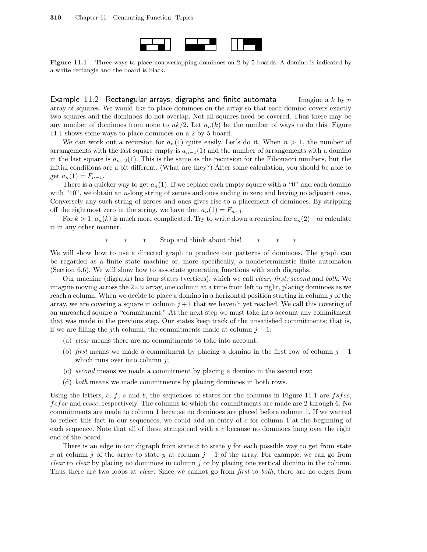

Figure 11.1 Three ways to place nonoverlapping dominoes on 2 by 5 boards. A domino is indicated by a white rectangle and the board is black.

Example 11.2 Rectangular arrays, digraphs and finite automata Imagine a k by n array of squares. We would like to place dominoes on the array so that each domino covers exactly two squares and the dominoes do not overlap. Not all squares need be covered. Thus there may be any number of dominoes from none to  $nk/2$ . Let  $a_n(k)$  be the number of ways to do this. Figure 11.1 shows some ways to place dominoes on a 2 by 5 board.

We can work out a recursion for  $a_n(1)$  quite easily. Let's do it. When  $n > 1$ , the number of arrangements with the last square empty is  $a_{n-1}(1)$  and the number of arrangements with a domino in the last square is  $a_{n-2}(1)$ . This is the same as the recursion for the Fibonacci numbers, but the initial conditions are a bit different. (What are they?) After some calculation, you should be able to get  $a_n(1) = F_{n-1}$ .

There is a quicker way to get  $a_n(1)$ . If we replace each empty square with a "0" and each domino" with "10", we obtain an *n*-long string of zeroes and ones ending in zero and having no adjacent ones. Conversely any such string of zeroes and ones gives rise to a placement of dominoes. By stripping off the rightmost zero in the string, we have that  $a_n(1) = F_{n-1}$ .

For  $k > 1$ ,  $a_n(k)$  is much more complicated. Try to write down a recursion for  $a_n(2)$ —or calculate it in any other manner.

∗ ∗ ∗ Stop and think about this! ∗ ∗ ∗

We will show how to use a directed graph to produce our patterns of dominoes. The graph can be regarded as a finite state machine or, more specifically, a nondeterministic finite automaton (Section 6.6). We will show how to associate generating functions with such digraphs.

Our machine (digraph) has four states (vertices), which we call clear, first, second and both. We imagine moving across the  $2 \times n$  array, one column at a time from left to right, placing dominoes as we reach a column. When we decide to place a domino in a horizontal position starting in column  $j$  of the array, we are covering a square in column  $j+1$  that we haven't yet reached. We call this covering of an unreached square a "commitment." At the next step we must take into account any commitment that was made in the previous step. Our states keep track of the unsatisfied commitments; that is, if we are filling the j<sup>th</sup> column, the commitments made at column  $j - 1$ :

- (a) clear means there are no commitments to take into account;
- (b) first means we made a commitment by placing a domino in the first row of column  $j-1$ which runs over into column  $j$ ;
- (c) second means we made a commitment by placing a domino in the second row;
- (d) both means we made commitments by placing dominoes in both rows.

Using the letters, c, f, s and b, the sequences of states for the columns in Figure 11.1 are  $fsfcc$ ,  $f c f s c$  and ccscc, respectively. The columns to which the commitments are made are 2 through 6. No commitments are made to column 1 because no dominoes are placed before column 1. If we wanted to reflect this fact in our sequences, we could add an entry of  $c$  for column 1 at the beginning of each sequence. Note that all of these strings end with a  $c$  because no dominoes hang over the right end of the board.

There is an edge in our digraph from state x to state y for each possible way to get from state x at column j of the array to state y at column  $j + 1$  of the array. For example, we can go from clear to clear by placing no dominoes in column j or by placing one vertical domino in the column. Thus there are two loops at *clear*. Since we cannot go from *first* to *both*, there are no edges from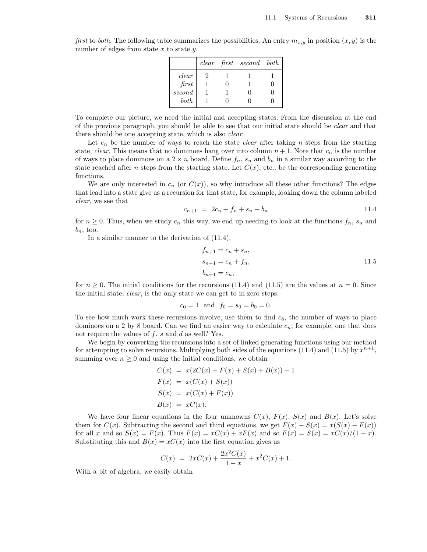first to both. The following table summarizes the possibilities. An entry  $m_{x,y}$  in position  $(x, y)$  is the number of edges from state  $x$  to state  $y$ .

|               |  | clear first second both |  |
|---------------|--|-------------------------|--|
| clear         |  |                         |  |
| first         |  |                         |  |
| $\mathcal{I}$ |  |                         |  |
| both          |  |                         |  |

To complete our picture, we need the initial and accepting states. From the discussion at the end of the previous paragraph, you should be able to see that our initial state should be clear and that there should be one accepting state, which is also *clear*.

Let  $c_n$  be the number of ways to reach the state *clear* after taking n steps from the starting state, *clear*. This means that no dominoes hang over into column  $n + 1$ . Note that  $c_n$  is the number of ways to place dominoes on a  $2 \times n$  board. Define  $f_n$ ,  $s_n$  and  $b_n$  in a similar way according to the state reached after n steps from the starting state. Let  $C(x)$ , etc., be the corresponding generating functions.

We are only interested in  $c_n$  (or  $C(x)$ ), so why introduce all these other functions? The edges that lead into a state give us a recursion for that state, for example, looking down the column labeled clear, we see that

$$
c_{n+1} = 2c_n + f_n + s_n + b_n \tag{11.4}
$$

for  $n \geq 0$ . Thus, when we study  $c_n$  this way, we end up needing to look at the functions  $f_n$ ,  $s_n$  and  $b_n$ , too.

In a similar manner to the derivation of (11.4),

$$
f_{n+1} = c_n + s_n,
$$
  
\n
$$
s_{n+1} = c_n + f_n,
$$
  
\n
$$
b_{n+1} = c_n,
$$
  
\n11.5

for  $n \geq 0$ . The initial conditions for the recursions (11.4) and (11.5) are the values at  $n = 0$ . Since the initial state, clear, is the only state we can get to in zero steps,

$$
c_0 = 1
$$
 and  $f_0 = s_0 = b_0 = 0$ .

To see how much work these recursions involve, use them to find  $c_8$ , the number of ways to place dominoes on a 2 by 8 board. Can we find an easier way to calculate  $c_n$ ; for example, one that does not require the values of  $f$ ,  $s$  and  $d$  as well? Yes.

We begin by converting the recursions into a set of linked generating functions using our method for attempting to solve recursions. Multiplying both sides of the equations (11.4) and (11.5) by  $x^{n+1}$ , summing over  $n \geq 0$  and using the initial conditions, we obtain

$$
C(x) = x(2C(x) + F(x) + S(x) + B(x)) + 1
$$
  
\n
$$
F(x) = x(C(x) + S(x))
$$
  
\n
$$
S(x) = x(C(x) + F(x))
$$
  
\n
$$
B(x) = xC(x).
$$

We have four linear equations in the four unknowns  $C(x)$ ,  $F(x)$ ,  $S(x)$  and  $B(x)$ . Let's solve them for  $C(x)$ . Subtracting the second and third equations, we get  $F(x) - S(x) = x(S(x) - F(x))$ for all x and so  $S(x) = F(x)$ . Thus  $F(x) = xC(x) + xF(x)$  and so  $F(x) = S(x) = xC(x)/(1-x)$ . Substituting this and  $B(x) = xC(x)$  into the first equation gives us

$$
C(x) = 2xC(x) + \frac{2x^2C(x)}{1-x} + x^2C(x) + 1.
$$

With a bit of algebra, we easily obtain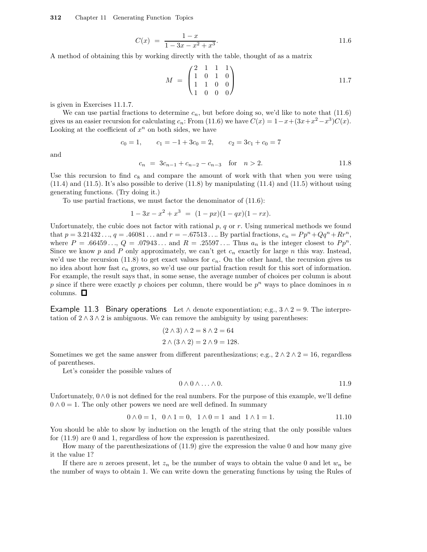$$
C(x) = \frac{1-x}{1-3x-x^2+x^3}.
$$
 11.6

A method of obtaining this by working directly with the table, thought of as a matrix

$$
M = \begin{pmatrix} 2 & 1 & 1 & 1 \\ 1 & 0 & 1 & 0 \\ 1 & 1 & 0 & 0 \\ 1 & 0 & 0 & 0 \end{pmatrix}
$$
 11.7

is given in Exercises 11.1.7.

We can use partial fractions to determine  $c_n$ , but before doing so, we'd like to note that (11.6) gives us an easier recursion for calculating  $c_n$ : From (11.6) we have  $C(x) = 1 - x + (3x + x^2 - x^3)C(x)$ . Looking at the coefficient of  $x^n$  on both sides, we have

$$
c_0 = 1
$$
,  $c_1 = -1 + 3c_0 = 2$ ,  $c_2 = 3c_1 + c_0 = 7$ 

and

$$
c_n = 3c_{n-1} + c_{n-2} - c_{n-3} \quad \text{for} \quad n > 2. \tag{11.8}
$$

Use this recursion to find  $c_8$  and compare the amount of work with that when you were using  $(11.4)$  and  $(11.5)$ . It's also possible to derive  $(11.8)$  by manipulating  $(11.4)$  and  $(11.5)$  without using generating functions. (Try doing it.)

To use partial fractions, we must factor the denominator of (11.6):

$$
1 - 3x - x^2 + x^3 = (1 - px)(1 - qx)(1 - rx).
$$

Unfortunately, the cubic does not factor with rational  $p$ ,  $q$  or  $r$ . Using numerical methods we found that  $p = 3.21432...$ ,  $q = .46081...$  and  $r = -.67513...$  By partial fractions,  $c_n = P p^n + Q q^n + R r^n$ , where  $P = .66459..., Q = .07943...$  and  $R = .25597...$  Thus  $a_n$  is the integer closest to  $Pp^n$ . Since we know p and P only approximately, we can't get  $c_n$  exactly for large n this way. Instead, we'd use the recursion (11.8) to get exact values for  $c_n$ . On the other hand, the recursion gives us no idea about how fast  $c_n$  grows, so we'd use our partial fraction result for this sort of information. For example, the result says that, in some sense, the average number of choices per column is about p since if there were exactly p choices per column, there would be  $p^n$  ways to place dominoes in n columns.  $\square$ 

Example 11.3 Binary operations Let  $\land$  denote exponentiation; e.g.,  $3 \land 2 = 9$ . The interpretation of  $2 \wedge 3 \wedge 2$  is ambiguous. We can remove the ambiguity by using parentheses:

$$
(2 \wedge 3) \wedge 2 = 8 \wedge 2 = 64
$$
  

$$
2 \wedge (3 \wedge 2) = 2 \wedge 9 = 128.
$$

Sometimes we get the same answer from different parenthesizations; e.g.,  $2 \wedge 2 \wedge 2 = 16$ , regardless of parentheses.

Let's consider the possible values of

$$
0 \wedge 0 \wedge \ldots \wedge 0. \qquad \qquad 11.9
$$

Unfortunately, 0∧0 is not defined for the real numbers. For the purpose of this example, we'll define  $0 \wedge 0 = 1$ . The only other powers we need are well defined. In summary

$$
0 \wedge 0 = 1
$$
,  $0 \wedge 1 = 0$ ,  $1 \wedge 0 = 1$  and  $1 \wedge 1 = 1$ . 11.10

You should be able to show by induction on the length of the string that the only possible values for (11.9) are 0 and 1, regardless of how the expression is parenthesized.

How many of the parenthesizations of (11.9) give the expression the value 0 and how many give it the value 1?

If there are n zeroes present, let  $z_n$  be the number of ways to obtain the value 0 and let  $w_n$  be the number of ways to obtain 1. We can write down the generating functions by using the Rules of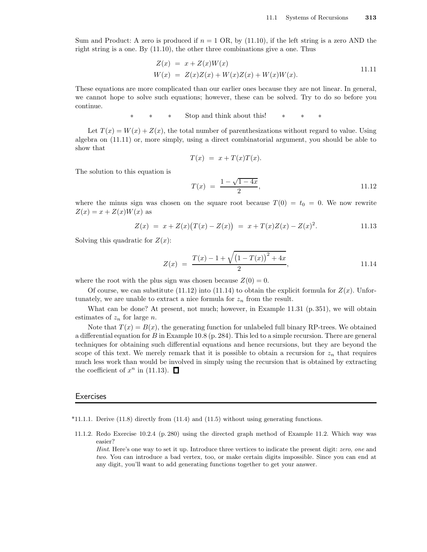Sum and Product: A zero is produced if  $n = 1$  OR, by (11.10), if the left string is a zero AND the right string is a one. By (11.10), the other three combinations give a one. Thus

$$
Z(x) = x + Z(x)W(x)
$$
  
W(x) = Z(x)Z(x) + W(x)Z(x) + W(x)W(x).  
11.11

These equations are more complicated than our earlier ones because they are not linear. In general, we cannot hope to solve such equations; however, these can be solved. Try to do so before you continue.

∗ ∗ ∗ Stop and think about this! ∗ ∗ ∗

Let  $T(x) = W(x) + Z(x)$ , the total number of parenthesizations without regard to value. Using algebra on (11.11) or, more simply, using a direct combinatorial argument, you should be able to show that

$$
T(x) = x + T(x)T(x).
$$

The solution to this equation is

$$
T(x) = \frac{1 - \sqrt{1 - 4x}}{2}, \qquad 11.12
$$

where the minus sign was chosen on the square root because  $T(0) = t_0 = 0$ . We now rewrite  $Z(x) = x + Z(x)W(x)$  as

$$
Z(x) = x + Z(x)(T(x) - Z(x)) = x + T(x)Z(x) - Z(x)^{2}.
$$
 11.13

Solving this quadratic for  $Z(x)$ :

$$
Z(x) = \frac{T(x) - 1 + \sqrt{(1 - T(x))^{2} + 4x}}{2}, \qquad 11.14
$$

where the root with the plus sign was chosen because  $Z(0) = 0$ .

Of course, we can substitute  $(11.12)$  into  $(11.14)$  to obtain the explicit formula for  $Z(x)$ . Unfortunately, we are unable to extract a nice formula for  $z_n$  from the result.

What can be done? At present, not much; however, in Example 11.31 (p. 351), we will obtain estimates of  $z_n$  for large n.

Note that  $T(x) = B(x)$ , the generating function for unlabeled full binary RP-trees. We obtained a differential equation for B in Example 10.8 (p. 284). This led to a simple recursion. There are general techniques for obtaining such differential equations and hence recursions, but they are beyond the scope of this text. We merely remark that it is possible to obtain a recursion for  $z_n$  that requires much less work than would be involved in simply using the recursion that is obtained by extracting the coefficient of  $x^n$  in (11.13).

#### **Exercises**

\*11.1.1. Derive (11.8) directly from (11.4) and (11.5) without using generating functions.

11.1.2. Redo Exercise 10.2.4 (p. 280) using the directed graph method of Example 11.2. Which way was easier?

Hint. Here's one way to set it up. Introduce three vertices to indicate the present digit: zero, one and two. You can introduce a bad vertex, too, or make certain digits impossible. Since you can end at any digit, you'll want to add generating functions together to get your answer.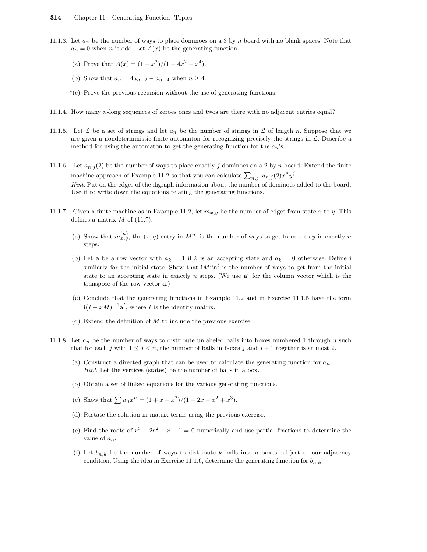- 11.1.3. Let  $a_n$  be the number of ways to place dominoes on a 3 by n board with no blank spaces. Note that  $a_n = 0$  when n is odd. Let  $A(x)$  be the generating function.
	- (a) Prove that  $A(x) = (1 x^2)/(1 4x^2 + x^4)$ .
	- (b) Show that  $a_n = 4a_{n-2} a_{n-4}$  when  $n \geq 4$ .
	- \*(c) Prove the previous recursion without the use of generating functions.
- 11.1.4. How many n-long sequences of zeroes ones and twos are there with no adjacent entries equal?
- 11.1.5. Let  $\mathcal L$  be a set of strings and let  $a_n$  be the number of strings in  $\mathcal L$  of length n. Suppose that we are given a nondeterministic finite automaton for recognizing precisely the strings in  $\mathcal{L}$ . Describe a method for using the automaton to get the generating function for the  $a_n$ 's.
- 11.1.6. Let  $a_{n,j}(2)$  be the number of ways to place exactly j dominoes on a 2 by n board. Extend the finite machine approach of Example 11.2 so that you can calculate  $\sum_{n,j} a_{n,j}(2)x^n y^j$ . Hint. Put on the edges of the digraph information about the number of dominoes added to the board. Use it to write down the equations relating the generating functions.
- 11.1.7. Given a finite machine as in Example 11.2, let  $m_{x,y}$  be the number of edges from state x to y. This defines a matrix  $M$  of (11.7).
	- (a) Show that  $m_{x,y}^{(n)}$ , the  $(x, y)$  entry in  $M^n$ , is the number of ways to get from x to y in exactly n steps.
	- (b) Let **a** be a row vector with  $a_k = 1$  if k is an accepting state and  $a_k = 0$  otherwise. Define i similarly for the initial state. Show that  $iM^n a^t$  is the number of ways to get from the initial state to an accepting state in exactly n steps. (We use  $a^t$  for the column vector which is the transpose of the row vector a.)
	- (c) Conclude that the generating functions in Example 11.2 and in Exercise 11.1.5 have the form  $\mathbf{i}(I - xM)^{-1}\mathbf{a}^{t}$ , where I is the identity matrix.
	- (d) Extend the definition of  $M$  to include the previous exercise.
- 11.1.8. Let  $a_n$  be the number of ways to distribute unlabeled balls into boxes numbered 1 through n such that for each j with  $1 \leq j < n$ , the number of balls in boxes j and  $j + 1$  together is at most 2.
	- (a) Construct a directed graph that can be used to calculate the generating function for  $a_n$ . Hint. Let the vertices (states) be the number of balls in a box.
	- (b) Obtain a set of linked equations for the various generating functions.
	- (c) Show that  $\sum a_n x^n = (1 + x x^2)/(1 2x x^2 + x^3)$ .
	- (d) Restate the solution in matrix terms using the previous exercise.
	- (e) Find the roots of  $r^3 2r^2 r + 1 = 0$  numerically and use partial fractions to determine the value of  $a_n$ .
	- (f) Let  $b_{n,k}$  be the number of ways to distribute k balls into n boxes subject to our adjacency condition. Using the idea in Exercise 11.1.6, determine the generating function for  $b_{n,k}$ .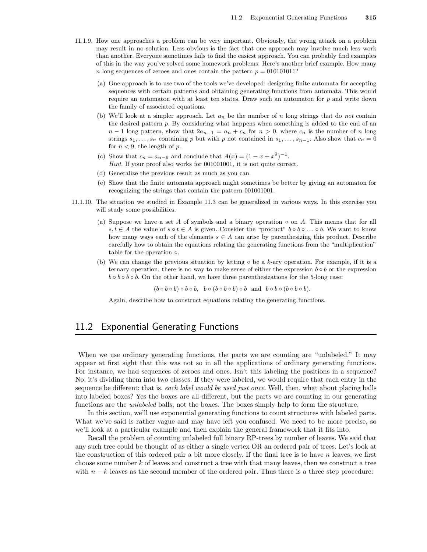- 11.1.9. How one approaches a problem can be very important. Obviously, the wrong attack on a problem may result in no solution. Less obvious is the fact that one approach may involve much less work than another. Everyone sometimes fails to find the easiest approach. You can probably find examples of this in the way you've solved some homework problems. Here's another brief example. How many n long sequences of zeroes and ones contain the pattern  $p = 010101011$ ?
	- (a) One approach is to use two of the tools we've developed: designing finite automata for accepting sequences with certain patterns and obtaining generating functions from automata. This would require an automaton with at least ten states. Draw such an automaton for p and write down the family of associated equations.
	- (b) We'll look at a simpler approach. Let  $a_n$  be the number of n long strings that do not contain the desired pattern p. By considering what happens when something is added to the end of an  $n-1$  long pattern, show that  $2a_{n-1} = a_n + c_n$  for  $n > 0$ , where  $c_n$  is the number of n long strings  $s_1, \ldots, s_n$  containing p but with p not contained in  $s_1, \ldots, s_{n-1}$ . Also show that  $c_n = 0$ for  $n < 9$ , the length of p.
	- (c) Show that  $c_n = a_{n-9}$  and conclude that  $A(x) = (1 x + x^9)^{-1}$ . Hint. If your proof also works for 001001001, it is not quite correct.
	- (d) Generalize the previous result as much as you can.
	- (e) Show that the finite automata approach might sometimes be better by giving an automaton for recognizing the strings that contain the pattern 001001001.
- 11.1.10. The situation we studied in Example 11.3 can be generalized in various ways. In this exercise you will study some possibilities.
	- (a) Suppose we have a set A of symbols and a binary operation  $\circ$  on A. This means that for all s,  $t \in A$  the value of  $s \circ t \in A$  is given. Consider the "product"  $b \circ b \circ \ldots \circ b$ . We want to know how many ways each of the elements  $s \in A$  can arise by parenthesizing this product. Describe carefully how to obtain the equations relating the generating functions from the "multiplication" table for the operation ◦.
	- (b) We can change the previous situation by letting  $\circ$  be a k-ary operation. For example, if it is a ternary operation, there is no way to make sense of either the expression  $b \circ b$  or the expression  $b \circ b \circ b \circ b$ . On the other hand, we have three parenthesizations for the 5-long case:

 $(b \circ b \circ b) \circ b \circ b$ ,  $b \circ (b \circ b \circ b) \circ b$  and  $b \circ b \circ (b \circ b \circ b)$ .

Again, describe how to construct equations relating the generating functions.

## 11.2 Exponential Generating Functions

When we use ordinary generating functions, the parts we are counting are "unlabeled." It may appear at first sight that this was not so in all the applications of ordinary generating functions. For instance, we had sequences of zeroes and ones. Isn't this labeling the positions in a sequence? No, it's dividing them into two classes. If they were labeled, we would require that each entry in the sequence be different; that is, each label would be used just once. Well, then, what about placing balls into labeled boxes? Yes the boxes are all different, but the parts we are counting in our generating functions are the *unlabeled* balls, not the boxes. The boxes simply help to form the structure.

In this section, we'll use exponential generating functions to count structures with labeled parts. What we've said is rather vague and may have left you confused. We need to be more precise, so we'll look at a particular example and then explain the general framework that it fits into.

Recall the problem of counting unlabeled full binary RP-trees by number of leaves. We said that any such tree could be thought of as either a single vertex OR an ordered pair of trees. Let's look at the construction of this ordered pair a bit more closely. If the final tree is to have  $n$  leaves, we first choose some number  $k$  of leaves and construct a tree with that many leaves, then we construct a tree with  $n - k$  leaves as the second member of the ordered pair. Thus there is a three step procedure: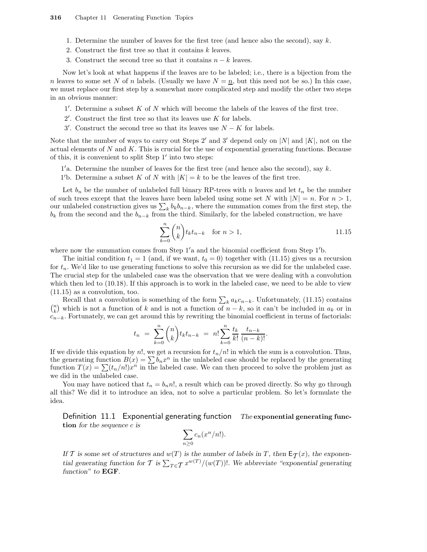- 1. Determine the number of leaves for the first tree (and hence also the second), say  $k$ .
- 2. Construct the first tree so that it contains k leaves.
- 3. Construct the second tree so that it contains  $n k$  leaves.

Now let's look at what happens if the leaves are to be labeled; i.e., there is a bijection from the n leaves to some set N of n labels. (Usually we have  $N = n$ , but this need not be so.) In this case, we must replace our first step by a somewhat more complicated step and modify the other two steps in an obvious manner:

- $1'$ . Determine a subset K of N which will become the labels of the leaves of the first tree.
- 2'. Construct the first tree so that its leaves use  $K$  for labels.
- 3'. Construct the second tree so that its leaves use  $N K$  for labels.

Note that the number of ways to carry out Steps 2' and 3' depend only on |N| and |K|, not on the actual elements of  $N$  and  $K$ . This is crucial for the use of exponential generating functions. Because of this, it is convenient to split Step  $1'$  into two steps:

- 1'a. Determine the number of leaves for the first tree (and hence also the second), say  $k$ .
- 1'b. Determine a subset K of N with  $|K| = k$  to be the leaves of the first tree.

Let  $b_n$  be the number of unlabeled full binary RP-trees with n leaves and let  $t_n$  be the number of such trees except that the leaves have been labeled using some set N with  $|N| = n$ . For  $n > 1$ , our unlabeled construction gives us  $\sum_k b_k b_{n-k}$ , where the summation comes from the first step, the  $b_k$  from the second and the  $b_{n-k}$  from the third. Similarly, for the labeled construction, we have

$$
\sum_{k=0}^{n} \binom{n}{k} t_k t_{n-k} \quad \text{for } n > 1,\tag{11.15}
$$

where now the summation comes from Step  $1^\prime$ a and the binomial coefficient from Step  $1^\prime$ b.

The initial condition  $t_1 = 1$  (and, if we want,  $t_0 = 0$ ) together with (11.15) gives us a recursion for  $t_n$ . We'd like to use generating functions to solve this recursion as we did for the unlabeled case. The crucial step for the unlabeled case was the observation that we were dealing with a convolution which then led to (10.18). If this approach is to work in the labeled case, we need to be able to view (11.15) as a convolution, too.

Recall that a convolution is something of the form  $\sum_{k} a_k c_{n-k}$ . Unfortunately, (11.15) contains  $\binom{n}{k}$  which is not a function of k and is not a function of  $n - k$ , so it can't be included in  $a_k$  or in  $c_{n-k}$ . Fortunately, we can get around this by rewriting the binomial coefficient in terms of factorials:

$$
t_n = \sum_{k=0}^n \binom{n}{k} t_k t_{n-k} = n! \sum_{k=0}^n \frac{t_k}{k!} \frac{t_{n-k}}{(n-k)!}.
$$

If we divide this equation by n!, we get a recursion for  $t_n/n!$  in which the sum is a convolution. Thus, the generating function  $B(x) = \sum b_n x^n$  in the unlabeled case should be replaced by the generating function  $T(x) = \sum (t_n/n!) x^n$  in the labeled case. We can then proceed to solve the problem just as we did in the unlabeled case.

You may have noticed that  $t_n = b_n n!$ , a result which can be proved directly. So why go through all this? We did it to introduce an idea, not to solve a particular problem. So let's formulate the idea.

Definition 11.1 Exponential generating function The exponential generating function for the sequence  $c$  is

$$
\sum_{n\geq 0}c_n(x^n/n!).
$$

If T is some set of structures and  $w(T)$  is the number of labels in T, then  $E_T(x)$ , the exponential generating function for T is  $\sum_{T \in \mathcal{T}} x^{w(T)}/(w(T))!$ . We abbreviate "exponential generating function" to  $\mathbf{FCF}$ function" to EGF.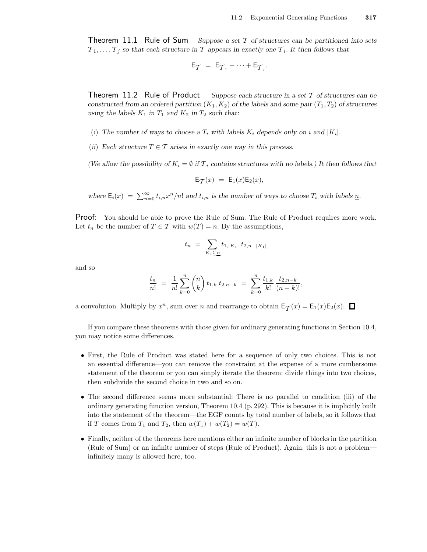Theorem 11.1 Rule of Sum Suppose a set  $T$  of structures can be partitioned into sets  $\mathcal{T}_1, \ldots, \mathcal{T}_j$  so that each structure in  $\mathcal{T}$  appears in exactly one  $\mathcal{T}_i$ . It then follows that

$$
E_{\mathcal{T}} = E_{\mathcal{T}_1} + \cdots + E_{\mathcal{T}_j}.
$$

Theorem 11.2 Rule of Product Suppose each structure in a set  $\mathcal T$  of structures can be constructed from an ordered partition  $(K_1, K_2)$  of the labels and some pair  $(T_1, T_2)$  of structures using the labels  $K_1$  in  $T_1$  and  $K_2$  in  $T_2$  such that:

- (i) The number of ways to choose a  $T_i$  with labels  $K_i$  depends only on i and  $|K_i|$ .
- (ii) Each structure  $T \in \mathcal{T}$  arises in exactly one way in this process.

(We allow the possibility of  $K_i = \emptyset$  if  $\mathcal{T}_i$  contains structures with no labels.) It then follows that

$$
\mathsf{E}_{\mathcal{T}}(x) = \mathsf{E}_1(x)\mathsf{E}_2(x),
$$

where  $\mathsf{E}_i(x) = \sum_{n=0}^{\infty} t_{i,n} x^n/n!$  and  $t_{i,n}$  is the number of ways to choose  $T_i$  with labels  $\underline{n}$ .

Proof: You should be able to prove the Rule of Sum. The Rule of Product requires more work. Let  $t_n$  be the number of  $T \in \mathcal{T}$  with  $w(T) = n$ . By the assumptions,

$$
t_n = \sum_{K_1 \subseteq n} t_{1,|K_1|} t_{2,n-|K_1|}
$$

and so

$$
\frac{t_n}{n!} = \frac{1}{n!} \sum_{k=0}^n {n \choose k} t_{1,k} t_{2,n-k} = \sum_{k=0}^n \frac{t_{1,k}}{k!} \frac{t_{2,n-k}}{(n-k)!},
$$

a convolution. Multiply by  $x^n$ , sum over n and rearrange to obtain  $\mathsf{E}_{\mathcal{T}}(x) = \mathsf{E}_1(x)\mathsf{E}_2(x)$ .

If you compare these theorems with those given for ordinary generating functions in Section 10.4, you may notice some differences.

- First, the Rule of Product was stated here for a sequence of only two choices. This is not an essential difference—you can remove the constraint at the expense of a more cumbersome statement of the theorem or you can simply iterate the theorem: divide things into two choices, then subdivide the second choice in two and so on.
- The second difference seems more substantial: There is no parallel to condition (iii) of the ordinary generating function version, Theorem 10.4 (p. 292). This is because it is implicitly built into the statement of the theorem—the EGF counts by total number of labels, so it follows that if T comes from  $T_1$  and  $T_2$ , then  $w(T_1) + w(T_2) = w(T)$ .
- Finally, neither of the theorems here mentions either an infinite number of blocks in the partition (Rule of Sum) or an infinite number of steps (Rule of Product). Again, this is not a problem infinitely many is allowed here, too.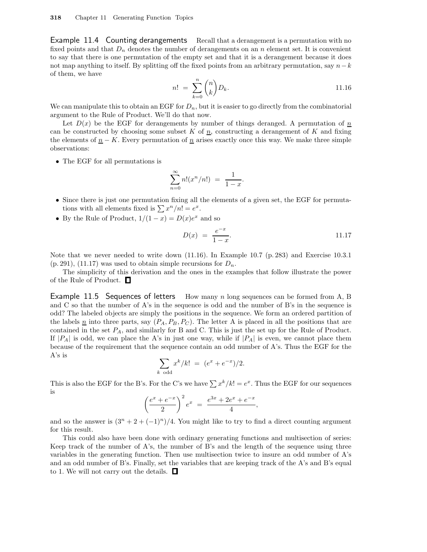Example 11.4 Counting derangements Recall that a derangement is a permutation with no fixed points and that  $D_n$  denotes the number of derangements on an n element set. It is convenient to say that there is one permutation of the empty set and that it is a derangement because it does not map anything to itself. By splitting off the fixed points from an arbitrary permutation, say  $n-k$ of them, we have

$$
n! = \sum_{k=0}^{n} {n \choose k} D_k.
$$
 11.16

We can manipulate this to obtain an EGF for  $D_n$ , but it is easier to go directly from the combinatorial argument to the Rule of Product. We'll do that now.

Let  $D(x)$  be the EGF for derangements by number of things deranged. A permutation of  $\underline{n}$ can be constructed by choosing some subset K of  $\overline{n}$ , constructing a derangement of K and fixing the elements of  $\underline{n} - K$ . Every permutation of  $\underline{n}$  arises exactly once this way. We make three simple observations:

• The EGF for all permutations is

$$
\sum_{n=0}^{\infty} n!(x^n/n!) = \frac{1}{1-x}.
$$

- Since there is just one permutation fixing all the elements of a given set, the EGF for permutations with all elements fixed is  $\sum x^n/n! = e^x$ .
- By the Rule of Product,  $1/(1-x) = D(x)e^x$  and so

$$
D(x) = \frac{e^{-x}}{1-x}.
$$
 11.17

Note that we never needed to write down (11.16). In Example 10.7 (p. 283) and Exercise 10.3.1  $(p. 291)$ ,  $(11.17)$  was used to obtain simple recursions for  $D_n$ .

The simplicity of this derivation and the ones in the examples that follow illustrate the power of the Rule of Product.  $\square$ 

Example 11.5 Sequences of letters How many  $n$  long sequences can be formed from A, B and C so that the number of A's in the sequence is odd and the number of B's in the sequence is odd? The labeled objects are simply the positions in the sequence. We form an ordered partition of the labels  $\underline{n}$  into three parts, say  $(P_A, P_B, P_C)$ . The letter A is placed in all the positions that are contained in the set  $P_A$ , and similarly for B and C. This is just the set up for the Rule of Product. If  $|P_A|$  is odd, we can place the A's in just one way, while if  $|P_A|$  is even, we cannot place them because of the requirement that the sequence contain an odd number of A's. Thus the EGF for the A's is

$$
\sum_{k \text{ odd}} x^k / k! = (e^x + e^{-x})/2.
$$

This is also the EGF for the B's. For the C's we have  $\sum x^k/k! = e^x$ . Thus the EGF for our sequences is

$$
\left(\frac{e^x + e^{-x}}{2}\right)^2 e^x = \frac{e^{3x} + 2e^x + e^{-x}}{4},
$$

and so the answer is  $(3^n + 2 + (-1)^n)/4$ . You might like to try to find a direct counting argument for this result.

This could also have been done with ordinary generating functions and multisection of series: Keep track of the number of A's, the number of B's and the length of the sequence using three variables in the generating function. Then use multisection twice to insure an odd number of A's and an odd number of B's. Finally, set the variables that are keeping track of the A's and B's equal to 1. We will not carry out the details.  $\Box$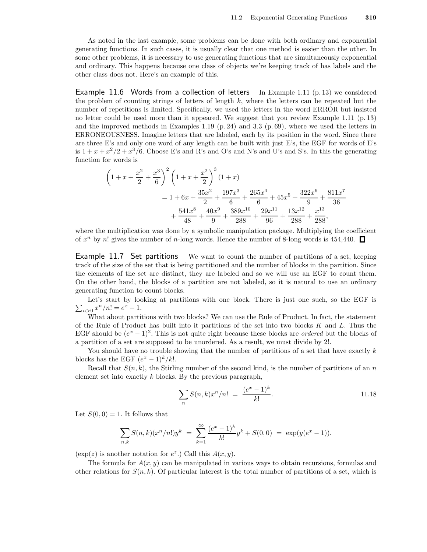As noted in the last example, some problems can be done with both ordinary and exponential generating functions. In such cases, it is usually clear that one method is easier than the other. In some other problems, it is necessary to use generating functions that are simultaneously exponential and ordinary. This happens because one class of objects we're keeping track of has labels and the other class does not. Here's an example of this.

**Example 11.6 Words from a collection of letters** In Example 1.11 (p. 13) we considered the problem of counting strings of letters of length  $k$ , where the letters can be repeated but the number of repetitions is limited. Specifically, we used the letters in the word ERROR but insisted no letter could be used more than it appeared. We suggest that you review Example 1.11 (p. 13) and the improved methods in Examples 1.19  $(p. 24)$  and 3.3  $(p. 69)$ , where we used the letters in ERRONEOUSNESS. Imagine letters that are labeled, each by its position in the word. Since there are three E's and only one word of any length can be built with just E's, the EGF for words of E's is  $1 + x + x^2/2 + x^3/6$ . Choose E's and R's and O's and N's and U's and S's. In this the generating function for words is

$$
\left(1+x+\frac{x^2}{2}+\frac{x^3}{6}\right)^2 \left(1+x+\frac{x^2}{2}\right)^3 (1+x)
$$
  
=  $1+6x+\frac{35x^2}{2}+\frac{197x^3}{6}+\frac{265x^4}{6}+45x^5+\frac{322x^6}{9}+\frac{811x^7}{36}$   
+  $\frac{541x^8}{48}+\frac{40x^9}{9}+\frac{389x^{10}}{288}+\frac{29x^{11}}{96}+\frac{13x^{12}}{288}+\frac{x^{13}}{288}$ ,

where the multiplication was done by a symbolic manipulation package. Multiplying the coefficient of  $x^n$  by n! gives the number of n-long words. Hence the number of 8-long words is 454,440.

Example 11.7 Set partitions We want to count the number of partitions of a set, keeping track of the size of the set that is being partitioned and the number of blocks in the partition. Since the elements of the set are distinct, they are labeled and so we will use an EGF to count them. On the other hand, the blocks of a partition are not labeled, so it is natural to use an ordinary generating function to count blocks.

 $\sum_{n>0} x^n/n! = e^x - 1.$ Let's start by looking at partitions with one block. There is just one such, so the EGF is

What about partitions with two blocks? We can use the Rule of Product. In fact, the statement of the Rule of Product has built into it partitions of the set into two blocks K and L. Thus the EGF should be  $(e^x - 1)^2$ . This is not quite right because these blocks are *ordered* but the blocks of a partition of a set are supposed to be unordered. As a result, we must divide by 2!.

You should have no trouble showing that the number of partitions of a set that have exactly  $k$ blocks has the EGF  $(e^x - 1)^k/k!$ .

Recall that  $S(n, k)$ , the Stirling number of the second kind, is the number of partitions of an n element set into exactly  $k$  blocks. By the previous paragraph,

$$
\sum_{n} S(n,k)x^{n}/n! = \frac{(e^{x}-1)^{k}}{k!}.
$$
 11.18

Let  $S(0,0) = 1$ . It follows that

$$
\sum_{n,k} S(n,k)(x^n/n!)y^k = \sum_{k=1}^{\infty} \frac{(e^x - 1)^k}{k!} y^k + S(0,0) = \exp(y(e^x - 1)).
$$

 $(\exp(z)$  is another notation for  $e^z$ .) Call this  $A(x, y)$ .

The formula for  $A(x, y)$  can be manipulated in various ways to obtain recursions, formulas and other relations for  $S(n, k)$ . Of particular interest is the total number of partitions of a set, which is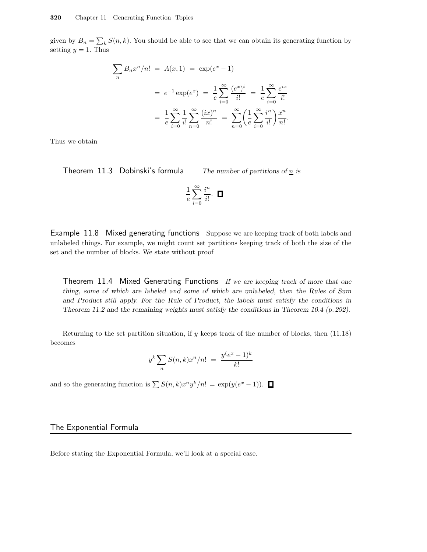given by  $B_n = \sum_k S(n, k)$ . You should be able to see that we can obtain its generating function by setting  $y = 1$ . Thus

$$
\sum_{n} B_{n} x^{n} / n! = A(x, 1) = \exp(e^{x} - 1)
$$
  
=  $e^{-1} \exp(e^{x}) = \frac{1}{e} \sum_{i=0}^{\infty} \frac{(e^{x})^{i}}{i!} = \frac{1}{e} \sum_{i=0}^{\infty} \frac{e^{ix}}{i!}$   
=  $\frac{1}{e} \sum_{i=0}^{\infty} \frac{1}{i!} \sum_{n=0}^{\infty} \frac{(ix)^{n}}{n!} = \sum_{n=0}^{\infty} \left(\frac{1}{e} \sum_{i=0}^{\infty} \frac{i^{n}}{i!}\right) \frac{x^{n}}{n!}.$ 

Thus we obtain

Theorem 11.3 Dobinski's formula The number of partitions of  $\underline{n}$  is

$$
\frac{1}{e}\sum_{i=0}^{\infty}\frac{i^n}{i!}.\ \ \blacksquare
$$

Example 11.8 Mixed generating functions Suppose we are keeping track of both labels and unlabeled things. For example, we might count set partitions keeping track of both the size of the set and the number of blocks. We state without proof

Theorem 11.4 Mixed Generating Functions If we are keeping track of more that one thing, some of which are labeled and some of which are unlabeled, then the Rules of Sum and Product still apply. For the Rule of Product, the labels must satisfy the conditions in Theorem 11.2 and the remaining weights must satisfy the conditions in Theorem 10.4 (p. 292).

Returning to the set partition situation, if  $y$  keeps track of the number of blocks, then  $(11.18)$ becomes

$$
y^k \sum_n S(n,k)x^n/n! = \frac{y(e^x - 1)^k}{k!}
$$

and so the generating function is  $\sum S(n, k)x^n y^k/n! = \exp(y(e^x - 1)).$ 

## The Exponential Formula

Before stating the Exponential Formula, we'll look at a special case.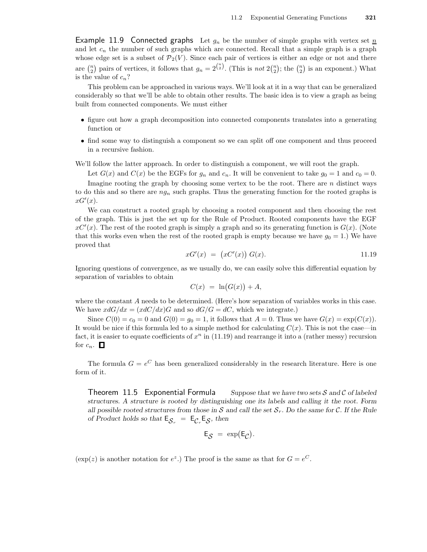Example 11.9 Connected graphs Let  $g_n$  be the number of simple graphs with vertex set  $\underline{n}$ and let  $c_n$  the number of such graphs which are connected. Recall that a simple graph is a graph whose edge set is a subset of  $\mathcal{P}_2(V)$ . Since each pair of vertices is either an edge or not and there are  $\binom{n}{2}$  pairs of vertices, it follows that  $g_n = 2^{\binom{n}{2}}$ . (This is not  $2\binom{n}{2}$ ; the  $\binom{n}{2}$ ) is an exponent.) What is the value of  $c_n$ ?

This problem can be approached in various ways. We'll look at it in a way that can be generalized considerably so that we'll be able to obtain other results. The basic idea is to view a graph as being built from connected components. We must either

- figure out how a graph decomposition into connected components translates into a generating function or
- find some way to distinguish a component so we can split off one component and thus proceed in a recursive fashion.

We'll follow the latter approach. In order to distinguish a component, we will root the graph.

Let  $G(x)$  and  $C(x)$  be the EGFs for  $g_n$  and  $c_n$ . It will be convenient to take  $g_0 = 1$  and  $c_0 = 0$ . Imagine rooting the graph by choosing some vertex to be the root. There are  $n$  distinct ways to do this and so there are  $ng_n$  such graphs. Thus the generating function for the rooted graphs is  $xG'(x)$ .

We can construct a rooted graph by choosing a rooted component and then choosing the rest of the graph. This is just the set up for the Rule of Product. Rooted components have the EGF  $xC'(x)$ . The rest of the rooted graph is simply a graph and so its generating function is  $G(x)$ . (Note that this works even when the rest of the rooted graph is empty because we have  $g_0 = 1$ .) We have proved that

$$
xG'(x) = (xC'(x)) G(x).
$$
 11.19

Ignoring questions of convergence, as we usually do, we can easily solve this differential equation by separation of variables to obtain

$$
C(x) = \ln(G(x)) + A,
$$

where the constant A needs to be determined. (Here's how separation of variables works in this case. We have  $xdG/dx = (xdC/dx)G$  and so  $dG/G = dC$ , which we integrate.)

Since  $C(0) = c_0 = 0$  and  $G(0) = g_0 = 1$ , it follows that  $A = 0$ . Thus we have  $G(x) = \exp(C(x))$ . It would be nice if this formula led to a simple method for calculating  $C(x)$ . This is not the case—in fact, it is easier to equate coefficients of  $x^n$  in (11.19) and rearrange it into a (rather messy) recursion for  $c_n$ .  $\Box$ 

The formula  $G = e^C$  has been generalized considerably in the research literature. Here is one form of it.

Theorem 11.5 Exponential Formula Suppose that we have two sets S and C of labeled structures. A structure is rooted by distinguishing one its labels and calling it the root. Form all possible rooted structures from those in S and call the set  $S_r$ . Do the same for C. If the Rule of Product holds so that  $\mathsf{E}_{\mathcal{S}_r} = \mathsf{E}_{\mathcal{C}_r} \mathsf{E}_{\mathcal{S}}$ , then

$$
E_{\mathcal{S}} = \exp(E_{\mathcal{C}}).
$$

 $(\exp(z)$  is another notation for  $e^z$ .) The proof is the same as that for  $G = e^C$ .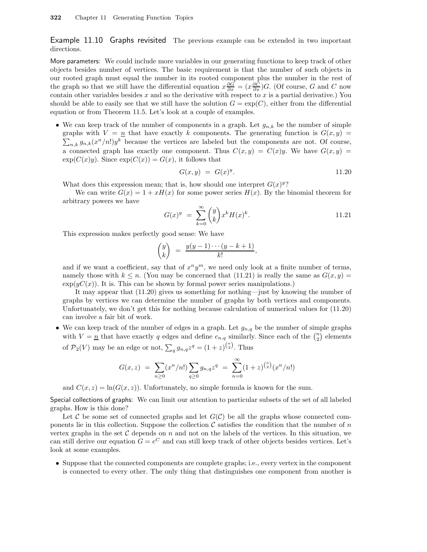Example 11.10 Graphs revisited The previous example can be extended in two important directions.

More parameters: We could include more variables in our generating functions to keep track of other objects besides number of vertices. The basic requirement is that the number of such objects in our rooted graph must equal the number in its rooted component plus the number in the rest of the graph so that we still have the differential equation  $x \frac{\partial G}{\partial x} = (x \frac{\partial C}{\partial x}) G$ . (Of course, G and C now contain other variables besides  $x$  and so the derivative with respect to  $x$  is a partial derivative.) You should be able to easily see that we still have the solution  $G = \exp(C)$ , either from the differential equation or from Theorem 11.5. Let's look at a couple of examples.

• We can keep track of the number of components in a graph. Let  $g_{n,k}$  be the number of simple graphs with  $V = \underline{n}$  that have exactly k components. The generating function is  $G(x, y)$  $\sum_{n,k} g_{n,k}(x^n/n!)y^k$  because the vertices are labeled but the components are not. Of course, a connected graph has exactly one component. Thus  $C(x, y) = C(x)y$ . We have  $G(x, y) = C(x)y$  $\exp(C(x)y)$ . Since  $\exp(C(x)) = G(x)$ , it follows that

$$
G(x,y) = G(x)^y. \tag{11.20}
$$

What does this expression mean; that is, how should one interpret  $G(x)^y$ ?

We can write  $G(x) = 1 + xH(x)$  for some power series  $H(x)$ . By the binomial theorem for arbitrary powers we have

$$
G(x)^{y} = \sum_{k=0}^{\infty} {y \choose k} x^{k} H(x)^{k}.
$$
 11.21

This expression makes perfectly good sense: We have

$$
\binom{y}{k} = \frac{y(y-1)\cdots(y-k+1)}{k!},
$$

and if we want a coefficient, say that of  $x^n y^m$ , we need only look at a finite number of terms, namely those with  $k \leq n$ . (You may be concerned that (11.21) is really the same as  $G(x, y)$  $\exp(yC(x))$ . It is. This can be shown by formal power series manipulations.)

It may appear that (11.20) gives us something for nothing—just by knowing the number of graphs by vertices we can determine the number of graphs by both vertices and components. Unfortunately, we don't get this for nothing because calculation of numerical values for (11.20) can involve a fair bit of work.

• We can keep track of the number of edges in a graph. Let  $g_{n,q}$  be the number of simple graphs with  $V = \underline{n}$  that have exactly q edges and define  $c_{n,q}$  similarly. Since each of the  $\binom{n}{2}$  elements of  $\mathcal{P}_2(V)$  may be an edge or not,  $\sum_q g_{n,q}z^q = (1+z)^{\binom{n}{2}}$ . Thus

$$
G(x, z) = \sum_{n \ge 0} (x^n/n!) \sum_{q \ge 0} g_{n,q} z^q = \sum_{n=0}^{\infty} (1+z)^{\binom{n}{2}} (x^n/n!)
$$

and  $C(x, z) = \ln(G(x, z))$ . Unfortunately, no simple formula is known for the sum.

Special collections of graphs: We can limit our attention to particular subsets of the set of all labeled graphs. How is this done?

Let C be some set of connected graphs and let  $G(\mathcal{C})$  be all the graphs whose connected components lie in this collection. Suppose the collection  $\mathcal C$  satisfies the condition that the number of  $n$ vertex graphs in the set  $\mathcal C$  depends on  $n$  and not on the labels of the vertices. In this situation, we can still derive our equation  $G = e^C$  and can still keep track of other objects besides vertices. Let's look at some examples.

• Suppose that the connected components are complete graphs; i.e., every vertex in the component is connected to every other. The only thing that distinguishes one component from another is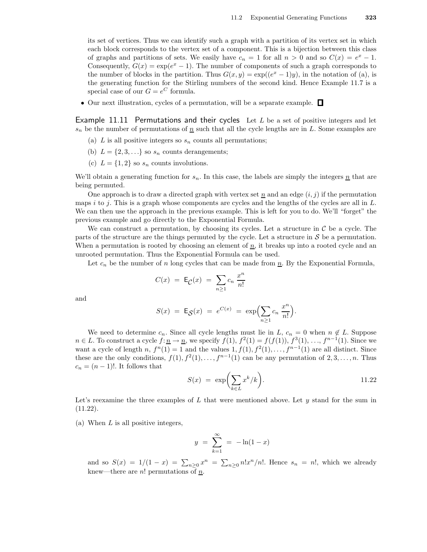its set of vertices. Thus we can identify such a graph with a partition of its vertex set in which each block corresponds to the vertex set of a component. This is a bijection between this class of graphs and partitions of sets. We easily have  $c_n = 1$  for all  $n > 0$  and so  $C(x) = e^x - 1$ . Consequently,  $G(x) = \exp(e^x - 1)$ . The number of components of such a graph corresponds to the number of blocks in the partition. Thus  $G(x, y) = \exp((e^x - 1)y)$ , in the notation of (a), is the generating function for the Stirling numbers of the second kind. Hence Example 11.7 is a special case of our  $G = e^C$  formula.

• Our next illustration, cycles of a permutation, will be a separate example.  $\Box$ 

**Example 11.11 Permutations and their cycles** Let  $L$  be a set of positive integers and let  $s_n$  be the number of permutations of  $\underline{n}$  such that all the cycle lengths are in L. Some examples are

- (a)  $L$  is all positive integers so  $s_n$  counts all permutations;
- (b)  $L = \{2, 3, \ldots\}$  so  $s_n$  counts derangements;
- (c)  $L = \{1, 2\}$  so  $s_n$  counts involutions.

We'll obtain a generating function for  $s_n$ . In this case, the labels are simply the integers  $\overline{n}$  that are being permuted.

One approach is to draw a directed graph with vertex set  $\underline{n}$  and an edge  $(i, j)$  if the permutation maps i to j. This is a graph whose components are cycles and the lengths of the cycles are all in  $L$ . We can then use the approach in the previous example. This is left for you to do. We'll "forget" the previous example and go directly to the Exponential Formula.

We can construct a permutation, by choosing its cycles. Let a structure in  $\mathcal C$  be a cycle. The parts of the structure are the things permuted by the cycle. Let a structure in  $\mathcal S$  be a permutation. When a permutation is rooted by choosing an element of  $n$ , it breaks up into a rooted cycle and an unrooted permutation. Thus the Exponential Formula can be used.

Let  $c_n$  be the number of n long cycles that can be made from  $\underline{n}$ . By the Exponential Formula,

$$
C(x) = \mathsf{E}_{\mathcal{C}}(x) = \sum_{n \ge 1} c_n \frac{x^n}{n!}
$$

and

$$
S(x) = \mathsf{E}_{\mathcal{S}}(x) = e^{C(x)} = \exp\Bigl(\sum_{n\geq 1} c_n \frac{x^n}{n!}\Bigr).
$$

We need to determine  $c_n$ . Since all cycle lengths must lie in L,  $c_n = 0$  when  $n \notin L$ . Suppose  $n \in L$ . To construct a cycle  $f: \underline{n} \to \underline{n}$ , we specify  $f(1), f^2(1) = f(f(1)), f^3(1), \ldots, f^{n-1}(1)$ . Since we want a cycle of length n,  $f^{(n)}(1) = 1$  and the values  $1, f(1), f^{(2)}(1), \ldots, f^{(n-1)}(1)$  are all distinct. Since these are the only conditions,  $f(1), f^2(1), \ldots, f^{n-1}(1)$  can be any permutation of  $2, 3, \ldots, n$ . Thus  $c_n = (n-1)!$ . It follows that

$$
S(x) = \exp\left(\sum_{k \in L} x^k / k\right). \tag{11.22}
$$

Let's reexamine the three examples of L that were mentioned above. Let  $y$  stand for the sum in (11.22).

(a) When  $L$  is all positive integers,

$$
y = \sum_{k=1}^{\infty} = -\ln(1-x)
$$

and so  $S(x) = 1/(1-x) = \sum_{n\geq 0} x^n = \sum_{n\geq 0} n!x^n/n!$ . Hence  $s_n = n!$ , which we already knew—there are  $n!$  permutations of  $\underline{n}$ .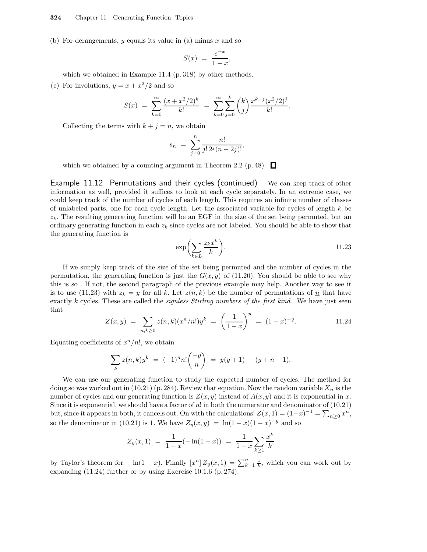(b) For derangements,  $y$  equals its value in (a) minus  $x$  and so

$$
S(x) = \frac{e^{-x}}{1-x},
$$

which we obtained in Example 11.4 (p. 318) by other methods.

(c) For involutions,  $y = x + x^2/2$  and so

$$
S(x) = \sum_{k=0}^{\infty} \frac{(x+x^2/2)^k}{k!} = \sum_{k=0}^{\infty} \sum_{j=0}^{k} {k \choose j} \frac{x^{k-j} (x^2/2)^j}{k!}.
$$

Collecting the terms with  $k + j = n$ , we obtain

$$
s_n = \sum_{j=0}^n \frac{n!}{j! \, 2^j (n-2j)!},
$$

which we obtained by a counting argument in Theorem 2.2 (p. 48).  $\Box$ 

Example 11.12 Permutations and their cycles (continued) We can keep track of other information as well, provided it suffices to look at each cycle separately. In an extreme case, we could keep track of the number of cycles of each length. This requires an infinite number of classes of unlabeled parts, one for each cycle length. Let the associated variable for cycles of length  $k$  be  $z_k$ . The resulting generating function will be an EGF in the size of the set being permuted, but an ordinary generating function in each  $z_k$  since cycles are not labeled. You should be able to show that the generating function is

$$
\exp\bigg(\sum_{k\in L} \frac{z_k x^k}{k}\bigg). \tag{11.23}
$$

If we simply keep track of the size of the set being permuted and the number of cycles in the permutation, the generating function is just the  $G(x, y)$  of (11.20). You should be able to see why this is so . If not, the second paragraph of the previous example may help. Another way to see it is to use (11.23) with  $z_k = y$  for all k. Let  $z(n, k)$  be the number of permutations of  $\underline{n}$  that have exactly k cycles. These are called the *signless Stirling numbers of the first kind*. We have just seen that

$$
Z(x,y) = \sum_{n,k \ge 0} z(n,k)(x^n/n!)y^k = \left(\frac{1}{1-x}\right)^y = (1-x)^{-y}.
$$
 11.24

Equating coefficients of  $x^n/n!$ , we obtain

$$
\sum_{k} z(n,k)y^{k} = (-1)^{n} n! \binom{-y}{n} = y(y+1)\cdots(y+n-1).
$$

We can use our generating function to study the expected number of cycles. The method for doing so was worked out in (10.21) (p. 284). Review that equation. Now the random variable  $X_n$  is the number of cycles and our generating function is  $Z(x, y)$  instead of  $A(x, y)$  and it is exponential in x. Since it is exponential, we should have a factor of  $n!$  in both the numerator and denominator of  $(10.21)$ but, since it appears in both, it cancels out. On with the calculations!  $Z(x, 1) = (1-x)^{-1} = \sum_{n\geq 0} x^n$ , so the denominator in (10.21) is 1. We have  $Z_y(x, y) = \ln(1-x)(1-x)^{-y}$  and so

$$
Z_y(x,1) = \frac{1}{1-x}(-\ln(1-x)) = \frac{1}{1-x}\sum_{k\geq 1}\frac{x^k}{k}
$$

by Taylor's theorem for  $-\ln(1-x)$ . Finally  $[x^n] Z_y(x,1) = \sum_{k=1}^n \frac{1}{k}$ , which you can work out by expanding (11.24) further or by using Exercise 10.1.6 (p. 274).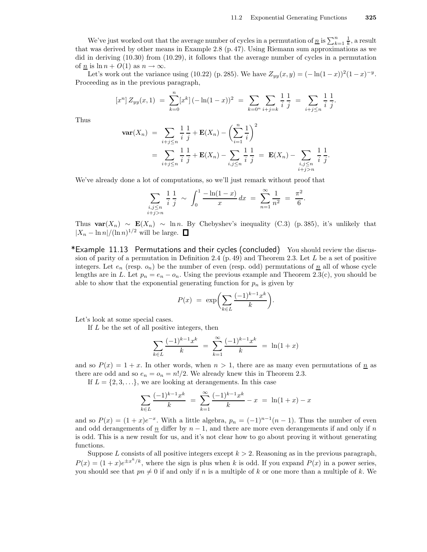.

We've just worked out that the average number of cycles in a permutation of  $\underline{n}$  is  $\sum_{k=1}^{n} \frac{1}{k}$ , a result that was derived by other means in Example 2.8 (p. 47). Using Riemann sum approximations as we did in deriving (10.30) from (10.29), it follows that the average number of cycles in a permutation of  $\underline{n}$  is  $\ln n + O(1)$  as  $n \to \infty$ .

Let's work out the variance using (10.22) (p. 285). We have  $Z_{yy}(x, y) = (-\ln(1-x))^2(1-x)^{-y}$ . Proceeding as in the previous paragraph,

$$
[x^n] Z_{yy}(x,1) = \sum_{k=0}^n [x^k] (-\ln(1-x))^2 = \sum_{k=0^n} \sum_{i+j=k} \frac{1}{i} \frac{1}{j} = \sum_{i+j \le n} \frac{1}{i} \frac{1}{j}.
$$

Thus

$$
\operatorname{var}(X_n) = \sum_{i+j \le n} \frac{1}{i} \frac{1}{j} + \mathbf{E}(X_n) - \left(\sum_{i=1}^n \frac{1}{i}\right)^2
$$
  
= 
$$
\sum_{i+j \le n} \frac{1}{i} \frac{1}{j} + \mathbf{E}(X_n) - \sum_{i,j \le n} \frac{1}{i} \frac{1}{j} = \mathbf{E}(X_n) - \sum_{\substack{i,j \le n \\ i+j > n}} \frac{1}{i} \frac{1}{j}.
$$

We've already done a lot of computations, so we'll just remark without proof that

$$
\sum_{\substack{i,j \le n \\ i+j > n}} \frac{1}{i} \frac{1}{j} \sim \int_0^1 \frac{-\ln(1-x)}{x} dx = \sum_{n=1}^\infty \frac{1}{n^2} = \frac{\pi^2}{6}
$$

Thus  $var(X_n) \sim E(X_n) \sim \ln n$ . By Chebyshev's inequality (C.3) (p. 385), it's unlikely that  $|X_n - \ln n|/(\ln n)^{1/2}$  will be large.

\*Example 11.13 Permutations and their cycles (concluded) You should review the discussion of parity of a permutation in Definition 2.4 (p. 49) and Theorem 2.3. Let  $L$  be a set of positive integers. Let  $e_n$  (resp.  $o_n$ ) be the number of even (resp. odd) permutations of  $\underline{n}$  all of whose cycle lengths are in L. Let  $p_n = e_n - o_n$ . Using the previous example and Theorem 2.3(c), you should be able to show that the exponential generating function for  $p_n$  is given by

$$
P(x) = \exp\left(\sum_{k \in L} \frac{(-1)^{k-1} x^k}{k}\right).
$$

Let's look at some special cases.

If L be the set of all positive integers, then

$$
\sum_{k \in L} \frac{(-1)^{k-1} x^k}{k} = \sum_{k=1}^{\infty} \frac{(-1)^{k-1} x^k}{k} = \ln(1+x)
$$

and so  $P(x) = 1 + x$ . In other words, when  $n > 1$ , there are as many even permutations of n as there are odd and so  $e_n = o_n = n!/2$ . We already knew this in Theorem 2.3.

If  $L = \{2, 3, \ldots\}$ , we are looking at derangements. In this case

$$
\sum_{k \in L} \frac{(-1)^{k-1} x^k}{k} = \sum_{k=1}^{\infty} \frac{(-1)^{k-1} x^k}{k} - x = \ln(1+x) - x
$$

and so  $P(x) = (1+x)e^{-x}$ . With a little algebra,  $p_n = (-1)^{n-1}(n-1)$ . Thus the number of even and odd derangements of  $\underline{n}$  differ by  $n-1$ , and there are more even derangements if and only if n is odd. This is a new result for us, and it's not clear how to go about proving it without generating functions.

Suppose L consists of all positive integers except  $k > 2$ . Reasoning as in the previous paragraph,  $P(x) = (1+x)e^{\pm x^{k}/k}$ , where the sign is plus when k is odd. If you expand  $P(x)$  in a power series, you should see that  $pn \neq 0$  if and only if n is a multiple of k or one more than a multiple of k. We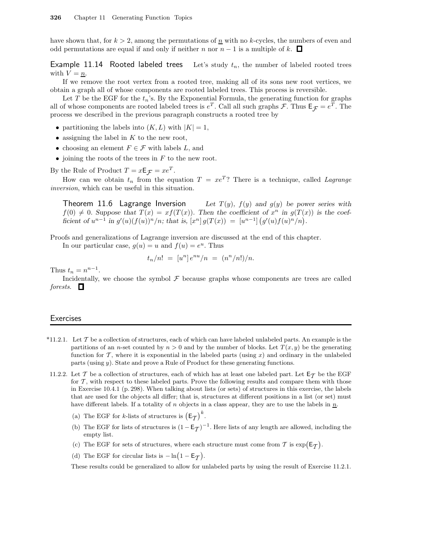have shown that, for  $k > 2$ , among the permutations of  $\underline{n}$  with no k-cycles, the numbers of even and odd permutations are equal if and only if neither n nor  $n-1$  is a multiple of k.  $\Box$ 

Example 11.14 Rooted labeled trees Let's study  $t_n$ , the number of labeled rooted trees with  $V = \underline{n}$ .

If we remove the root vertex from a rooted tree, making all of its sons new root vertices, we obtain a graph all of whose components are rooted labeled trees. This process is reversible.

Let T be the EGF for the  $t_n$ 's. By the Exponential Formula, the generating function for graphs all of whose components are rooted labeled trees is  $e^T$ . Call all such graphs  $\mathcal{F}$ . Thus  $E_{\mathcal{F}} = e^T$ . The process we described in the previous paragraph constructs a rooted tree by

- partitioning the labels into  $(K, L)$  with  $|K| = 1$ ,
- assigning the label in  $K$  to the new root,
- choosing an element  $F \in \mathcal{F}$  with labels L, and
- joining the roots of the trees in  $F$  to the new root.

By the Rule of Product  $T = xE_{\mathcal{F}} = xe^{T}$ .

How can we obtain  $t_n$  from the equation  $T = xe^{T}$ ? There is a technique, called *Lagrange* inversion, which can be useful in this situation.

**Theorem 11.6 Lagrange Inversion** Let  $T(y)$ ,  $f(y)$  and  $g(y)$  be power series with  $f(0) \neq 0$ . Suppose that  $T(x) = xf(T(x))$ . Then the coefficient of  $x^n$  in  $g(T(x))$  is the coefficient of  $u^{n-1}$  in  $g'(u)(f(u))^n/n$ ; that is,  $[x^n] g(T(x)) = [u^{n-1}] (g'(u)f(u)^n/n)$ .

Proofs and generalizations of Lagrange inversion are discussed at the end of this chapter.

In our particular case,  $g(u) = u$  and  $f(u) = e^u$ . Thus

$$
t_n/n! = [u^n] e^{nu}/n = (n^n/n!) / n.
$$

Thus  $t_n = n^{n-1}$ .

Incidentally, we choose the symbol  $\mathcal F$  because graphs whose components are trees are called forests.  $\Box$ 

#### **Exercises**

- $*11.2.1.$  Let  $\mathcal T$  be a collection of structures, each of which can have labeled unlabeled parts. An example is the partitions of an n-set counted by  $n > 0$  and by the number of blocks. Let  $T(x, y)$  be the generating function for T, where it is exponential in the labeled parts (using x) and ordinary in the unlabeled parts (using y). State and prove a Rule of Product for these generating functions.
- 11.2.2. Let  $\mathcal{T}$  be a collection of structures, each of which has at least one labeled part. Let  $E_{\mathcal{T}}$  be the EGF for  $\mathcal{T}$ , with respect to these labeled parts. Prove the following results and compare them with those in Exercise 10.4.1 (p. 298). When talking about lists (or sets) of structures in this exercise, the labels that are used for the objects all differ; that is, structures at different positions in a list (or set) must have different labels. If a totality of n objects in a class appear, they are to use the labels in  $\underline{n}$ .
	- (a) The EGF for *k*-lists of structures is  $(E_{\mathcal{T}})^k$ .
	- (b) The EGF for lists of structures is  $(1 \mathsf{E}_{\mathcal{T}})^{-1}$ . Here lists of any length are allowed, including the analysis of any length empty list.
	- (c) The EGF for sets of structures, where each structure must come from  $\mathcal{T}$  is  $\exp(\mathsf{E}_{\mathcal{T}})$ .
	- (d) The EGF for circular lists is  $-\ln(1 \mathsf{E}_{\mathcal{T}})$ .

These results could be generalized to allow for unlabeled parts by using the result of Exercise 11.2.1.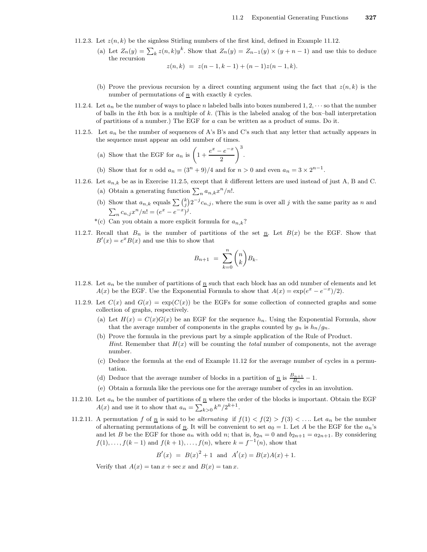- 11.2.3. Let  $z(n, k)$  be the signless Stirling numbers of the first kind, defined in Example 11.12.
	- (a) Let  $Z_n(y) = \sum_k z(n, k) y^k$ . Show that  $Z_n(y) = Z_{n-1}(y) \times (y + n 1)$  and use this to deduce the recursion

$$
z(n,k) = z(n-1,k-1) + (n-1)z(n-1,k).
$$

- (b) Prove the previous recursion by a direct counting argument using the fact that  $z(n, k)$  is the number of permutations of  $\underline{n}$  with exactly  $k$  cycles.
- 11.2.4. Let  $a_n$  be the number of ways to place n labeled balls into boxes numbered 1, 2,  $\dots$  so that the number of balls in the kth box is a multiple of k. (This is the labeled analog of the box–ball interpretation of partitions of a number.) The EGF for a can be written as a product of sums. Do it.
- 11.2.5. Let  $a_n$  be the number of sequences of A's B's and C's such that any letter that actually appears in the sequence must appear an odd number of times.
	- (a) Show that the EGF for  $a_n$  is  $\left(1+\frac{e^x-e^{-x}}{2}\right)$ 2  $\bigg)$ <sup>3</sup>.
	- (b) Show that for *n* odd  $a_n = (3^n + 9)/4$  and for  $n > 0$  and even  $a_n = 3 \times 2^{n-1}$ .
- 11.2.6. Let  $a_{n,k}$  be as in Exercise 11.2.5, except that k different letters are used instead of just A, B and C. (a) Obtain a generating function  $\sum_n a_{n,k}x^n/n!$ .
	- (b) Show that  $a_{n,k}$  equals  $\sum \binom{k}{j} 2^{-j} c_{n,j}$ , where the sum is over all j with the same parity as n and  $\sum_{n} c_{n,j} x^{n} / n! = (e^{x} - e^{-x})^{j}.$
	- \*(c) Can you obtain a more explicit formula for  $a_{n,k}$ ?
- 11.2.7. Recall that  $B_n$  is the number of partitions of the set  $\underline{n}$ . Let  $B(x)$  be the EGF. Show that  $B'(x) = e^x B(x)$  and use this to show that

$$
B_{n+1} = \sum_{k=0}^{n} {n \choose k} B_k.
$$

- 11.2.8. Let  $a_n$  be the number of partitions of  $\underline{n}$  such that each block has an odd number of elements and let  $A(x)$  be the EGF. Use the Exponential Formula to show that  $A(x) = \exp(e^x - e^{-x})/2$ .
- 11.2.9. Let  $C(x)$  and  $G(x) = \exp(C(x))$  be the EGFs for some collection of connected graphs and some collection of graphs, respectively.
	- (a) Let  $H(x) = C(x)G(x)$  be an EGF for the sequence  $h_n$ . Using the Exponential Formula, show that the average number of components in the graphs counted by  $g_n$  is  $h_n/g_n$ .
	- (b) Prove the formula in the previous part by a simple application of the Rule of Product. Hint. Remember that  $H(x)$  will be counting the *total* number of components, not the average number.
	- (c) Deduce the formula at the end of Example 11.12 for the average number of cycles in a permutation.
	- (d) Deduce that the average number of blocks in a partition of  $\underline{n}$  is  $\frac{B_{n+1}}{B_n}-1$ .
	- (e) Obtain a formula like the previous one for the average number of cycles in an involution.
- 11.2.10. Let  $a_n$  be the number of partitions of  $\underline{n}$  where the order of the blocks is important. Obtain the EGF  $A(x)$  and use it to show that  $a_n = \sum_{k>0} k^n/2^{k+1}$ .
- 11.2.11. A permutation f of  $\underline{n}$  is said to be *alternating* if  $f(1) < f(2) > f(3) < ...$  Let  $a_n$  be the number of alternating permutations of  $\underline{n}$ . It will be convenient to set  $a_0 = 1$ . Let A be the EGF for the  $a_n$ 's and let B be the EGF for those  $a_n$  with odd n; that is,  $b_{2n} = 0$  and  $b_{2n+1} = a_{2n+1}$ . By considering  $f(1),..., f(k-1)$  and  $f(k+1),..., f(n)$ , where  $k = f^{-1}(n)$ , show that

$$
B'(x) = B(x)^{2} + 1
$$
 and  $A'(x) = B(x)A(x) + 1$ .

Verify that  $A(x) = \tan x + \sec x$  and  $B(x) = \tan x$ .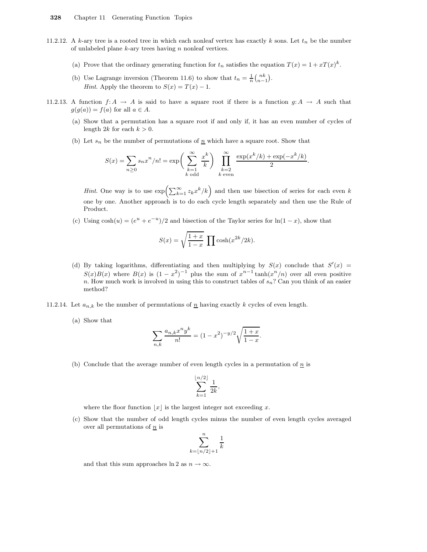- 11.2.12. A k-ary tree is a rooted tree in which each nonleaf vertex has exactly k sons. Let  $t_n$  be the number of unlabeled plane  $k$ -ary trees having  $n$  nonleaf vertices.
	- (a) Prove that the ordinary generating function for  $t_n$  satisfies the equation  $T(x) = 1 + xT(x)^k$ .
	- (b) Use Lagrange inversion (Theorem 11.6) to show that  $t_n = \frac{1}{n} {nk \choose n-1}$ . *Hint.* Apply the theorem to  $S(x) = T(x) - 1$ .
- 11.2.13. A function  $f: A \to A$  is said to have a square root if there is a function  $g: A \to A$  such that  $g(g(a)) = f(a)$  for all  $a \in A$ .
	- (a) Show that a permutation has a square root if and only if, it has an even number of cycles of length 2k for each  $k > 0$ .
	- (b) Let  $s_n$  be the number of permutations of  $\underline{n}$  which have a square root. Show that

$$
S(x) = \sum_{n\geq 0} s_n x^n/n! = \exp\left(\sum_{\substack{k=1 \ k \text{ odd}}}^{\infty} \frac{x^k}{k}\right) \prod_{\substack{k=2 \ k \text{ even}}}^{\infty} \frac{\exp(x^k/k) + \exp(-x^k/k)}{2}.
$$

*Hint*. One way is to use  $\exp\left(\sum_{k=1}^{\infty} z_k x^k / k\right)$  and then use bisection of series for each even k one by one. Another approach is to do each cycle length separately and then use the Rule of Product.

(c) Using  $cosh(u) = (e^u + e^{-u})/2$  and bisection of the Taylor series for  $ln(1-x)$ , show that

$$
S(x) = \sqrt{\frac{1+x}{1-x}} \prod \cosh(x^{2k}/2k).
$$

- (d) By taking logarithms, differentiating and then multiplying by  $S(x)$  conclude that  $S'(x)$  $S(x)B(x)$  where  $B(x)$  is  $(1-x^2)^{-1}$  plus the sum of  $x^{n-1} \tanh(x^n/n)$  over all even positive n. How much work is involved in using this to construct tables of  $s_n$ ? Can you think of an easier method?
- 11.2.14. Let  $a_{n,k}$  be the number of permutations of  $\underline{n}$  having exactly k cycles of even length.
	- (a) Show that

$$
\sum_{n,k} \frac{a_{n,k} x^n y^k}{n!} = (1 - x^2)^{-y/2} \sqrt{\frac{1+x}{1-x}}.
$$

(b) Conclude that the average number of even length cycles in a permutation of  $\underline{n}$  is

$$
\sum_{k=1}^{\lfloor n/2 \rfloor} \frac{1}{2k},
$$

where the floor function  $|x|$  is the largest integer not exceeding x.

(c) Show that the number of odd length cycles minus the number of even length cycles averaged over all permutations of  $\underline{n}$  is

$$
\sum_{k=\lfloor n/2\rfloor+1}^n \frac{1}{k}
$$

and that this sum approaches ln 2 as  $n \to \infty$ .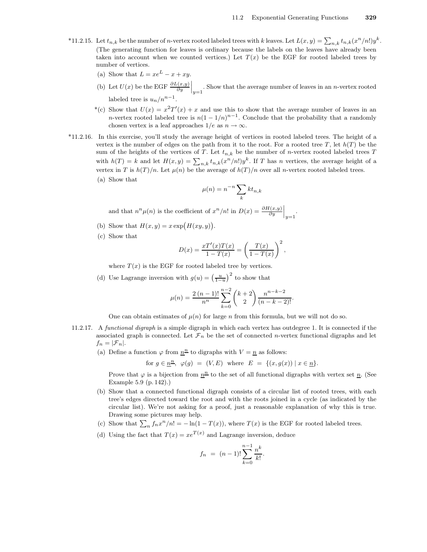- \*11.2.15. Let  $t_{n,k}$  be the number of *n*-vertex rooted labeled trees with *k* leaves. Let  $L(x,y) = \sum_{n,k} t_{n,k}(x^n/n!)y^k$ . (The generating function for leaves is ordinary because the labels on the leaves have already been taken into account when we counted vertices.) Let  $T(x)$  be the EGF for rooted labeled trees by number of vertices.
	- (a) Show that  $L = xe^L x + xy$ .
	- (b) Let  $U(x)$  be the EGF  $\frac{\partial L(x,y)}{\partial y}\Big|_{y=1}$ . Show that the average number of leaves in an *n*-vertex rooted labeled tree is  $u_n/n^{n-1}$ .
	- \*(c) Show that  $U(x) = x^2T'(x) + x$  and use this to show that the average number of leaves in an n-vertex rooted labeled tree is  $n(1 - 1/n)^{n-1}$ . Conclude that the probability that a randomly chosen vertex is a leaf approaches  $1/e$  as  $n \to \infty$ .
- \*11.2.16. In this exercise, you'll study the average height of vertices in rooted labeled trees. The height of a vertex is the number of edges on the path from it to the root. For a rooted tree T, let  $h(T)$  be the sum of the heights of the vertices of T. Let  $t_{n,k}$  be the number of *n*-vertex rooted labeled trees T with  $h(T) = k$  and let  $H(x, y) = \sum_{n,k} t_{n,k}(x^n/n!)y^k$ . If T has n vertices, the average height of a vertex in T is  $h(T)/n$ . Let  $\mu(n)$  be the average of  $h(T)/n$  over all n-vertex rooted labeled trees. (a) Show that

$$
\mu(n) = n^{-n} \sum_{k} k t_{n,k}
$$

and that  $n^n \mu(n)$  is the coefficient of  $x^n/n!$  in  $D(x) = \frac{\partial H(x,y)}{\partial y}\Big|_{y=1}$ .

- (b) Show that  $H(x, y) = x \exp(H(xy, y)).$
- (c) Show that

$$
D(x) = \frac{xT'(x)T(x)}{1 - T(x)} = \left(\frac{T(x)}{1 - T(x)}\right)^2,
$$

where  $T(x)$  is the EGF for rooted labeled tree by vertices.

(d) Use Lagrange inversion with  $g(u) = \left(\frac{u}{1-u}\right)^2$  to show that

$$
\mu(n) = \frac{2(n-1)!}{n^n} \sum_{k=0}^{n-2} {k+2 \choose 2} \frac{n^{n-k-2}}{(n-k-2)!}.
$$

One can obtain estimates of  $\mu(n)$  for large n from this formula, but we will not do so.

- 11.2.17. A functional digraph is a simple digraph in which each vertex has outdegree 1. It is connected if the associated graph is connected. Let  $\mathcal{F}_n$  be the set of connected *n*-vertex functional digraphs and let  $f_n = |\mathcal{F}_n|.$ 
	- (a) Define a function  $\varphi$  from  $\underline{n}^{\underline{n}}$  to digraphs with  $V = \underline{n}$  as follows:

for 
$$
g \in \underline{n^n}
$$
,  $\varphi(g) = (V, E)$  where  $E = \{(x, g(x)) \mid x \in \underline{n}\}$ .

Prove that  $\varphi$  is a bijection from  $n^{\underline{n}}$  to the set of all functional digraphs with vertex set  $n$ . (See Example 5.9 (p. 142).)

- (b) Show that a connected functional digraph consists of a circular list of rooted trees, with each tree's edges directed toward the root and with the roots joined in a cycle (as indicated by the circular list). We're not asking for a proof, just a reasonable explanation of why this is true. Drawing some pictures may help.
- (c) Show that  $\sum_n f_n x^n/n! = -\ln(1-T(x))$ , where  $T(x)$  is the EGF for rooted labeled trees.
- (d) Using the fact that  $T(x) = xe^{T(x)}$  and Lagrange inversion, deduce

$$
f_n = (n-1)! \sum_{k=0}^{n-1} \frac{n^k}{k!}
$$

.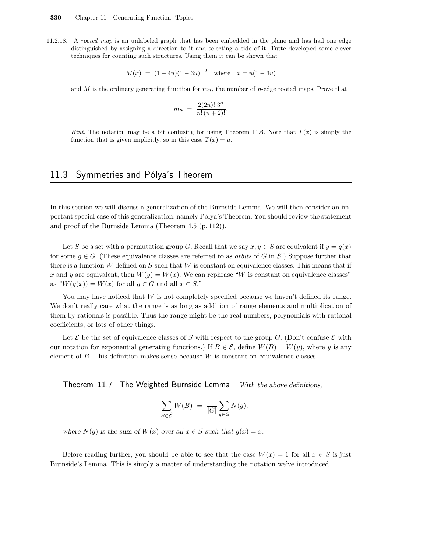11.2.18. A rooted map is an unlabeled graph that has been embedded in the plane and has had one edge distinguished by assigning a direction to it and selecting a side of it. Tutte developed some clever techniques for counting such structures. Using them it can be shown that

$$
M(x) = (1 - 4u)(1 - 3u)^{-2} \text{ where } x = u(1 - 3u)
$$

and  $M$  is the ordinary generating function for  $m_n$ , the number of n-edge rooted maps. Prove that

$$
m_n = \frac{2(2n)! \, 3^n}{n! \, (n+2)!}.
$$

Hint. The notation may be a bit confusing for using Theorem 11.6. Note that  $T(x)$  is simply the function that is given implicitly, so in this case  $T(x) = u$ .

## 11.3 Symmetries and Pólya's Theorem

In this section we will discuss a generalization of the Burnside Lemma. We will then consider an important special case of this generalization, namely Pólya's Theorem. You should review the statement and proof of the Burnside Lemma (Theorem 4.5 (p. 112)).

Let S be a set with a permutation group G. Recall that we say  $x, y \in S$  are equivalent if  $y = g(x)$ for some  $g \in G$ . (These equivalence classes are referred to as *orbits* of G in S.) Suppose further that there is a function W defined on  $S$  such that W is constant on equivalence classes. This means that if x and y are equivalent, then  $W(y) = W(x)$ . We can rephrase "W is constant on equivalence classes" as " $W(g(x)) = W(x)$  for all  $g \in G$  and all  $x \in S$ ."

You may have noticed that  $W$  is not completely specified because we haven't defined its range. We don't really care what the range is as long as addition of range elements and multiplication of them by rationals is possible. Thus the range might be the real numbers, polynomials with rational coefficients, or lots of other things.

Let  $\mathcal E$  be the set of equivalence classes of S with respect to the group G. (Don't confuse  $\mathcal E$  with our notation for exponential generating functions.) If  $B \in \mathcal{E}$ , define  $W(B) = W(y)$ , where y is any element of  $B$ . This definition makes sense because  $W$  is constant on equivalence classes.

Theorem 11.7 The Weighted Burnside Lemma With the above definitions,

$$
\sum_{B \in \mathcal{E}} W(B) = \frac{1}{|G|} \sum_{g \in G} N(g),
$$

where  $N(g)$  is the sum of  $W(x)$  over all  $x \in S$  such that  $g(x) = x$ .

Before reading further, you should be able to see that the case  $W(x) = 1$  for all  $x \in S$  is just Burnside's Lemma. This is simply a matter of understanding the notation we've introduced.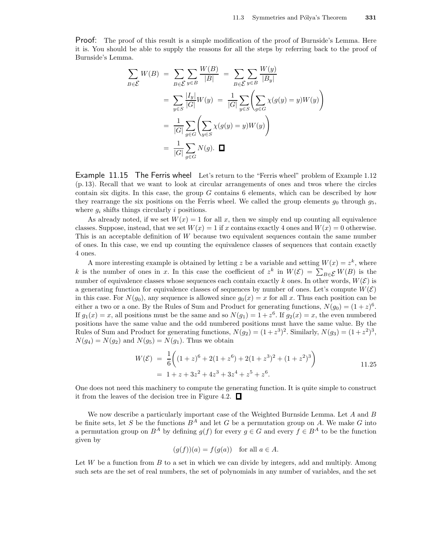Proof: The proof of this result is a simple modification of the proof of Burnside's Lemma. Here it is. You should be able to supply the reasons for all the steps by referring back to the proof of Burnside's Lemma.

$$
\sum_{B \in \mathcal{E}} W(B) = \sum_{B \in \mathcal{E}} \sum_{y \in B} \frac{W(B)}{|B|} = \sum_{B \in \mathcal{E}} \sum_{y \in B} \frac{W(y)}{|B_y|}
$$
  

$$
= \sum_{y \in S} \frac{|I_y|}{|G|} W(y) = \frac{1}{|G|} \sum_{y \in S} \left( \sum_{g \in G} \chi(g(y) = y) W(y) \right)
$$
  

$$
= \frac{1}{|G|} \sum_{g \in G} \left( \sum_{y \in S} \chi(g(y) = y) W(y) \right)
$$
  

$$
= \frac{1}{|G|} \sum_{g \in G} N(g). \quad \blacksquare
$$

Example 11.15 The Ferris wheel Let's return to the "Ferris wheel" problem of Example 1.12 (p. 13). Recall that we want to look at circular arrangements of ones and twos where the circles contain six digits. In this case, the group  $G$  contains 6 elements, which can be described by how they rearrange the six positions on the Ferris wheel. We called the group elements  $g_0$  through  $g_5$ , where  $g_i$  shifts things circularly i positions.

As already noted, if we set  $W(x) = 1$  for all x, then we simply end up counting all equivalence classes. Suppose, instead, that we set  $W(x) = 1$  if x contains exactly 4 ones and  $W(x) = 0$  otherwise. This is an acceptable definition of W because two equivalent sequences contain the same number of ones. In this case, we end up counting the equivalence classes of sequences that contain exactly 4 ones.

A more interesting example is obtained by letting z be a variable and setting  $W(x) = z<sup>k</sup>$ , where k is the number of ones in x. In this case the coefficient of  $z^k$  in  $W(\mathcal{E}) = \sum_{B \in \mathcal{E}} W(B)$  is the number of equivalence classes whose sequences each contain exactly k ones. In other words,  $W(\mathcal{E})$  is a generating function for equivalence classes of sequences by number of ones. Let's compute  $W(\mathcal{E})$ in this case. For  $N(g_0)$ , any sequence is allowed since  $g_0(x) = x$  for all x. Thus each position can be either a two or a one. By the Rules of Sum and Product for generating functions,  $N(g_0) = (1+z)^6$ . If  $g_1(x) = x$ , all positions must be the same and so  $N(g_1) = 1 + z^6$ . If  $g_2(x) = x$ , the even numbered positions have the same value and the odd numbered positions must have the same value. By the Rules of Sum and Product for generating functions,  $N(g_2) = (1+z^3)^2$ . Similarly,  $N(g_3) = (1+z^2)^3$ ,  $N(g_4) = N(g_2)$  and  $N(g_5) = N(g_1)$ . Thus we obtain

$$
W(\mathcal{E}) = \frac{1}{6} \left( (1+z)^6 + 2(1+z^6) + 2(1+z^3)^2 + (1+z^2)^3 \right)
$$
  
= 1 + z + 3z<sup>2</sup> + 4z<sup>3</sup> + 3z<sup>4</sup> + z<sup>5</sup> + z<sup>6</sup>.

One does not need this machinery to compute the generating function. It is quite simple to construct it from the leaves of the decision tree in Figure 4.2.  $\Box$ 

We now describe a particularly important case of the Weighted Burnside Lemma. Let A and B be finite sets, let S be the functions  $B^A$  and let G be a permutation group on A. We make G into a permutation group on  $B^A$  by defining  $g(f)$  for every  $g \in G$  and every  $f \in B^A$  to be the function given by

$$
(g(f))(a) = f(g(a)) \text{ for all } a \in A.
$$

Let  $W$  be a function from  $B$  to a set in which we can divide by integers, add and multiply. Among such sets are the set of real numbers, the set of polynomials in any number of variables, and the set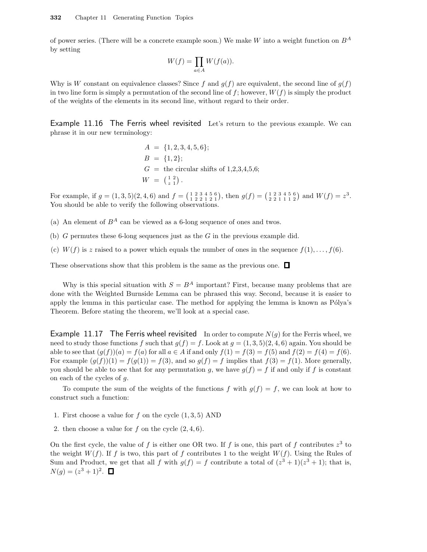of power series. (There will be a concrete example soon.) We make W into a weight function on  $B^A$ by setting

$$
W(f) = \prod_{a \in A} W(f(a)).
$$

Why is W constant on equivalence classes? Since f and  $g(f)$  are equivalent, the second line of  $g(f)$ in two line form is simply a permutation of the second line of  $f$ ; however,  $W(f)$  is simply the product of the weights of the elements in its second line, without regard to their order.

Example 11.16 The Ferris wheel revisited Let's return to the previous example. We can phrase it in our new terminology:

$$
A = \{1, 2, 3, 4, 5, 6\};
$$
  
\n
$$
B = \{1, 2\};
$$
  
\n
$$
G = \text{the circular shifts of } 1, 2, 3, 4, 5, 6;
$$
  
\n
$$
W = \left(\frac{1}{z}\right).
$$

For example, if  $g = (1, 3, 5)(2, 4, 6)$  and  $f = \begin{pmatrix} 1 & 2 & 3 & 4 & 5 & 6 \\ 1 & 2 & 2 & 1 & 2 & 1 \end{pmatrix}$ , then  $g(f) = \begin{pmatrix} 1 & 2 & 3 & 4 & 5 & 6 \\ 2 & 2 & 1 & 1 & 1 & 2 \end{pmatrix}$  and  $W(f) = z^3$ . You should be able to verify the following observations.

(a) An element of  $B^A$  can be viewed as a 6-long sequence of ones and twos.

- (b)  $G$  permutes these 6-long sequences just as the  $G$  in the previous example did.
- (c)  $W(f)$  is z raised to a power which equals the number of ones in the sequence  $f(1), \ldots, f(6)$ .

These observations show that this problem is the same as the previous one.  $\Box$ 

Why is this special situation with  $S = B<sup>A</sup>$  important? First, because many problems that are done with the Weighted Burnside Lemma can be phrased this way. Second, because it is easier to apply the lemma in this particular case. The method for applying the lemma is known as Pólya's Theorem. Before stating the theorem, we'll look at a special case.

**Example 11.17 The Ferris wheel revisited** In order to compute  $N(q)$  for the Ferris wheel, we need to study those functions f such that  $g(f) = f$ . Look at  $g = (1, 3, 5)(2, 4, 6)$  again. You should be able to see that  $(g(f))(a) = f(a)$  for all  $a \in A$  if and only  $f(1) = f(3) = f(5)$  and  $f(2) = f(4) = f(6)$ . For example  $(g(f))(1) = f(g(1)) = f(3)$ , and so  $g(f) = f$  implies that  $f(3) = f(1)$ . More generally, you should be able to see that for any permutation q, we have  $q(f) = f$  if and only if f is constant on each of the cycles of g.

To compute the sum of the weights of the functions f with  $g(f) = f$ , we can look at how to construct such a function:

- 1. First choose a value for f on the cycle  $(1,3,5)$  AND
- 2. then choose a value for f on the cycle  $(2, 4, 6)$ .

On the first cycle, the value of f is either one OR two. If f is one, this part of f contributes  $z^3$  to the weight  $W(f)$ . If f is two, this part of f contributes 1 to the weight  $W(f)$ . Using the Rules of Sum and Product, we get that all f with  $g(f) = f$  contribute a total of  $(z^3 + 1)(z^3 + 1)$ ; that is,  $N(g) = (z^3 + 1)^2$ .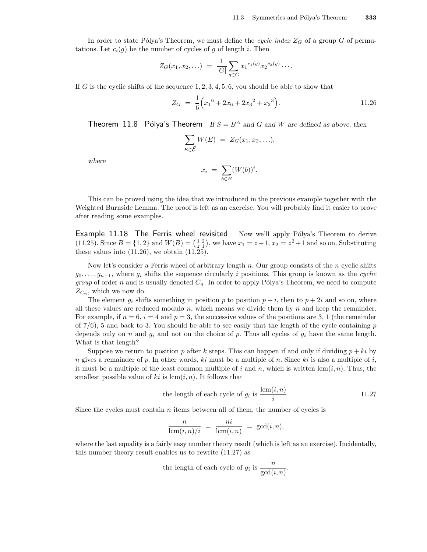In order to state Pólya's Theorem, we must define the cycle index  $Z_G$  of a group G of permutations. Let  $c_i(g)$  be the number of cycles of g of length i. Then

$$
Z_G(x_1, x_2,...) = \frac{1}{|G|} \sum_{g \in G} x_1^{c_1(g)} x_2^{c_2(g)} \cdots
$$

If G is the cyclic shifts of the sequence  $1, 2, 3, 4, 5, 6$ , you should be able to show that

$$
Z_G = \frac{1}{6} \left( x_1^6 + 2x_6 + 2x_3^2 + x_2^3 \right).
$$
 11.26

Theorem 11.8 Pólya's Theorem If  $S = B<sup>A</sup>$  and G and W are defined as above, then

$$
\sum_{E \in \mathcal{E}} W(E) = Z_G(x_1, x_2, \ldots),
$$

where

$$
x_i = \sum_{b \in B} (W(b))^i.
$$

This can be proved using the idea that we introduced in the previous example together with the Weighted Burnside Lemma. The proof is left as an exercise. You will probably find it easier to prove after reading some examples.

**Example 11.18** The Ferris wheel revisited Now we'll apply Pólya's Theorem to derive (11.25). Since  $B = \{1, 2\}$  and  $W(B) = \begin{pmatrix} 1 & 2 \\ z & 1 \end{pmatrix}$ , we have  $x_1 = z + 1$ ,  $x_2 = z^2 + 1$  and so on. Substituting these values into  $(11.26)$ , we obtain  $(11.25)$ .

Now let's consider a Ferris wheel of arbitrary length n. Our group consists of the n cyclic shifts  $g_0, \ldots, g_{n-1}$ , where  $g_i$  shifts the sequence circularly i positions. This group is known as the cyclic *group* of order n and is usually denoted  $C_n$ . In order to apply Pólya's Theorem, we need to compute  $Z_{C_n}$ , which we now do.

The element  $q_i$  shifts something in position p to position  $p + i$ , then to  $p + 2i$  and so on, where all these values are reduced modulo  $n$ , which means we divide them by  $n$  and keep the remainder. For example, if  $n = 6$ ,  $i = 4$  and  $p = 3$ , the successive values of the positions are 3, 1 (the remainder of  $7/6$ , 5 and back to 3. You should be able to see easily that the length of the cycle containing p depends only on n and  $g_i$  and not on the choice of p. Thus all cycles of  $g_i$  have the same length. What is that length?

Suppose we return to position p after k steps. This can happen if and only if dividing  $p + ki$  by n gives a remainder of p. In other words, ki must be a multiple of n. Since ki is also a multiple of i, it must be a multiple of the least common multiple of i and n, which is written  $lcm(i, n)$ . Thus, the smallest possible value of ki is  $\text{lcm}(i, n)$ . It follows that

the length of each cycle of 
$$
g_i
$$
 is  $\frac{\text{lcm}(i, n)}{i}$ . 11.27

Since the cycles must contain  $n$  items between all of them, the number of cycles is

$$
\frac{n}{\text{lcm}(i,n)/i} = \frac{ni}{\text{lcm}(i,n)} = \text{gcd}(i,n),
$$

where the last equality is a fairly easy number theory result (which is left as an exercise). Incidentally, this number theory result enables us to rewrite (11.27) as

the length of each cycle of 
$$
g_i
$$
 is  $\frac{n}{\gcd(i, n)}$ .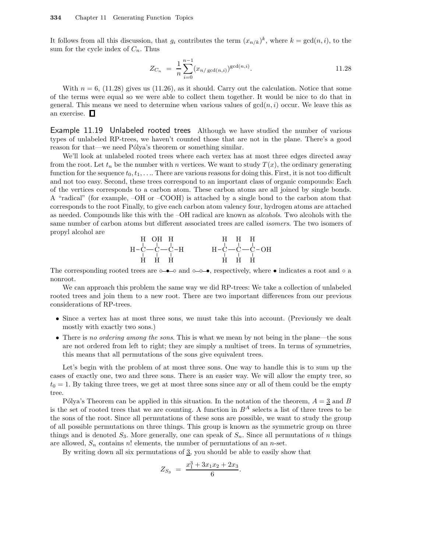It follows from all this discussion, that  $g_i$  contributes the term  $(x_{n/k})^k$ , where  $k = \gcd(n, i)$ , to the sum for the cycle index of  $C_n$ . Thus

$$
Z_{C_n} = \frac{1}{n} \sum_{i=0}^{n-1} (x_{n/\gcd(n,i)})^{\gcd(n,i)}.
$$
 11.28

With  $n = 6$ , (11.28) gives us (11.26), as it should. Carry out the calculation. Notice that some of the terms were equal so we were able to collect them together. It would be nice to do that in general. This means we need to determine when various values of  $gcd(n, i)$  occur. We leave this as an exercise.  $\square$ 

Example 11.19 Unlabeled rooted trees Although we have studied the number of various types of unlabeled RP-trees, we haven't counted those that are not in the plane. There's a good reason for that—we need Pólya's theorem or something similar.

We'll look at unlabeled rooted trees where each vertex has at most three edges directed away from the root. Let  $t_n$  be the number with n vertices. We want to study  $T(x)$ , the ordinary generating function for the sequence  $t_0, t_1, \ldots$ . There are various reasons for doing this. First, it is not too difficult and not too easy. Second, these trees correspond to an important class of organic compounds: Each of the vertices corresponds to a carbon atom. These carbon atoms are all joined by single bonds. A "radical" (for example, –OH or –COOH) is attached by a single bond to the carbon atom that corresponds to the root Finally, to give each carbon atom valency four, hydrogen atoms are attached as needed. Compounds like this with the –OH radical are known as alcohols. Two alcohols with the same number of carbon atoms but different associated trees are called isomers. The two isomers of propyl alcohol are

$$
\begin{array}{cccc}\nH & OH & H & H & H & H \\
H & -C & -C & -H & & H & -C & -C & -OH \\
H & H & H & H & & H & H \\
H & H & H & H & & H & H\n\end{array}
$$

The corresponding rooted trees are  $\circ$   $\bullet$   $\circ$  and  $\circ$   $\circ$  and  $\circ$   $\bullet$ , respectively, where  $\bullet$  indicates a root and  $\circ$  a nonroot.

We can approach this problem the same way we did RP-trees: We take a collection of unlabeled rooted trees and join them to a new root. There are two important differences from our previous considerations of RP-trees.

- Since a vertex has at most three sons, we must take this into account. (Previously we dealt mostly with exactly two sons.)
- There is no ordering among the sons. This is what we mean by not being in the plane—the sons are not ordered from left to right; they are simply a multiset of trees. In terms of symmetries, this means that all permutations of the sons give equivalent trees.

Let's begin with the problem of at most three sons. One way to handle this is to sum up the cases of exactly one, two and three sons. There is an easier way. We will allow the empty tree, so  $t_0 = 1$ . By taking three trees, we get at most three sons since any or all of them could be the empty tree.

Pólya's Theorem can be applied in this situation. In the notation of the theorem,  $A = 3$  and B is the set of rooted trees that we are counting. A function in  $B^A$  selects a list of three trees to be the sons of the root. Since all permutations of these sons are possible, we want to study the group of all possible permutations on three things. This group is known as the symmetric group on three things and is denoted  $S_3$ . More generally, one can speak of  $S_n$ . Since all permutations of n things are allowed,  $S_n$  contains n! elements, the number of permutations of an n-set.

By writing down all six permutations of  $3$ , you should be able to easily show that

$$
Z_{S_3} = \frac{x_1^3 + 3x_1x_2 + 2x_3}{6}.
$$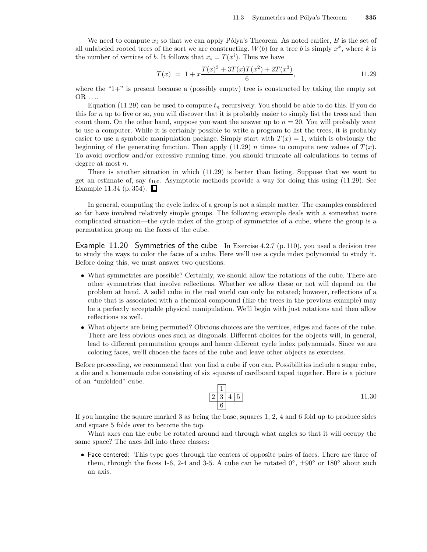We need to compute  $x_i$  so that we can apply Pólya's Theorem. As noted earlier, B is the set of all unlabeled rooted trees of the sort we are constructing.  $W(b)$  for a tree b is simply  $x^k$ , where k is the number of vertices of b. It follows that  $x_i = T(x^i)$ . Thus we have

$$
T(x) = 1 + x \frac{T(x)^3 + 3T(x)T(x^2) + 2T(x^3)}{6},
$$
 11.29

where the " $1+$ " is present because a (possibly empty) tree is constructed by taking the empty set OR . . ..

Equation (11.29) can be used to compute  $t_n$  recursively. You should be able to do this. If you do this for  $n$  up to five or so, you will discover that it is probably easier to simply list the trees and then count them. On the other hand, suppose you want the answer up to  $n = 20$ . You will probably want to use a computer. While it is certainly possible to write a program to list the trees, it is probably easier to use a symbolic manipulation package. Simply start with  $T(x) = 1$ , which is obviously the beginning of the generating function. Then apply (11.29) *n* times to compute new values of  $T(x)$ . To avoid overflow and/or excessive running time, you should truncate all calculations to terms of degree at most n.

There is another situation in which (11.29) is better than listing. Suppose that we want to get an estimate of, say  $t_{100}$ . Asymptotic methods provide a way for doing this using (11.29). See Example 11.34 (p. 354).  $\Box$ 

In general, computing the cycle index of a group is not a simple matter. The examples considered so far have involved relatively simple groups. The following example deals with a somewhat more complicated situation—the cycle index of the group of symmetries of a cube, where the group is a permutation group on the faces of the cube.

**Example 11.20 Symmetries of the cube** In Exercise 4.2.7 (p. 110), you used a decision tree to study the ways to color the faces of a cube. Here we'll use a cycle index polynomial to study it. Before doing this, we must answer two questions:

- What symmetries are possible? Certainly, we should allow the rotations of the cube. There are other symmetries that involve reflections. Whether we allow these or not will depend on the problem at hand. A solid cube in the real world can only be rotated; however, reflections of a cube that is associated with a chemical compound (like the trees in the previous example) may be a perfectly acceptable physical manipulation. We'll begin with just rotations and then allow reflections as well.
- What objects are being permuted? Obvious choices are the vertices, edges and faces of the cube. There are less obvious ones such as diagonals. Different choices for the objects will, in general, lead to different permutation groups and hence different cycle index polynomials. Since we are coloring faces, we'll choose the faces of the cube and leave other objects as exercises.

Before proceeding, we recommend that you find a cube if you can. Possibilities include a sugar cube, a die and a homemade cube consisting of six squares of cardboard taped together. Here is a picture of an "unfolded" cube.



If you imagine the square marked 3 as being the base, squares 1, 2, 4 and 6 fold up to produce sides and square 5 folds over to become the top.

What axes can the cube be rotated around and through what angles so that it will occupy the same space? The axes fall into three classes:

• Face centered: This type goes through the centers of opposite pairs of faces. There are three of them, through the faces 1-6, 2-4 and 3-5. A cube can be rotated  $0^{\circ}$ ,  $\pm 90^{\circ}$  or  $180^{\circ}$  about such an axis.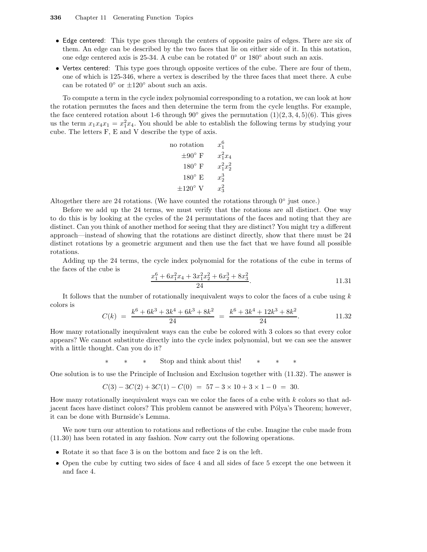- Edge centered: This type goes through the centers of opposite pairs of edges. There are six of them. An edge can be described by the two faces that lie on either side of it. In this notation, one edge centered axis is 25-34. A cube can be rotated  $0°$  or  $180°$  about such an axis.
- Vertex centered: This type goes through opposite vertices of the cube. There are four of them, one of which is 125-346, where a vertex is described by the three faces that meet there. A cube can be rotated  $0°$  or  $\pm 120°$  about such an axis.

To compute a term in the cycle index polynomial corresponding to a rotation, we can look at how the rotation permutes the faces and then determine the term from the cycle lengths. For example, the face centered rotation about 1-6 through 90 $\degree$  gives the permutation (1)(2, 3, 4, 5)(6). This gives us the term  $x_1x_4x_1 = x_1^2x_4$ . You should be able to establish the following terms by studying your cube. The letters F, E and V describe the type of axis.

no rotation  
\n
$$
\pm 90^{\circ} \text{ F}
$$
  $x_1^2 x_4$   
\n $180^{\circ} \text{ F}$   $x_1^2 x_2^2$   
\n $180^{\circ} \text{ E}$   $x_2^3$   
\n $\pm 120^{\circ} \text{ V}$   $x_3^2$ 

Altogether there are 24 rotations. (We have counted the rotations through  $0°$  just once.)

Before we add up the 24 terms, we must verify that the rotations are all distinct. One way to do this is by looking at the cycles of the 24 permutations of the faces and noting that they are distinct. Can you think of another method for seeing that they are distinct? You might try a different approach—instead of showing that the rotations are distinct directly, show that there must be 24 distinct rotations by a geometric argument and then use the fact that we have found all possible rotations.

Adding up the 24 terms, the cycle index polynomial for the rotations of the cube in terms of the faces of the cube is

$$
\frac{x_1^6 + 6x_1^2x_4 + 3x_1^2x_2^2 + 6x_2^3 + 8x_3^2}{24}.
$$
 11.31

It follows that the number of rotationally inequivalent ways to color the faces of a cube using  $k$ colors is

$$
C(k) = \frac{k^6 + 6k^3 + 3k^4 + 6k^3 + 8k^2}{24} = \frac{k^6 + 3k^4 + 12k^3 + 8k^2}{24}.
$$
 11.32

How many rotationally inequivalent ways can the cube be colored with 3 colors so that every color appears? We cannot substitute directly into the cycle index polynomial, but we can see the answer with a little thought. Can you do it?

∗ ∗ ∗ Stop and think about this! ∗ ∗ ∗

One solution is to use the Principle of Inclusion and Exclusion together with (11.32). The answer is

$$
C(3) - 3C(2) + 3C(1) - C(0) = 57 - 3 \times 10 + 3 \times 1 - 0 = 30.
$$

How many rotationally inequivalent ways can we color the faces of a cube with k colors so that adjacent faces have distinct colors? This problem cannot be answered with P´olya's Theorem; however, it can be done with Burnside's Lemma.

We now turn our attention to rotations and reflections of the cube. Imagine the cube made from (11.30) has been rotated in any fashion. Now carry out the following operations.

- Rotate it so that face 3 is on the bottom and face 2 is on the left.
- Open the cube by cutting two sides of face 4 and all sides of face 5 except the one between it and face 4.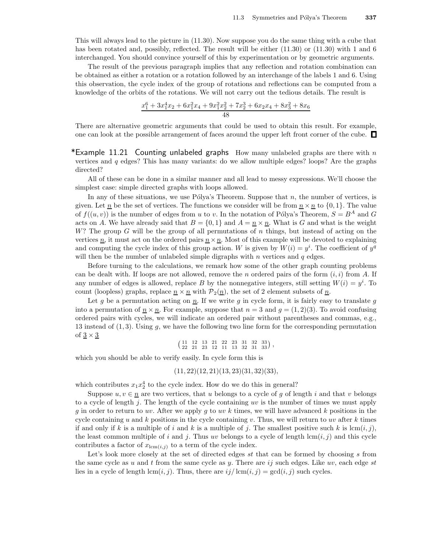This will always lead to the picture in (11.30). Now suppose you do the same thing with a cube that has been rotated and, possibly, reflected. The result will be either  $(11.30)$  or  $(11.30)$  with 1 and 6 interchanged. You should convince yourself of this by experimentation or by geometric arguments.

The result of the previous paragraph implies that any reflection and rotation combination can be obtained as either a rotation or a rotation followed by an interchange of the labels 1 and 6. Using this observation, the cycle index of the group of rotations and reflections can be computed from a knowledge of the orbits of the rotations. We will not carry out the tedious details. The result is

$$
\frac{x_1^6 + 3x_1^4x_2 + 6x_1^2x_4 + 9x_1^2x_2^2 + 7x_2^3 + 6x_2x_4 + 8x_3^2 + 8x_6}{48}
$$

There are alternative geometric arguments that could be used to obtain this result. For example, one can look at the possible arrangement of faces around the upper left front corner of the cube.  $\Box$ 

\*Example 11.21 Counting unlabeled graphs How many unlabeled graphs are there with  $n$ vertices and  $q$  edges? This has many variants: do we allow multiple edges? loops? Are the graphs directed?

All of these can be done in a similar manner and all lead to messy expressions. We'll choose the simplest case: simple directed graphs with loops allowed.

In any of these situations, we use Pólya's Theorem. Suppose that  $n$ , the number of vertices, is given. Let  $\underline{n}$  be the set of vertices. The functions we consider will be from  $\underline{n} \times \underline{n}$  to  $\{0, 1\}$ . The value of  $f((u, v))$  is the number of edges from u to v. In the notation of Pólya's Theorem,  $S = B<sup>A</sup>$  and G acts on A. We have already said that  $B = \{0, 1\}$  and  $A = n \times n$ . What is G and what is the weight W? The group G will be the group of all permutations of n things, but instead of acting on the vertices  $n_i$ , it must act on the ordered pairs  $n \times n$ . Most of this example will be devoted to explaining and computing the cycle index of this group action. W is given by  $W(i) = y^i$ . The coefficient of  $y^q$ will then be the number of unlabeled simple digraphs with  $n$  vertices and  $q$  edges.

Before turning to the calculations, we remark how some of the other graph counting problems can be dealt with. If loops are not allowed, remove the n ordered pairs of the form  $(i, i)$  from A. If any number of edges is allowed, replace B by the nonnegative integers, still setting  $W(i) = y<sup>i</sup>$ . To count (loopless) graphs, replace  $\underline{n} \times \underline{n}$  with  $\mathcal{P}_2(n)$ , the set of 2 element subsets of  $\underline{n}$ .

Let g be a permutation acting on  $\underline{n}$ . If we write g in cycle form, it is fairly easy to translate g into a permutation of  $\underline{n} \times \underline{n}$ . For example, suppose that  $n = 3$  and  $g = (1, 2)(3)$ . To avoid confusing ordered pairs with cycles, we will indicate an ordered pair without parentheses and commas, e.g., 13 instead of  $(1, 3)$ . Using q, we have the following two line form for the corresponding permutation of  $3 \times 3$ 

 $\left(\begin{array}{cccccc} 11 & 12 & 13 & 21 & 22 & 23 & 31 & 32 & 33 \\ 22 & 21 & 23 & 12 & 11 & 13 & 32 & 31 & 33 \end{array}\right),$ 

which you should be able to verify easily. In cycle form this is

 $(11, 22)(12, 21)(13, 23)(31, 32)(33),$ 

which contributes  $x_1x_2^4$  to the cycle index. How do we do this in general?

Suppose  $u, v \in \underline{n}$  are two vertices, that u belongs to a cycle of g of length i and that v belongs to a cycle of length j. The length of the cycle containing uv is the number of times we must apply g in order to return to uv. After we apply g to uv k times, we will have advanced k positions in the cycle containing u and k positions in the cycle containing v. Thus, we will return to uv after k times if and only if k is a multiple of i and k is a multiple of j. The smallest positive such k is  $lcm(i, j)$ , the least common multiple of i and j. Thus uv belongs to a cycle of length  $lcm(i, j)$  and this cycle contributes a factor of  $x_{\text{lcm}(i,j)}$  to a term of the cycle index.

Let's look more closely at the set of directed edges st that can be formed by choosing s from the same cycle as u and t from the same cycle as y. There are  $ij$  such edges. Like uv, each edge st lies in a cycle of length lcm(i, j). Thus, there are  $ij/\text{lcm}(i, j) = \text{gcd}(i, j)$  such cycles.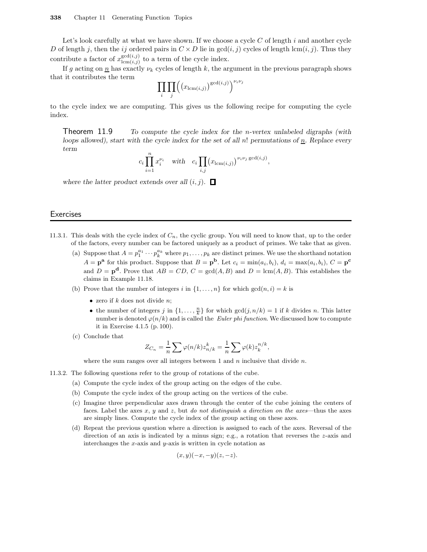Let's look carefully at what we have shown. If we choose a cycle  $C$  of length i and another cycle D of length j, then the ij ordered pairs in  $C \times D$  lie in  $gcd(i, j)$  cycles of length lcm $(i, j)$ . Thus they contribute a factor of  $x_{lcm}(i,j)$  $\lim_{i \to i,j}$  to a term of the cycle index.

If g acting on  $\underline{n}$  has exactly  $\nu_k$  cycles of length k, the argument in the previous paragraph shows that it contributes the term

$$
\prod_i \prod_j \left( \left( x_{\mathrm{lcm}(i,j)} \right)^{\mathrm{gcd}(i,j)} \right)^{\nu_i \nu_j}
$$

to the cycle index we are computing. This gives us the following recipe for computing the cycle index.

**Theorem 11.9** To compute the cycle index for the n-vertex unlabeled digraphs (with loops allowed), start with the cycle index for the set of all n! permutations of  $\underline{n}$ . Replace every term

$$
c_i \prod_{i=1}^n x_i^{\nu_i} \quad \text{with} \quad c_i \prod_{i,j} (x_{\text{lcm}(i,j)})^{\nu_i \nu_j} \text{gcd}(i,j),
$$

where the latter product extends over all  $(i, j)$ .  $\Box$ 

### **Exercises**

- 11.3.1. This deals with the cycle index of  $C_n$ , the cyclic group. You will need to know that, up to the order of the factors, every number can be factored uniquely as a product of primes. We take that as given.
	- (a) Suppose that  $A = p_1^{a_1} \cdots p_k^{a_k}$  where  $p_1, \ldots, p_k$  are distinct primes. We use the shorthand notation  $A = \mathbf{p}^{\mathbf{a}}$  for this product. Suppose that  $B = \mathbf{p}^{\mathbf{b}}$ . Let  $c_i = \min(a_i, b_i)$ ,  $d_i = \max(a_i, b_i)$ ,  $C = \mathbf{p}^{\mathbf{c}}$ and  $D = \mathbf{p}^{\mathbf{d}}$ . Prove that  $AB = CD, C = \text{gcd}(A, B)$  and  $D = \text{lcm}(A, B)$ . This establishes the claims in Example 11.18.
	- (b) Prove that the number of integers i in  $\{1, \ldots, n\}$  for which  $gcd(n, i) = k$  is
		- zero if  $k$  does not divide  $n$ ;
		- the number of integers j in  $\{1, \ldots, \frac{n}{k}\}\$  for which  $gcd(j, n/k) = 1$  if k divides n. This latter number is denoted  $\varphi(n/k)$  and is called the *Euler phi function*. We discussed how to compute it in Exercise 4.1.5 (p. 100).
	- (c) Conclude that

$$
Z_{C_n} = \frac{1}{n} \sum \varphi(n/k) z_{n/k}^k = \frac{1}{n} \sum \varphi(k) z_k^{n/k},
$$

where the sum ranges over all integers between 1 and  $n$  inclusive that divide  $n$ .

- 11.3.2. The following questions refer to the group of rotations of the cube.
	- (a) Compute the cycle index of the group acting on the edges of the cube.
	- (b) Compute the cycle index of the group acting on the vertices of the cube.
	- (c) Imagine three perpendicular axes drawn through the center of the cube joining the centers of faces. Label the axes  $x, y$  and  $z$ , but do not distinguish a direction on the axes—thus the axes are simply lines. Compute the cycle index of the group acting on these axes.
	- (d) Repeat the previous question where a direction is assigned to each of the axes. Reversal of the direction of an axis is indicated by a minus sign; e.g., a rotation that reverses the  $z$ -axis and interchanges the x-axis and  $y$ -axis is written in cycle notation as

$$
(x,y)(-x,-y)(z,-z).
$$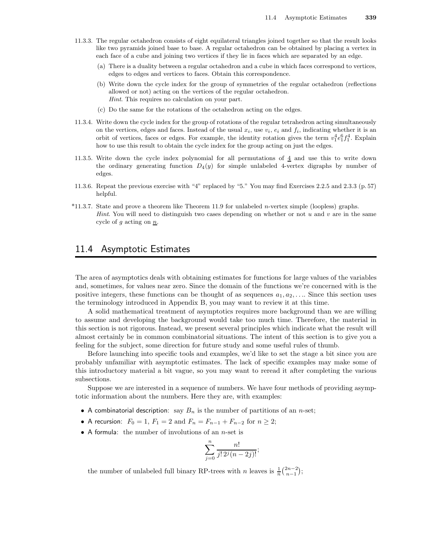- 11.3.3. The regular octahedron consists of eight equilateral triangles joined together so that the result looks like two pyramids joined base to base. A regular octahedron can be obtained by placing a vertex in each face of a cube and joining two vertices if they lie in faces which are separated by an edge.
	- (a) There is a duality between a regular octahedron and a cube in which faces correspond to vertices, edges to edges and vertices to faces. Obtain this correspondence.
	- (b) Write down the cycle index for the group of symmetries of the regular octahedron (reflections allowed or not) acting on the vertices of the regular octahedron. Hint. This requires no calculation on your part.
	- (c) Do the same for the rotations of the octahedron acting on the edges.
- 11.3.4. Write down the cycle index for the group of rotations of the regular tetrahedron acting simultaneously on the vertices, edges and faces. Instead of the usual  $x_i$ , use  $v_i$ ,  $e_i$  and  $f_i$ , indicating whether it is an orbit of vertices, faces or edges. For example, the identity rotation gives the term  $v_1^4e_1^6f_1^4$ . Explain how to use this result to obtain the cycle index for the group acting on just the edges.
- 11.3.5. Write down the cycle index polynomial for all permutations of 4 and use this to write down the ordinary generating function  $D_4(y)$  for simple unlabeled 4-vertex digraphs by number of edges.
- 11.3.6. Repeat the previous exercise with "4" replaced by "5." You may find Exercises 2.2.5 and 2.3.3 (p. 57) helpful.
- \*11.3.7. State and prove a theorem like Theorem 11.9 for unlabeled n-vertex simple (loopless) graphs. *Hint*. You will need to distinguish two cases depending on whether or not  $u$  and  $v$  are in the same cycle of g acting on  $n$ .

## 11.4 Asymptotic Estimates

The area of asymptotics deals with obtaining estimates for functions for large values of the variables and, sometimes, for values near zero. Since the domain of the functions we're concerned with is the positive integers, these functions can be thought of as sequences  $a_1, a_2, \ldots$ . Since this section uses the terminology introduced in Appendix B, you may want to review it at this time.

A solid mathematical treatment of asymptotics requires more background than we are willing to assume and developing the background would take too much time. Therefore, the material in this section is not rigorous. Instead, we present several principles which indicate what the result will almost certainly be in common combinatorial situations. The intent of this section is to give you a feeling for the subject, some direction for future study and some useful rules of thumb.

Before launching into specific tools and examples, we'd like to set the stage a bit since you are probably unfamiliar with asymptotic estimates. The lack of specific examples may make some of this introductory material a bit vague, so you may want to reread it after completing the various subsections.

Suppose we are interested in a sequence of numbers. We have four methods of providing asymptotic information about the numbers. Here they are, with examples:

- A combinatorial description: say  $B_n$  is the number of partitions of an *n*-set;
- A recursion:  $F_0 = 1$ ,  $F_1 = 2$  and  $F_n = F_{n-1} + F_{n-2}$  for  $n \ge 2$ ;
- A formula: the number of involutions of an  $n$ -set is

$$
\sum_{j=0}^{n} \frac{n!}{j! \, 2^j (n-2j)!};
$$

the number of unlabeled full binary RP-trees with *n* leaves is  $\frac{1}{n} {2n-2 \choose n-1}$ ;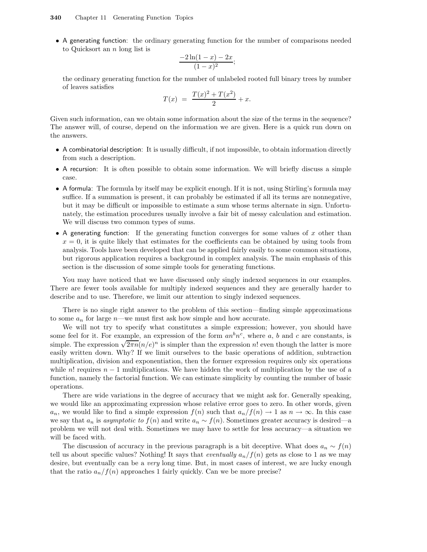• A generating function: the ordinary generating function for the number of comparisons needed to Quicksort an  $n \log$  list is

$$
\frac{-2\ln(1-x) - 2x}{(1-x)^2};
$$

the ordinary generating function for the number of unlabeled rooted full binary trees by number of leaves satisfies

$$
T(x) = \frac{T(x)^2 + T(x^2)}{2} + x.
$$

Given such information, can we obtain some information about the size of the terms in the sequence? The answer will, of course, depend on the information we are given. Here is a quick run down on the answers.

- A combinatorial description: It is usually difficult, if not impossible, to obtain information directly from such a description.
- A recursion: It is often possible to obtain some information. We will briefly discuss a simple case.
- A formula: The formula by itself may be explicit enough. If it is not, using Stirling's formula may suffice. If a summation is present, it can probably be estimated if all its terms are nonnegative, but it may be difficult or impossible to estimate a sum whose terms alternate in sign. Unfortunately, the estimation procedures usually involve a fair bit of messy calculation and estimation. We will discuss two common types of sums.
- A generating function: If the generating function converges for some values of x other than  $x = 0$ , it is quite likely that estimates for the coefficients can be obtained by using tools from analysis. Tools have been developed that can be applied fairly easily to some common situations, but rigorous application requires a background in complex analysis. The main emphasis of this section is the discussion of some simple tools for generating functions.

You may have noticed that we have discussed only singly indexed sequences in our examples. There are fewer tools available for multiply indexed sequences and they are generally harder to describe and to use. Therefore, we limit our attention to singly indexed sequences.

There is no single right answer to the problem of this section—finding simple approximations to some  $a_n$  for large n—we must first ask how simple and how accurate.

We will not try to specify what constitutes a simple expression; however, you should have some feel for it. For example, an expression of the form  $an^bn^c$ , where a, b and c are constants, is simple. The expression  $\sqrt{2\pi n}(n/e)^n$  is simpler than the expression n! even though the latter is more easily written down. Why? If we limit ourselves to the basic operations of addition, subtraction multiplication, division and exponentiation, then the former expression requires only six operations while n! requires  $n-1$  multiplications. We have hidden the work of multiplication by the use of a function, namely the factorial function. We can estimate simplicity by counting the number of basic operations.

There are wide variations in the degree of accuracy that we might ask for. Generally speaking, we would like an approximating expression whose relative error goes to zero. In other words, given  $a_n$ , we would like to find a simple expression  $f(n)$  such that  $a_n/f(n) \to 1$  as  $n \to \infty$ . In this case we say that  $a_n$  is asymptotic to  $f(n)$  and write  $a_n \sim f(n)$ . Sometimes greater accuracy is desired—a problem we will not deal with. Sometimes we may have to settle for less accuracy—a situation we will be faced with.

The discussion of accuracy in the previous paragraph is a bit deceptive. What does  $a_n \sim f(n)$ tell us about specific values? Nothing! It says that *eventually*  $a_n/f(n)$  gets as close to 1 as we may desire, but eventually can be a *very* long time. But, in most cases of interest, we are lucky enough that the ratio  $a_n/f(n)$  approaches 1 fairly quickly. Can we be more precise?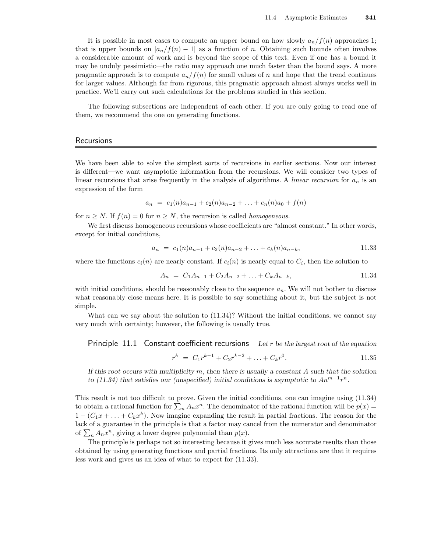It is possible in most cases to compute an upper bound on how slowly  $a_n/f(n)$  approaches 1; that is upper bounds on  $|a_n/f(n) - 1|$  as a function of n. Obtaining such bounds often involves a considerable amount of work and is beyond the scope of this text. Even if one has a bound it may be unduly pessimistic—the ratio may approach one much faster than the bound says. A more pragmatic approach is to compute  $a_n/f(n)$  for small values of n and hope that the trend continues for larger values. Although far from rigorous, this pragmatic approach almost always works well in practice. We'll carry out such calculations for the problems studied in this section.

The following subsections are independent of each other. If you are only going to read one of them, we recommend the one on generating functions.

#### Recursions

We have been able to solve the simplest sorts of recursions in earlier sections. Now our interest is different—we want asymptotic information from the recursions. We will consider two types of linear recursions that arise frequently in the analysis of algorithms. A *linear recursion* for  $a_n$  is an expression of the form

$$
a_n = c_1(n)a_{n-1} + c_2(n)a_{n-2} + \ldots + c_n(n)a_0 + f(n)
$$

for  $n \geq N$ . If  $f(n) = 0$  for  $n \geq N$ , the recursion is called *homogeneous*.

We first discuss homogeneous recursions whose coefficients are "almost constant." In other words, except for initial conditions,

$$
a_n = c_1(n)a_{n-1} + c_2(n)a_{n-2} + \ldots + c_k(n)a_{n-k}, \qquad 11.33
$$

where the functions  $c_i(n)$  are nearly constant. If  $c_i(n)$  is nearly equal to  $C_i$ , then the solution to

$$
A_n = C_1 A_{n-1} + C_2 A_{n-2} + \ldots + C_k A_{n-k}, \qquad 11.34
$$

with initial conditions, should be reasonably close to the sequence  $a_n$ . We will not bother to discuss what reasonably close means here. It is possible to say something about it, but the subject is not simple.

What can we say about the solution to  $(11.34)$ ? Without the initial conditions, we cannot say very much with certainty; however, the following is usually true.

Principle 11.1 Constant coefficient recursions Let r be the largest root of the equation

$$
r^{k} = C_{1}r^{k-1} + C_{2}r^{k-2} + \ldots + C_{k}r^{0}.
$$

If this root occurs with multiplicity m, then there is usually a constant  $A$  such that the solution to (11.34) that satisfies our (unspecified) initial conditions is asymptotic to  $An^{m-1}r^n$ .

This result is not too difficult to prove. Given the initial conditions, one can imagine using (11.34) to obtain a rational function for  $\sum_n A_n x^n$ . The denominator of the rational function will be  $p(x) =$  $1 - (C_1x + \ldots + C_kx^k)$ . Now imagine expanding the result in partial fractions. The reason for the lack of a guarantee in the principle is that a factor may cancel from the numerator and denominator of  $\sum_n A_n x^n$ , giving a lower degree polynomial than  $p(x)$ .

The principle is perhaps not so interesting because it gives much less accurate results than those obtained by using generating functions and partial fractions. Its only attractions are that it requires less work and gives us an idea of what to expect for (11.33).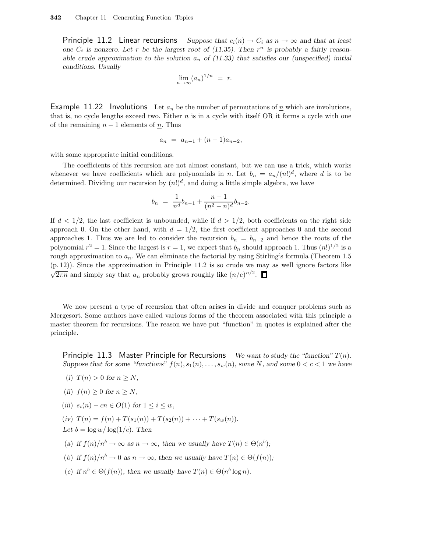Principle 11.2 Linear recursions Suppose that  $c_i(n) \to C_i$  as  $n \to \infty$  and that at least one  $C_i$  is nonzero. Let r be the largest root of (11.35). Then  $r^n$  is probably a fairly reasonable crude approximation to the solution  $a_n$  of (11.33) that satisfies our (unspecified) initial conditions. Usually

$$
\lim_{n \to \infty} (a_n)^{1/n} = r.
$$

Example 11.22 Involutions Let  $a_n$  be the number of permutations of  $\underline{n}$  which are involutions, that is, no cycle lengths exceed two. Either  $n$  is in a cycle with itself OR it forms a cycle with one of the remaining  $n-1$  elements of  $n$ . Thus

$$
a_n = a_{n-1} + (n-1)a_{n-2},
$$

with some appropriate initial conditions.

The coefficients of this recursion are not almost constant, but we can use a trick, which works whenever we have coefficients which are polynomials in n. Let  $b_n = a_n/(n!)^d$ , where d is to be determined. Dividing our recursion by  $(n!)^d$ , and doing a little simple algebra, we have

$$
b_n = \frac{1}{n^d}b_{n-1} + \frac{n-1}{(n^2 - n)^d}b_{n-2}.
$$

If  $d < 1/2$ , the last coefficient is unbounded, while if  $d > 1/2$ , both coefficients on the right side approach 0. On the other hand, with  $d = 1/2$ , the first coefficient approaches 0 and the second approaches 1. Thus we are led to consider the recursion  $b_n = b_{n-2}$  and hence the roots of the polynomial  $r^2 = 1$ . Since the largest is  $r = 1$ , we expect that  $b_n$  should approach 1. Thus  $(n!)^{1/2}$  is a rough approximation to  $a_n$ . We can eliminate the factorial by using Stirling's formula (Theorem 1.5) (p. 12)). Since the approximation in Principle 11.2 is so crude we may as well ignore factors like  $\sqrt{2\pi n}$  and simply say that  $a_n$  probably grows roughly like  $(n/e)^{n/2}$ .

We now present a type of recursion that often arises in divide and conquer problems such as Mergesort. Some authors have called various forms of the theorem associated with this principle a master theorem for recursions. The reason we have put "function" in quotes is explained after the principle.

Principle 11.3 Master Principle for Recursions We want to study the "function"  $T(n)$ . Suppose that for some "functions"  $f(n), s_1(n), \ldots, s_w(n)$ , some N, and some  $0 < c < 1$  we have

- (i)  $T(n) > 0$  for  $n \geq N$ ,
- (ii)  $f(n) \geq 0$  for  $n \geq N$ ,
- (iii)  $s_i(n) cn \in O(1)$  for  $1 \le i \le w$ ,
- (iv)  $T(n) = f(n) + T(s_1(n)) + T(s_2(n)) + \cdots + T(s_w(n)).$
- Let  $b = \log w / \log(1/c)$ . Then
- (a) if  $f(n)/n^b \to \infty$  as  $n \to \infty$ , then we usually have  $T(n) \in \Theta(n^b)$ ;
- (b) if  $f(n)/n^b \to 0$  as  $n \to \infty$ , then we usually have  $T(n) \in \Theta(f(n))$ ;
- (c) if  $n^b \in \Theta(f(n))$ , then we usually have  $T(n) \in \Theta(n^b \log n)$ .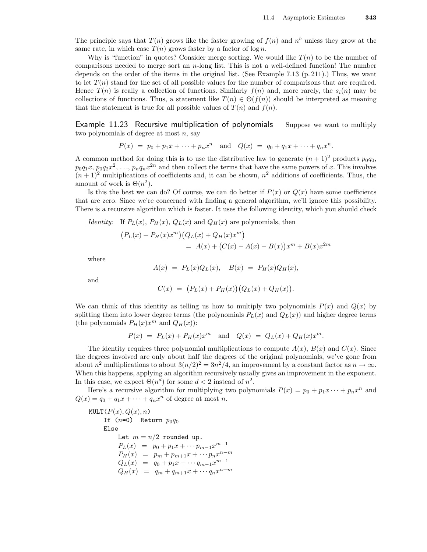The principle says that  $T(n)$  grows like the faster growing of  $f(n)$  and  $n<sup>b</sup>$  unless they grow at the same rate, in which case  $T(n)$  grows faster by a factor of  $\log n$ .

Why is "function" in quotes? Consider merge sorting. We would like  $T(n)$  to be the number of comparisons needed to merge sort an  $n$ -long list. This is not a well-defined function! The number depends on the order of the items in the original list. (See Example 7.13 (p. 211).) Thus, we want to let  $T(n)$  stand for the set of all possible values for the number of comparisons that are required. Hence  $T(n)$  is really a collection of functions. Similarly  $f(n)$  and, more rarely, the  $s_i(n)$  may be collections of functions. Thus, a statement like  $T(n) \in \Theta(f(n))$  should be interpreted as meaning that the statement is true for all possible values of  $T(n)$  and  $f(n)$ .

Example 11.23 Recursive multiplication of polynomials Suppose we want to multiply two polynomials of degree at most  $n$ , say

$$
P(x) = p_0 + p_1 x + \dots + p_n x^n
$$
 and  $Q(x) = q_0 + q_1 x + \dots + q_n x^n$ .

A common method for doing this is to use the distributive law to generate  $(n + 1)^2$  products  $p_0q_0$ ,  $p_0q_1x, p_0q_2x^2, \ldots, p_nq_nx^{2n}$  and then collect the terms that have the same powers of x. This involves  $(n+1)^2$  multiplications of coefficients and, it can be shown,  $n^2$  additions of coefficients. Thus, the amount of work is  $\Theta(n^2)$ .

Is this the best we can do? Of course, we can do better if  $P(x)$  or  $Q(x)$  have some coefficients that are zero. Since we're concerned with finding a general algorithm, we'll ignore this possibility. There is a recursive algorithm which is faster. It uses the following identity, which you should check

*Identity:* If  $P_L(x)$ ,  $P_H(x)$ ,  $Q_L(x)$  and  $Q_H(x)$  are polynomials, then

$$
(P_L(x) + P_H(x)x^m) (Q_L(x) + Q_H(x)x^m)
$$
  
=  $A(x) + (C(x) - A(x) - B(x))x^m + B(x)x^{2m}$ 

where

$$
A(x) = P_L(x)Q_L(x), \quad B(x) = P_H(x)Q_H(x),
$$

and

$$
C(x) = (P_L(x) + P_H(x))(Q_L(x) + Q_H(x)).
$$

We can think of this identity as telling us how to multiply two polynomials  $P(x)$  and  $Q(x)$  by splitting them into lower degree terms (the polynomials  $P_L(x)$  and  $Q_L(x)$ ) and higher degree terms (the polynomials  $P_H(x)x^m$  and  $Q_H(x)$ ):

$$
P(x) = P_L(x) + P_H(x)x^m
$$
 and  $Q(x) = Q_L(x) + Q_H(x)x^m$ .

The identity requires three polynomial multiplications to compute  $A(x)$ ,  $B(x)$  and  $C(x)$ . Since the degrees involved are only about half the degrees of the original polynomials, we've gone from about  $n^2$  multiplications to about  $3(n/2)^2 = 3n^2/4$ , an improvement by a constant factor as  $n \to \infty$ . When this happens, applying an algorithm recursively usually gives an improvement in the exponent. In this case, we expect  $\Theta(n^d)$  for some  $d < 2$  instead of  $n^2$ .

Here's a recursive algorithm for multiplying two polynomials  $P(x) = p_0 + p_1 x \cdots + p_n x^n$  and  $Q(x) = q_0 + q_1 x + \cdots + q_n x^n$  of degree at most *n*.

 $MULT(P(x), Q(x), n)$ If  $(n=0)$  Return  $p_0q_0$ Else Let  $m = n/2$  rounded up.  $P_L(x) = p_0 + p_1 x + \cdots p_{m-1} x^{m-1}$  $P_H(x) = p_m + p_{m+1}x + \cdots + p_nx^{n-m}$  $Q_L(x) = q_0 + p_1 x + \cdots + q_{m-1} x^{m-1}$  $Q_H(x) = q_m + q_{m+1}x + \cdots + q_nx^{n-m}$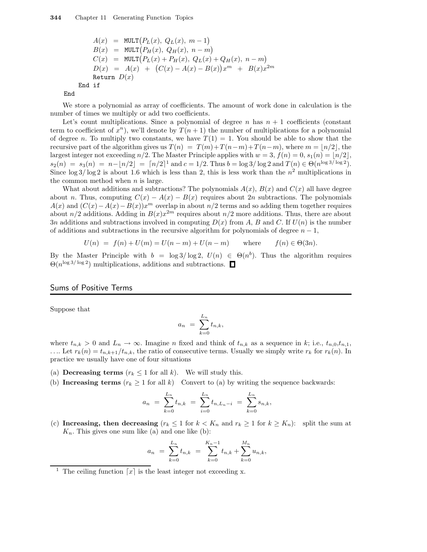$A(x) = \text{MULT}(P_L(x), Q_L(x), m-1)$  $B(x) = \text{MULT}(P_H(x), Q_H(x), n-m)$  $C(x) = \text{MULT}(P_L(x) + P_H(x), Q_L(x) + Q_H(x), n - m)$  $D(x) = A(x) + (C(x) - A(x) - B(x))x^{m} + B(x)x^{2m}$ Return  $D(x)$ End if

End

We store a polynomial as array of coefficients. The amount of work done in calculation is the number of times we multiply or add two coefficients.

Let's count multiplications. Since a polynomial of degree n has  $n + 1$  coefficients (constant term to coefficient of  $x^n$ ), we'll denote by  $T(n+1)$  the number of multiplications for a polynomial of degree n. To multiply two constants, we have  $T(1) = 1$ . You should be able to show that the recursive part of the algorithm gives us  $T(n) = T(m) + T(n-m) + T(n-m)$ , where  $m = \lfloor n/2 \rfloor$ , the largest integer not exceeding  $n/2$ . The Master Principle applies with  $w = 3$ ,  $f(n) = 0$ ,  $s_1(n) = |n/2|$ ,  $s_2(n) = s_3(n) = n - \lfloor n/2 \rfloor = \lceil n/2 \rceil^1$  and  $c = 1/2$ . Thus  $b = \log 3/\log 2$  and  $T(n) \in \Theta(n^{\log 3/\log 2})$ . Since  $\log 3/\log 2$  is about 1.6 which is less than 2, this is less work than the  $n^2$  multiplications in the common method when  $n$  is large.

What about additions and subtractions? The polynomials  $A(x)$ ,  $B(x)$  and  $C(x)$  all have degree about n. Thus, computing  $C(x) - A(x) - B(x)$  requires about 2n subtractions. The polynomials  $A(x)$  and  $(C(x) - A(x) - B(x))x^m$  overlap in about n/2 terms and so adding them together requires about  $n/2$  additions. Adding in  $B(x)x^{2m}$  requires about  $n/2$  more additions. Thus, there are about 3n additions and subtractions involved in computing  $D(x)$  from A, B and C. If  $U(n)$  is the number of additions and subtractions in the recursive algorithm for polynomials of degree  $n - 1$ ,

$$
U(n) = f(n) + U(m) = U(n-m) + U(n-m) \quad \text{where} \quad f(n) \in \Theta(3n).
$$

By the Master Principle with  $b = \log 3/\log 2$ ,  $U(n) \in \Theta(n^b)$ . Thus the algorithm requires  $\Theta(n^{\log 3/\log 2})$  multiplications, additions and subtractions.

## Sums of Positive Terms

Suppose that

$$
a_n = \sum_{k=0}^{L_n} t_{n,k},
$$

where  $t_{n,k} > 0$  and  $L_n \to \infty$ . Imagine n fixed and think of  $t_{n,k}$  as a sequence in k; i.e.,  $t_{n,0}, t_{n,1}$ , .... Let  $r_k(n) = t_{n,k+1}/t_{n,k}$ , the ratio of consecutive terms. Usually we simply write  $r_k$  for  $r_k(n)$ . In practice we usually have one of four situations

- (a) **Decreasing terms**  $(r_k \leq 1$  for all k). We will study this.
- (b) Increasing terms  $(r_k \geq 1$  for all k) Convert to (a) by writing the sequence backwards:

$$
a_n = \sum_{k=0}^{L_n} t_{n,k} = \sum_{i=0}^{L_n} t_{n,L_n-i} = \sum_{k=0}^{L_n} s_{n,k},
$$

(c) Increasing, then decreasing ( $r_k \leq 1$  for  $k < K_n$  and  $r_k \geq 1$  for  $k \geq K_n$ ): split the sum at  $K_n$ . This gives one sum like (a) and one like (b):

$$
a_n = \sum_{k=0}^{L_n} t_{n,k} = \sum_{k=0}^{K_n-1} t_{n,k} + \sum_{k=0}^{M_n} u_{n,k},
$$

The ceiling function  $\lceil x \rceil$  is the least integer not exceeding x.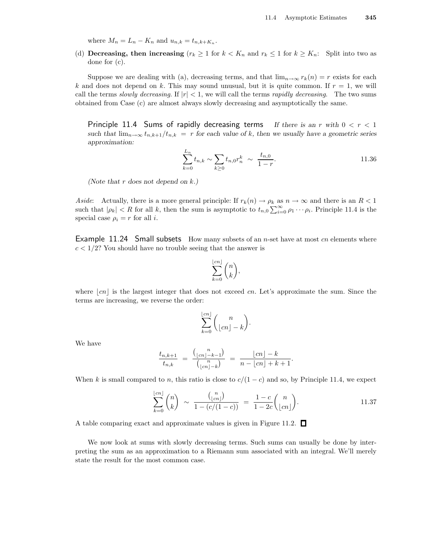where  $M_n = L_n - K_n$  and  $u_{n,k} = t_{n,k+K_n}$ .

(d) Decreasing, then increasing  $(r_k \geq 1$  for  $k < K_n$  and  $r_k \leq 1$  for  $k \geq K_n$ : Split into two as done for (c).

Suppose we are dealing with (a), decreasing terms, and that  $\lim_{n\to\infty} r_k(n) = r$  exists for each k and does not depend on k. This may sound unusual, but it is quite common. If  $r = 1$ , we will call the terms slowly decreasing. If  $|r| < 1$ , we will call the terms rapidly decreasing. The two sums obtained from Case (c) are almost always slowly decreasing and asymptotically the same.

Principle 11.4 Sums of rapidly decreasing terms If there is an r with  $0 < r < 1$ such that  $\lim_{n\to\infty} t_{n,k+1}/t_{n,k} = r$  for each value of k, then we usually have a geometric series approximation:

$$
\sum_{k=0}^{L_n} t_{n,k} \sim \sum_{k\geq 0} t_{n,0} r_n^k \sim \frac{t_{n,0}}{1-r}.
$$

(Note that  $r$  does not depend on  $k$ .)

Aside: Actually, there is a more general principle: If  $r_k(n) \to \rho_k$  as  $n \to \infty$  and there is an  $R < 1$ such that  $|\rho_k| < R$  for all k, then the sum is asymptotic to  $t_{n,0} \sum_{i=0}^{\infty} \rho_1 \cdots \rho_i$ . Principle 11.4 is the special case  $\rho_i = r$  for all *i*.

**Example 11.24 Small subsets** How many subsets of an *n*-set have at most cn elements where  $c < 1/2$ ? You should have no trouble seeing that the answer is

$$
\sum_{k=0}^{\lfloor cn \rfloor} \binom{n}{k},
$$

where  $|cn|$  is the largest integer that does not exceed cn. Let's approximate the sum. Since the terms are increasing, we reverse the order:

$$
\sum_{k=0}^{\lfloor cn \rfloor} {n \choose \lfloor cn \rfloor - k}.
$$

We have

$$
\frac{t_{n,k+1}}{t_{n,k}} = \frac{\binom{n}{\lfloor cn \rfloor - k - 1}}{\binom{n}{\lfloor cn \rfloor - k}} = \frac{\lfloor cn \rfloor - k}{n - \lfloor cn \rfloor + k + 1}.
$$

When k is small compared to n, this ratio is close to  $c/(1-c)$  and so, by Principle 11.4, we expect

$$
\sum_{k=0}^{\lfloor cn \rfloor} \binom{n}{k} \sim \frac{\binom{n}{\lfloor cn \rfloor}}{1 - (c/(1-c))} = \frac{1-c}{1-2c} \binom{n}{\lfloor cn \rfloor}. \tag{11.37}
$$

A table comparing exact and approximate values is given in Figure 11.2.  $\Box$ 

We now look at sums with slowly decreasing terms. Such sums can usually be done by interpreting the sum as an approximation to a Riemann sum associated with an integral. We'll merely state the result for the most common case.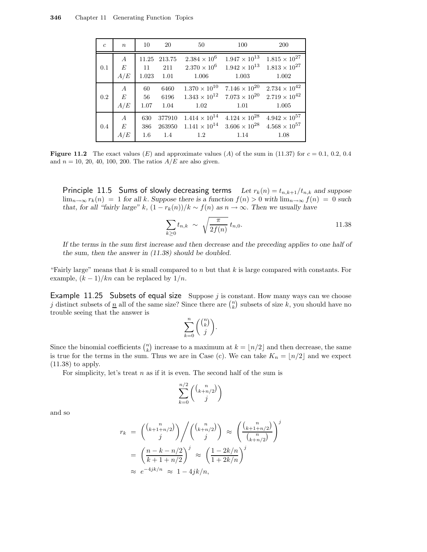| $\overline{c}$ | $\boldsymbol{n}$                            | 10         | 20         | 50                   | 100                                                                                                                                                                                                        | <b>200</b>                     |
|----------------|---------------------------------------------|------------|------------|----------------------|------------------------------------------------------------------------------------------------------------------------------------------------------------------------------------------------------------|--------------------------------|
| 0.1            | $\boldsymbol{A}$<br>${\cal E}$<br>A/E       |            | 1.023 1.01 | 1.006                | 11.25 213.75 $2.384 \times 10^6$ $1.947 \times 10^{13}$ $1.815 \times 10^{27}$<br>11 211 $2.370 \times 10^6$ $1.942 \times 10^{13}$ $1.813 \times 10^{27}$<br>1.003                                        | 1.002                          |
| $0.2\,$        | $\boldsymbol{A}$<br>${\cal E}$              | 60         |            | $A/E$ 1.07 1.04 1.02 | 6460 $1.370 \times 10^{10}$ $7.146 \times 10^{20}$ $2.734 \times 10^{42}$<br>$\begin{array}{ l} \hline 56 & 6196 & 1.343 \times 10^{12} & 7.073 \times 10^{20} & 2.719 \times 10^{42} \end{array}$<br>1.01 | 1.005                          |
| 0.4            | $\boldsymbol{A}$<br>$\boldsymbol{E}$<br>A/E | 630<br>386 |            | $1.6 \t 1.4 \t 1.2$  | 377910 $1.414 \times 10^{14}$ $4.124 \times 10^{28}$<br>263950 $1.141 \times 10^{14}$ $3.606 \times 10^{28}$ $4.568 \times 10^{57}$<br>1.14                                                                | $4.942 \times 10^{57}$<br>1.08 |

**Figure 11.2** The exact values  $(E)$  and approximate values  $(A)$  of the sum in (11.37) for  $c = 0.1$ , 0.2, 0.4 and  $n = 10, 20, 40, 100, 200$ . The ratios  $A/E$  are also given.

Principle 11.5 Sums of slowly decreasing terms Let  $r_k(n) = t_{n,k+1}/t_{n,k}$  and suppose  $\lim_{n\to\infty} r_k(n) = 1$  for all k. Suppose there is a function  $f(n) > 0$  with  $\lim_{n\to\infty} f(n) = 0$  such that, for all "fairly large" k,  $(1 - r_k(n))/k \sim f(n)$  as  $n \to \infty$ . Then we usually have

$$
\sum_{k\geq 0} t_{n,k} \sim \sqrt{\frac{\pi}{2f(n)}} \, t_{n,0}.\tag{11.38}
$$

If the terms in the sum first increase and then decrease and the preceding applies to one half of the sum, then the answer in (11.38) should be doubled.

"Fairly large" means that k is small compared to n but that k is large compared with constants. For example,  $(k-1)/kn$  can be replaced by  $1/n$ .

**Example 11.25 Subsets of equal size** Suppose j is constant. How many ways can we choose j distinct subsets of  $\underline{n}$  all of the same size? Since there are  $\binom{n}{k}$  subsets of size k, you should have no trouble seeing that the answer is

$$
\sum_{k=0}^n \binom{\binom{n}{k}}{j}.
$$

Since the binomial coefficients  $\binom{n}{k}$  increase to a maximum at  $k = \lfloor n/2 \rfloor$  and then decrease, the same is true for the terms in the sum. Thus we are in Case (c). We can take  $K_n = \lfloor n/2 \rfloor$  and we expect (11.38) to apply.

For simplicity, let's treat  $n$  as if it is even. The second half of the sum is

$$
\sum_{k=0}^{n/2} \binom{\binom{n}{k+n/2}}{j}
$$

and so

$$
r_k = \binom{\binom{n}{k+1+n/2}}{j} / \binom{\binom{n}{k+n/2}}{j} \approx \left(\frac{\binom{n}{k+1+n/2}}{\binom{n}{k+n/2}}\right)^j
$$

$$
= \left(\frac{n-k-n/2}{k+1+n/2}\right)^j \approx \left(\frac{1-2k/n}{1+2k/n}\right)^j
$$

$$
\approx e^{-4jk/n} \approx 1-4jk/n,
$$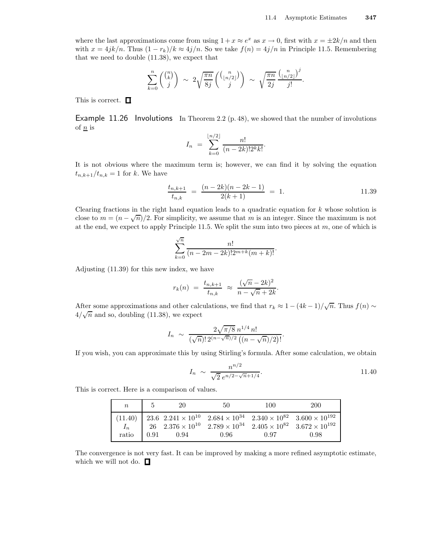where the last approximations come from using  $1 + x \approx e^x$  as  $x \to 0$ , first with  $x = \pm 2k/n$  and then with  $x = 4jk/n$ . Thus  $(1 - r_k)/k \approx 4j/n$ . So we take  $f(n) = 4j/n$  in Principle 11.5. Remembering that we need to double (11.38), we expect that

$$
\sum_{k=0}^n \binom{\binom{n}{k}}{j} \sim 2\sqrt{\frac{\pi n}{8j}} \binom{\binom{n}{\lfloor n/2 \rfloor}}{j} \sim \sqrt{\frac{\pi n}{2j}} \frac{\binom{n}{\lfloor n/2 \rfloor}^j}{j!}.
$$

This is correct.  $\hfill\blacksquare$ 

Example 11.26 Involutions In Theorem 2.2 (p. 48), we showed that the number of involutions of  $n$  is

$$
I_n = \sum_{k=0}^{\lfloor n/2 \rfloor} \frac{n!}{(n-2k)! 2^k k!}.
$$

It is not obvious where the maximum term is; however, we can find it by solving the equation  $t_{n,k+1}/t_{n,k} = 1$  for k. We have

$$
\frac{t_{n,k+1}}{t_{n,k}} = \frac{(n-2k)(n-2k-1)}{2(k+1)} = 1.
$$
 11.39

Clearing fractions in the right hand equation leads to a quadratic equation for  $k$  whose solution is close to  $m = (n - \sqrt{n})/2$ . For simplicity, we assume that m is an integer. Since the maximum is not at the end, we expect to apply Principle 11.5. We split the sum into two pieces at  $m$ , one of which is

$$
\sum_{k=0}^{\sqrt{n}} \frac{n!}{(n-2m-2k)!2^{m+k}(m+k)!}.
$$

Adjusting (11.39) for this new index, we have

$$
r_k(n) = \frac{t_{n,k+1}}{t_{n,k}} \approx \frac{(\sqrt{n} - 2k)^2}{n - \sqrt{n} + 2k}.
$$

After some approximations and other calculations, we find that  $r_k \approx 1 - (4k-1)/\sqrt{n}$ . Thus  $f(n) \sim$  $4/\sqrt{n}$  and so, doubling (11.38), we expect

$$
I_n \sim \frac{2\sqrt{\pi/8} n^{1/4} n!}{(\sqrt{n})! \, 2^{(n-\sqrt{n})/2} \left( (n-\sqrt{n})/2 \right)!}
$$

If you wish, you can approximate this by using Stirling's formula. After some calculation, we obtain

$$
I_n \sim \frac{n^{n/2}}{\sqrt{2} \, e^{n/2 - \sqrt{n} + 1/4}}.
$$

.

This is correct. Here is a comparison of values.

| $\boldsymbol{n}$ | - 5   | 20   | 50   | 100  | <b>200</b>                                                                                                  |
|------------------|-------|------|------|------|-------------------------------------------------------------------------------------------------------------|
|                  |       |      |      |      | $(11.40)$ 23.6 $2.241 \times 10^{10}$ $2.684 \times 10^{34}$ $2.340 \times 10^{82}$ $3.600 \times 10^{192}$ |
| $I_n$            |       |      |      |      | 26 $2.376 \times 10^{10}$ $2.789 \times 10^{34}$ $2.405 \times 10^{82}$ $3.672 \times 10^{192}$             |
| ratio            | 10.91 | 0.94 | 0.96 | 0.97 | 0.98                                                                                                        |

The convergence is not very fast. It can be improved by making a more refined asymptotic estimate, which we will not do.  $\Box$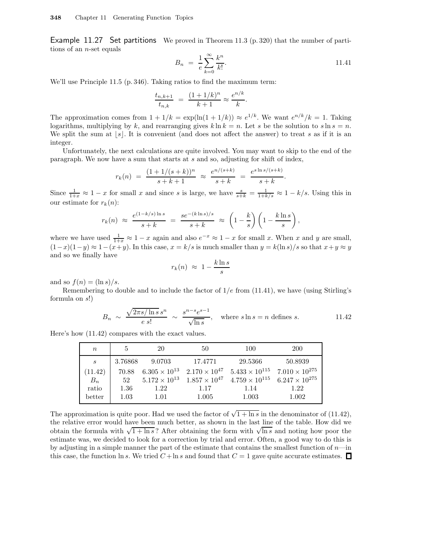Example 11.27 Set partitions We proved in Theorem 11.3 (p. 320) that the number of partitions of an  $n$ -set equals

$$
B_n = \frac{1}{e} \sum_{k=0}^{\infty} \frac{k^n}{k!}.
$$
 11.41

We'll use Principle 11.5 (p. 346). Taking ratios to find the maximum term:

$$
\frac{t_{n,k+1}}{t_{n,k}} = \frac{(1+1/k)^n}{k+1} \approx \frac{e^{n/k}}{k}.
$$

The approximation comes from  $1 + 1/k = \exp(\ln(1 + 1/k)) \approx e^{1/k}$ . We want  $e^{n/k}/k = 1$ . Taking logarithms, multiplying by k, and rearranging gives  $k \ln k = n$ . Let s be the solution to  $s \ln s = n$ . We split the sum at  $|s|$ . It is convenient (and does not affect the answer) to treat s as if it is an integer.

Unfortunately, the next calculations are quite involved. You may want to skip to the end of the paragraph. We now have a sum that starts at s and so, adjusting for shift of index,

$$
r_k(n) = \frac{(1+1/(s+k))^n}{s+k+1} \approx \frac{e^{n/(s+k)}}{s+k} = \frac{e^{s\ln s/(s+k)}}{s+k}.
$$

Since  $\frac{1}{1+x} \approx 1-x$  for small x and since s is large, we have  $\frac{s}{s+k} = \frac{1}{1+k/s} \approx 1-k/s$ . Using this in our estimate for  $r_k(n)$ :

$$
r_k(n) \approx \frac{e^{(1-k/s)\ln s}}{s+k} = \frac{se^{-(k\ln s)/s}}{s+k} \approx \left(1 - \frac{k}{s}\right)\left(1 - \frac{k\ln s}{s}\right),
$$

where we have used  $\frac{1}{1+x} \approx 1-x$  again and also  $e^{-x} \approx 1-x$  for small x. When x and y are small,  $(1-x)(1-y) \approx 1-(x+y)$ . In this case,  $x = k/s$  is much smaller than  $y = k(\ln s)/s$  so that  $x+y \approx y$ and so we finally have

$$
r_k(n) \approx 1 - \frac{k \ln s}{s}
$$

and so  $f(n) = (\ln s)/s$ .

Remembering to double and to include the factor of  $1/e$  from  $(11.41)$ , we have (using Stirling's formula on s!)

$$
B_n \sim \frac{\sqrt{2\pi s/\ln s} s^n}{e s!} \sim \frac{s^{n-s} e^{s-1}}{\sqrt{\ln s}}, \quad \text{where } s \ln s = n \text{ defines } s. \tag{11.42}
$$

Here's how (11.42) compares with the exact values.

| $\,n$                       | 5            | 20     | 50                                                  | 100                                                                                           | <b>200</b> |
|-----------------------------|--------------|--------|-----------------------------------------------------|-----------------------------------------------------------------------------------------------|------------|
| $\mathcal{S}_{\mathcal{S}}$ | 3.76868      | 9.0703 | 17.4771                                             | 29.5366                                                                                       | 50.8939    |
| (11.42)                     |              |        | 70.88 $6.305 \times 10^{13}$ $2.170 \times 10^{47}$ | $5.433 \times 10^{115}$ $7.010 \times 10^{275}$                                               |            |
| $B_n$                       | $52^{\circ}$ |        |                                                     | $5.172 \times 10^{13}$ $1.857 \times 10^{47}$ $4.759 \times 10^{115}$ $6.247 \times 10^{275}$ |            |
| ratio                       | 1.36         | 1.22   | 1.17                                                | 1.14                                                                                          | 1.22       |
| better                      | 1.03         | 1.01   | 1.005                                               | 1.003                                                                                         | 1.002      |

The approximation is quite poor. Had we used the factor of  $\sqrt{1 + \ln s}$  in the denominator of (11.42), the relative error would have been much better, as shown in the last line of the table. How did we obtain the formula with  $\sqrt{1 + \ln s}$ ? After obtaining the form with  $\sqrt{\ln s}$  and noting how poor the estimate was, we decided to look for a correction by trial and error. Often, a good way to do this is by adjusting in a simple manner the part of the estimate that contains the smallest function of  $n$ —in this case, the function ln s. We tried  $C + \ln s$  and found that  $C = 1$  gave quite accurate estimates.  $\Box$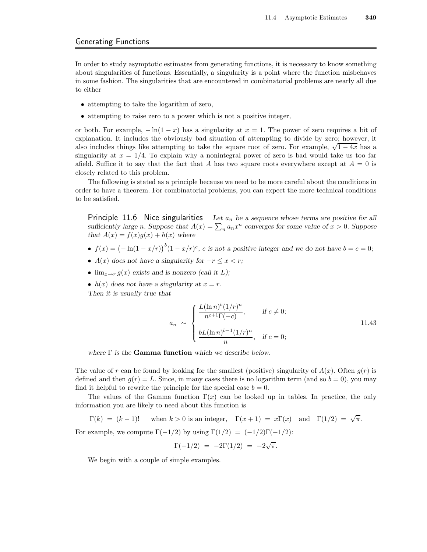### Generating Functions

In order to study asymptotic estimates from generating functions, it is necessary to know something about singularities of functions. Essentially, a singularity is a point where the function misbehaves in some fashion. The singularities that are encountered in combinatorial problems are nearly all due to either

- attempting to take the logarithm of zero,
- attempting to raise zero to a power which is not a positive integer,

or both. For example,  $-\ln(1-x)$  has a singularity at  $x = 1$ . The power of zero requires a bit of explanation. It includes the obviously bad situation of attempting to divide by zero; however, it also includes things like attempting to take the square root of zero. For example,  $\sqrt{1-4x}$  has a singularity at  $x = 1/4$ . To explain why a nonintegral power of zero is bad would take us too far afield. Suffice it to say that the fact that A has two square roots everywhere except at  $A = 0$  is closely related to this problem.

The following is stated as a principle because we need to be more careful about the conditions in order to have a theorem. For combinatorial problems, you can expect the more technical conditions to be satisfied.

Principle 11.6 Nice singularities Let  $a_n$  be a sequence whose terms are positive for all sufficiently large n. Suppose that  $A(x) = \sum_n a_n x^n$  converges for some value of  $x > 0$ . Suppose that  $A(x) = f(x)g(x) + h(x)$  where

- $f(x) = (-\ln(1-x/r))^b (1-x/r)^c$ , c is not a positive integer and we do not have  $b = c = 0$ ;
- $A(x)$  does not have a singularity for  $-r \leq x < r$ ;
- $\lim_{x\to r} g(x)$  exists and is nonzero (call it L);
- $h(x)$  does not have a singularity at  $x = r$ .

Then it is usually true that

$$
a_n \sim \begin{cases} \frac{L(\ln n)^b (1/r)^n}{n^{c+1} \Gamma(-c)}, & \text{if } c \neq 0; \\ \frac{bL(\ln n)^{b-1} (1/r)^n}{n}, & \text{if } c = 0; \end{cases}
$$
 11.43

where  $\Gamma$  is the **Gamma function** which we describe below.

The value of r can be found by looking for the smallest (positive) singularity of  $A(x)$ . Often  $g(r)$  is defined and then  $g(r) = L$ . Since, in many cases there is no logarithm term (and so  $b = 0$ ), you may find it helpful to rewrite the principle for the special case  $b = 0$ .

The values of the Gamma function  $\Gamma(x)$  can be looked up in tables. In practice, the only information you are likely to need about this function is

 $\Gamma(k) = (k-1)!$  when  $k > 0$  is an integer,  $\Gamma(x+1) = x\Gamma(x)$  and  $\Gamma(1/2) = \sqrt{\pi}$ .

For example, we compute  $\Gamma(-1/2)$  by using  $\Gamma(1/2) = (-1/2)\Gamma(-1/2)$ :

$$
\Gamma(-1/2) = -2\Gamma(1/2) = -2\sqrt{\pi}.
$$

We begin with a couple of simple examples.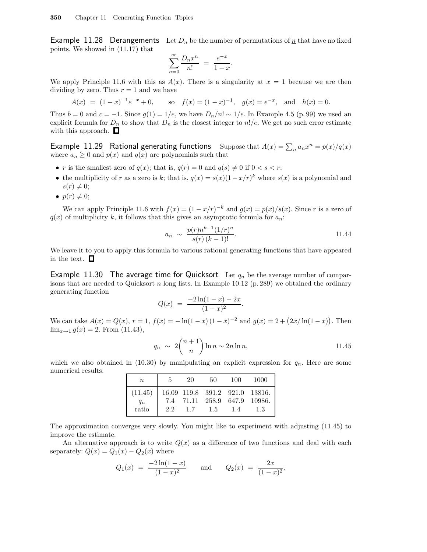**Example 11.28 Derangements** Let  $D_n$  be the number of permutations of  $\underline{n}$  that have no fixed points. We showed in (11.17) that

$$
\sum_{n=0}^{\infty} \frac{D_n x^n}{n!} = \frac{e^{-x}}{1-x}.
$$

We apply Principle 11.6 with this as  $A(x)$ . There is a singularity at  $x = 1$  because we are then dividing by zero. Thus  $r = 1$  and we have

$$
A(x) = (1-x)^{-1}e^{-x} + 0
$$
, so  $f(x) = (1-x)^{-1}$ ,  $g(x) = e^{-x}$ , and  $h(x) = 0$ .

Thus  $b = 0$  and  $c = -1$ . Since  $g(1) = 1/e$ , we have  $D_n/n! \sim 1/e$ . In Example 4.5 (p. 99) we used an explicit formula for  $D_n$  to show that  $D_n$  is the closest integer to  $n!/e$ . We get no such error estimate with this approach.  $\Box$ 

Example 11.29 Rational generating functions Suppose that  $A(x) = \sum_n a_n x^n = p(x)/q(x)$ where  $a_n \geq 0$  and  $p(x)$  and  $q(x)$  are polynomials such that

- r is the smallest zero of  $q(x)$ ; that is,  $q(r) = 0$  and  $q(s) \neq 0$  if  $0 < s < r$ ;
- the multiplicity of r as a zero is k; that is,  $q(x) = s(x)(1-x/r)^k$  where  $s(x)$  is a polynomial and  $s(r) \neq 0;$
- $p(r) \neq 0$ ;

We can apply Principle 11.6 with  $f(x) = (1 - x/r)^{-k}$  and  $g(x) = p(x)/s(x)$ . Since r is a zero of  $q(x)$  of multiplicity k, it follows that this gives an asymptotic formula for  $a_n$ .

$$
a_n \sim \frac{p(r)n^{k-1}(1/r)^n}{s(r)(k-1)!}.
$$
 11.44

We leave it to you to apply this formula to various rational generating functions that have appeared in the text.  $\Box$ 

Example 11.30 The average time for Quicksort Let  $q_n$  be the average number of comparisons that are needed to Quicksort n long lists. In Example 10.12 (p. 289) we obtained the ordinary generating function

$$
Q(x) = \frac{-2\ln(1-x) - 2x}{(1-x)^2}.
$$

We can take  $A(x) = Q(x)$ ,  $r = 1$ ,  $f(x) = -\ln(1-x)(1-x)^{-2}$  and  $g(x) = 2 + (2x/\ln(1-x))$ . Then  $\lim_{x\to 1} g(x) = 2$ . From (11.43),

$$
q_n \sim 2\binom{n+1}{n}\ln n \sim 2n\ln n,\tag{11.45}
$$

which we also obtained in (10.30) by manipulating an explicit expression for  $q_n$ . Here are some numerical results.

| $n_{\rm c}$                                | - 5 | -20 | - 50    | - 100 | - 1000                       |
|--------------------------------------------|-----|-----|---------|-------|------------------------------|
| $(11.45)$   16.09 119.8 391.2 921.0 13816. |     |     |         |       |                              |
| $q_n$                                      |     |     |         |       | 7.4 71.11 258.9 647.9 10986. |
| ratio                                      | 2.2 | 1.7 | - 1.5 - | 1.4   | 1.3                          |

The approximation converges very slowly. You might like to experiment with adjusting (11.45) to improve the estimate.

An alternative approach is to write  $Q(x)$  as a difference of two functions and deal with each separately:  $Q(x) = Q_1(x) - Q_2(x)$  where

$$
Q_1(x) = \frac{-2\ln(1-x)}{(1-x)^2}
$$
 and  $Q_2(x) = \frac{2x}{(1-x)^2}$ .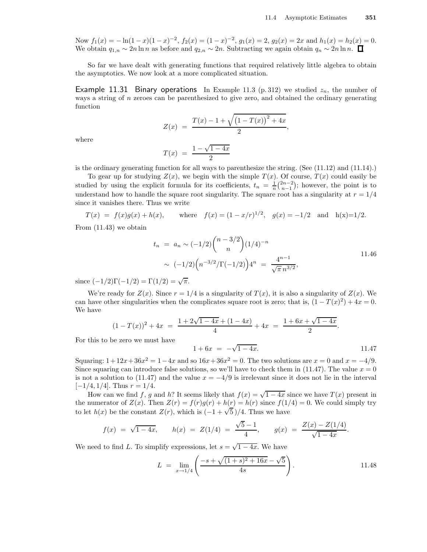Now  $f_1(x) = -\ln(1-x)(1-x)^{-2}$ ,  $f_2(x) = (1-x)^{-2}$ ,  $g_1(x) = 2$ ,  $g_2(x) = 2x$  and  $h_1(x) = h_2(x) = 0$ . We obtain  $q_{1,n} \sim 2n \ln n$  as before and  $q_{2,n} \sim 2n$ . Subtracting we again obtain  $q_n \sim 2n \ln n$ .

So far we have dealt with generating functions that required relatively little algebra to obtain the asymptotics. We now look at a more complicated situation.

**Example 11.31 Binary operations** In Example 11.3 (p. 312) we studied  $z_n$ , the number of ways a string of  $n$  zeroes can be parenthesized to give zero, and obtained the ordinary generating function

$$
Z(x) = \frac{T(x) - 1 + \sqrt{(1 - T(x))^{2} + 4x}}{2},
$$

where

$$
T(x) = \frac{1 - \sqrt{1 - 4x}}{2}
$$

is the ordinary generating function for all ways to parenthesize the string. (See (11.12) and (11.14).)

To gear up for studying  $Z(x)$ , we begin with the simple  $T(x)$ . Of course,  $T(x)$  could easily be studied by using the explicit formula for its coefficients,  $t_n = \frac{1}{n} {2n-2 \choose n-1}$ ; however, the point is to understand how to handle the square root singularity. The square root has a singularity at  $r = 1/4$ since it vanishes there. Thus we write

$$
T(x) = f(x)g(x) + h(x)
$$
, where  $f(x) = (1 - x/r)^{1/2}$ ,  $g(x) = -1/2$  and  $h(x)=1/2$ .

From (11.43) we obtain

$$
t_n = a_n \sim (-1/2) {n-3/2 \choose n} (1/4)^{-n}
$$
  
 
$$
\sim (-1/2) (n^{-3/2}/\Gamma(-1/2)) 4^n = \frac{4^{n-1}}{\sqrt{\pi} n^{3/2}},
$$
 11.46

since  $(-1/2)\Gamma(-1/2) = \Gamma(1/2) = \sqrt{\pi}$ .

We're ready for  $Z(x)$ . Since  $r = 1/4$  is a singularity of  $T(x)$ , it is also a singularity of  $Z(x)$ . We can have other singularities when the complicates square root is zero; that is,  $(1 - T(x)^2) + 4x = 0$ . We have

$$
(1 - T(x))^{2} + 4x = \frac{1 + 2\sqrt{1 - 4x} + (1 - 4x)}{4} + 4x = \frac{1 + 6x + \sqrt{1 - 4x}}{2}.
$$

For this to be zero we must have

$$
1 + 6x = -\sqrt{1 - 4x}.
$$

Squaring:  $1+12x+36x^2 = 1-4x$  and so  $16x+36x^2 = 0$ . The two solutions are  $x = 0$  and  $x = -4/9$ . Since squaring can introduce false solutions, so we'll have to check them in  $(11.47)$ . The value  $x = 0$ is not a solution to (11.47) and the value  $x = -4/9$  is irrelevant since it does not lie in the interval  $[-1/4, 1/4]$ . Thus  $r = 1/4$ .

How can we find f, g and h? It seems likely that  $f(x) = \sqrt{1-4x}$  since we have  $T(x)$  present in the numerator of  $Z(x)$ . Then  $Z(r) = f(r)g(r) + h(r) = h(r)$  since  $f(1/4) = 0$ . We could simply try to let  $h(x)$  be the constant  $Z(r)$ , which is  $\left(\frac{-1+\sqrt{5}}{2}\right)/4$ . Thus we have

$$
f(x) = \sqrt{1-4x}
$$
,  $h(x) = Z(1/4) = \frac{\sqrt{5}-1}{4}$ ,  $g(x) = \frac{Z(x)-Z(1/4)}{\sqrt{1-4x}}$ .

We need to find L. To simplify expressions, let  $s = \sqrt{1 - 4x}$ . We have

$$
L = \lim_{x \to 1/4} \left( \frac{-s + \sqrt{(1+s)^2 + 16x} - \sqrt{5}}{4s} \right).
$$
 11.48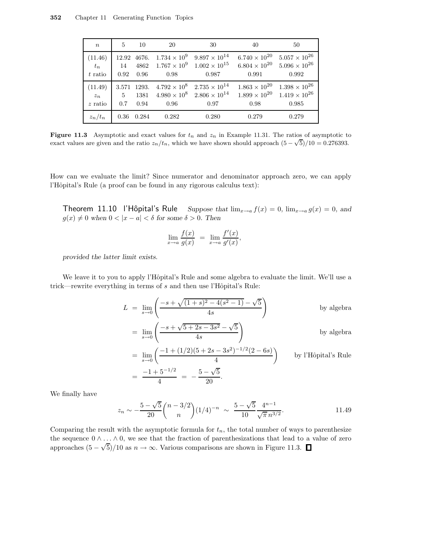| $\boldsymbol{n}$              | 5   | 10                | -20      | 30                                                                                                                    | 40                                                                               | 50                              |
|-------------------------------|-----|-------------------|----------|-----------------------------------------------------------------------------------------------------------------------|----------------------------------------------------------------------------------|---------------------------------|
| (11.46)<br>$t_n$<br>$t$ ratio |     | $0.92 \quad 0.96$ | 0.98     | 12.92 4676. $1.734 \times 10^9$ 9.897 $\times 10^{14}$<br>14 4862 $1.767 \times 10^9$ $1.002 \times 10^{15}$<br>0.987 | $6.740 \times 10^{20}$<br>$6.804 \times 10^{20}$ $5.096 \times 10^{26}$<br>0.991 | $5.057 \times 10^{26}$<br>0.992 |
| (11.49)<br>$z_n$<br>$z$ ratio | 0.7 | 0.94              | $0.96\,$ | 3.571 1293. $4.792 \times 10^8$ 2.735 $\times 10^{14}$<br>5 1381 $4.980 \times 10^8$ $2.806 \times 10^{14}$<br>0.97   | $1.863 \times 10^{20}$<br>$1.899 \times 10^{20}$ $1.419 \times 10^{26}$<br>0.98  | $1.398 \times 10^{26}$<br>0.985 |
| $z_n/t_n$                     |     | $0.36$ $0.284$    | 0.282    | 0.280                                                                                                                 | 0.279                                                                            | 0.279                           |

Figure 11.3 Asymptotic and exact values for  $t_n$  and  $z_n$  in Example 11.31. The ratios of asymptotic to exact values are given and the ratio  $z_n/t_n$ , which we have shown should approach  $(5 - \sqrt{5})/10 = 0.276393$ .

How can we evaluate the limit? Since numerator and denominator approach zero, we can apply l'Hôpital's Rule (a proof can be found in any rigorous calculus text):

Theorem 11.10 l'Hôpital's Rule Suppose that  $\lim_{x\to a} f(x) = 0$ ,  $\lim_{x\to a} g(x) = 0$ , and  $g(x) \neq 0$  when  $0 < |x - a| < \delta$  for some  $\delta > 0$ . Then

$$
\lim_{x \to a} \frac{f(x)}{g(x)} = \lim_{x \to a} \frac{f'(x)}{g'(x)},
$$

provided the latter limit exists.

We leave it to you to apply l'Hôpital's Rule and some algebra to evaluate the limit. We'll use a trick—rewrite everything in terms of  $s$  and then use l'Hôpital's Rule:

$$
L = \lim_{s \to 0} \left( \frac{-s + \sqrt{(1+s)^2 - 4(s^2 - 1)} - \sqrt{5}}{4s} \right)
$$
 by algebra  

$$
= \lim_{s \to 0} \left( \frac{-s + \sqrt{5 + 2s - 3s^2} - \sqrt{5}}{4s} \right)
$$
 by algebra  

$$
= (-1 + (1/2)(5 + 2s - 3s^2)^{-1/2}(2 - 6s))
$$

$$
= \lim_{s \to 0} \left( \frac{-1 + (1/2)(5 + 2s - 3s^2)^{-1/2}(2 - 6s)}{4} \right) \qquad \text{by l'Hôpital's Rule}
$$

$$
= \frac{-1 + 5^{-1/2}}{4} = -\frac{5 - \sqrt{5}}{20}.
$$

We finally have

$$
z_n \sim -\frac{5-\sqrt{5}}{20} {n-3/2 \choose n} (1/4)^{-n} \sim \frac{5-\sqrt{5}}{10} \frac{4^{n-1}}{\sqrt{\pi} n^{3/2}}.
$$
 11.49

Comparing the result with the asymptotic formula for  $t_n$ , the total number of ways to parenthesize the sequence  $0 \wedge \ldots \wedge 0$ , we see that the fraction of parenthesizations that lead to a value of zero approaches  $(5 - \sqrt{5})/10$  as  $n \to \infty$ . Various comparisons are shown in Figure 11.3.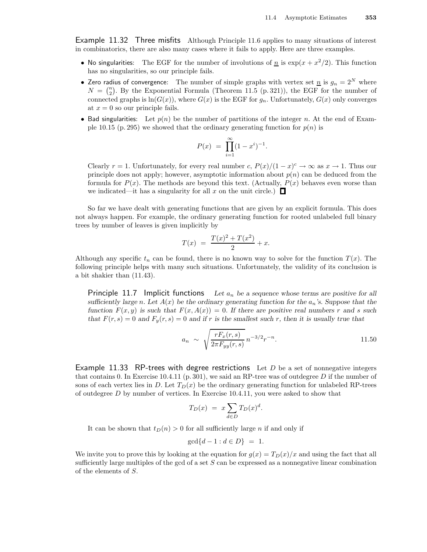Example 11.32 Three misfits Although Principle 11.6 applies to many situations of interest in combinatorics, there are also many cases where it fails to apply. Here are three examples.

- No singularities: The EGF for the number of involutions of  $\underline{n}$  is  $\exp(x + x^2/2)$ . This function has no singularities, so our principle fails.
- Zero radius of convergence: The number of simple graphs with vertex set  $n_i$  is  $q_n = 2^N$  where  $N = \binom{n}{2}$ . By the Exponential Formula (Theorem 11.5 (p. 321)), the EGF for the number of connected graphs is  $ln(G(x))$ , where  $G(x)$  is the EGF for  $g_n$ . Unfortunately,  $G(x)$  only converges at  $x = 0$  so our principle fails.
- Bad singularities: Let  $p(n)$  be the number of partitions of the integer n. At the end of Example 10.15 (p. 295) we showed that the ordinary generating function for  $p(n)$  is

$$
P(x) = \prod_{i=1}^{\infty} (1 - x^i)^{-1}.
$$

Clearly  $r = 1$ . Unfortunately, for every real number c,  $P(x)/(1-x)^c \to \infty$  as  $x \to 1$ . Thus our principle does not apply; however, asymptotic information about  $p(n)$  can be deduced from the formula for  $P(x)$ . The methods are beyond this text. (Actually,  $P(x)$  behaves even worse than we indicated—it has a singularity for all x on the unit circle.)  $\Box$ 

So far we have dealt with generating functions that are given by an explicit formula. This does not always happen. For example, the ordinary generating function for rooted unlabeled full binary trees by number of leaves is given implicitly by

$$
T(x) = \frac{T(x)^2 + T(x^2)}{2} + x.
$$

Although any specific  $t_n$  can be found, there is no known way to solve for the function  $T(x)$ . The following principle helps with many such situations. Unfortunately, the validity of its conclusion is a bit shakier than (11.43).

Principle 11.7 Implicit functions Let  $a_n$  be a sequence whose terms are positive for all sufficiently large n. Let  $A(x)$  be the ordinary generating function for the  $a_n$ 's. Suppose that the function  $F(x, y)$  is such that  $F(x, A(x)) = 0$ . If there are positive real numbers r and s such that  $F(r, s) = 0$  and  $F<sub>y</sub>(r, s) = 0$  and if r is the smallest such r, then it is usually true that

$$
a_n \sim \sqrt{\frac{rF_x(r,s)}{2\pi F_{yy}(r,s)}} n^{-3/2} r^{-n}.
$$
 (11.50)

Example 11.33 RP-trees with degree restrictions Let  $D$  be a set of nonnegative integers that contains 0. In Exercise 10.4.11 (p. 301), we said an RP-tree was of outdegree D if the number of sons of each vertex lies in D. Let  $T_D(x)$  be the ordinary generating function for unlabeled RP-trees of outdegree D by number of vertices. In Exercise  $10.4.11$ , you were asked to show that

$$
T_D(x) = x \sum_{d \in D} T_D(x)^d.
$$

It can be shown that  $t_D(n) > 0$  for all sufficiently large n if and only if

$$
\gcd\{d-1:d\in D\} = 1.
$$

We invite you to prove this by looking at the equation for  $g(x) = T_D(x)/x$  and using the fact that all sufficiently large multiples of the gcd of a set  $S$  can be expressed as a nonnegative linear combination of the elements of S.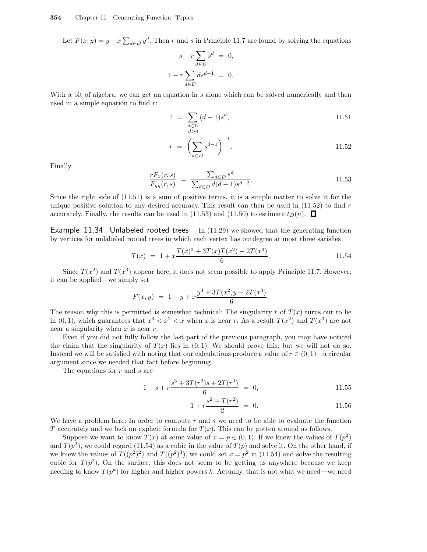Let  $F(x, y) = y - x \sum_{d \in D} y^d$ . Then r and s in Principle 11.7 are found by solving the equations

$$
s - r \sum_{d \in D} s^d = 0,
$$
  

$$
1 - r \sum_{d \in D} ds^{d-1} = 0.
$$

With a bit of algebra, we can get an equation in s alone which can be solved numerically and then used in a simple equation to find  $r$ :

$$
1 = \sum_{\substack{d \in D \\ d > 0}} (d - 1)s^d,
$$
 11.51

$$
r = \left(\sum_{d \in D} s^{d-1}\right)^{-1}.
$$

Finally

$$
\frac{rF_x(r,s)}{F_{yy}(r,s)} = \frac{\sum_{d \in D} s^d}{\sum_{d \in D} d(d-1)s^{d-2}}.
$$
\n11.53

Since the right side of (11.51) is a sum of positive terms, it is a simple matter to solve it for the unique positive solution to any desired accuracy. This result can then be used in  $(11.52)$  to find r accurately. Finally, the results can be used in (11.53) and (11.50) to estimate  $t_D(n)$ .  $\Box$ 

**Example 11.34 Unlabeled rooted trees** In  $(11.29)$  we showed that the generating function by vertices for unlabeled rooted trees in which each vertex has outdegree at most three satisfies

$$
T(x) = 1 + x \frac{T(x)^3 + 3T(x)T(x^2) + 2T(x^3)}{6}.
$$
 11.54

Since  $T(x^2)$  and  $T(x^3)$  appear here, it does not seem possible to apply Principle 11.7. However, it can be applied—we simply set

$$
F(x, y) = 1 - y + x \frac{y^3 + 3T(x^2)y + 2T(x^3)}{6}.
$$

The reason why this is permitted is somewhat technical: The singularity r of  $T(x)$  turns out to lie in  $(0, 1)$ , which guarantees that  $x^3 < x^2 < x$  when x is near r. As a result  $T(x^2)$  and  $T(x^3)$  are not near a singularity when  $x$  is near  $r$ .

Even if you did not fully follow the last part of the previous paragraph, you may have noticed the claim that the singularity of  $T(x)$  lies in  $(0, 1)$ . We should prove this, but we will not do so. Instead we will be satisfied with noting that our calculations produce a value of  $r \in (0, 1)$ —a circular argument since we needed that fact before beginning.

The equations for r and s are

$$
1 - s + r \frac{s^3 + 3T(r^2)s + 2T(r^3)}{6} = 0, \qquad 11.55
$$

$$
-1 + r \frac{s^2 + T(r^2)}{2} = 0.
$$
 11.56

We have a problem here: In order to compute  $r$  and  $s$  we need to be able to evaluate the function T accurately and we lack an explicit formula for  $T(x)$ . This can be gotten around as follows.

Suppose we want to know  $T(x)$  at some value of  $x = p \in (0, 1)$ . If we knew the values of  $T(p^2)$ and  $T(p^3)$ , we could regard (11.54) as a cubic in the value of  $T(p)$  and solve it. On the other hand, if we knew the values of  $T((p^2)^2)$  and  $T((p^2)^3)$ , we could set  $x = p^2$  in (11.54) and solve the resulting cubic for  $T(p^2)$ . On the surface, this does not seem to be getting us anywhere because we keep needing to know  $T(p^k)$  for higher and higher powers k. Actually, that is not what we need—we need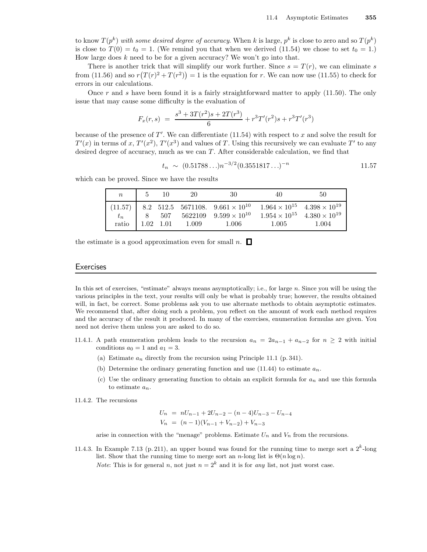to know  $T(p^k)$  with some desired degree of accuracy. When k is large,  $p^k$  is close to zero and so  $T(p^k)$ is close to  $T(0) = t_0 = 1$ . (We remind you that when we derived (11.54) we chose to set  $t_0 = 1$ .) How large does  $k$  need to be for a given accuracy? We won't go into that.

There is another trick that will simplify our work further. Since  $s = T(r)$ , we can eliminate s from (11.56) and so  $r(T(r)^2 + T(r^2)) = 1$  is the equation for r. We can now use (11.55) to check for errors in our calculations.

Once r and s have been found it is a fairly straightforward matter to apply  $(11.50)$ . The only issue that may cause some difficulty is the evaluation of

$$
F_x(r,s) = \frac{s^3 + 3T(r^2)s + 2T(r^3)}{6} + r^3T'(r^2)s + r^3T'(r^3)
$$

because of the presence of T'. We can differentiate  $(11.54)$  with respect to x and solve the result for  $T'(x)$  in terms of x,  $T'(x^2)$ ,  $T'(x^3)$  and values of T. Using this recursively we can evaluate T' to any desired degree of accuracy, much as we can T. After considerable calculation, we find that

> $t_n \sim (0.51788...) n^{-3/2} (0.3551817...)^{-n}$ 11.57

which can be proved. Since we have the results

| $\,n$ | $\begin{array}{ccc} & 5 & 10 \end{array}$ | 20 | - 30                                                                                                                                                                               | 40                                                     | 50    |
|-------|-------------------------------------------|----|------------------------------------------------------------------------------------------------------------------------------------------------------------------------------------|--------------------------------------------------------|-------|
| $t_n$ |                                           |    | $(11.57)$   8.2 512.5 5671108. $9.661 \times 10^{10}$ $1.964 \times 10^{15}$ $4.398 \times 10^{19}$<br>  8 $507$ $5622109$ $9.599 \times 10^{10}$<br>ratio $1.02$ 1.01 1.009 1.006 | $1.954 \times 10^{15}$ $4.380 \times 10^{19}$<br>1.005 | 1.004 |

the estimate is a good approximation even for small  $n. \Box$ 

#### **Exercises**

In this set of exercises, "estimate" always means asymptotically; i.e., for large  $n$ . Since you will be using the various principles in the text, your results will only be what is probably true; however, the results obtained will, in fact, be correct. Some problems ask you to use alternate methods to obtain asymptotic estimates. We recommend that, after doing such a problem, you reflect on the amount of work each method requires and the accuracy of the result it produced. In many of the exercises, enumeration formulas are given. You need not derive them unless you are asked to do so.

- 11.4.1. A path enumeration problem leads to the recursion  $a_n = 2a_{n-1} + a_{n-2}$  for  $n \ge 2$  with initial conditions  $a_0 = 1$  and  $a_1 = 3$ .
	- (a) Estimate  $a_n$  directly from the recursion using Principle 11.1 (p. 341).
	- (b) Determine the ordinary generating function and use  $(11.44)$  to estimate  $a_n$ .
	- (c) Use the ordinary generating function to obtain an explicit formula for  $a_n$  and use this formula to estimate  $a_n$ .
- 11.4.2. The recursions

$$
U_n = nU_{n-1} + 2U_{n-2} - (n-4)U_{n-3} - U_{n-4}
$$
  

$$
V_n = (n-1)(V_{n-1} + V_{n-2}) + V_{n-3}
$$

arise in connection with the "menage" problems. Estimate  $U_n$  and  $V_n$  from the recursions.

11.4.3. In Example 7.13 (p. 211), an upper bound was found for the running time to merge sort a  $2^k$ -long list. Show that the running time to merge sort an n-long list is  $\Theta(n \log n)$ .

*Note*: This is for general *n*, not just  $n = 2<sup>k</sup>$  and it is for *any* list, not just worst case.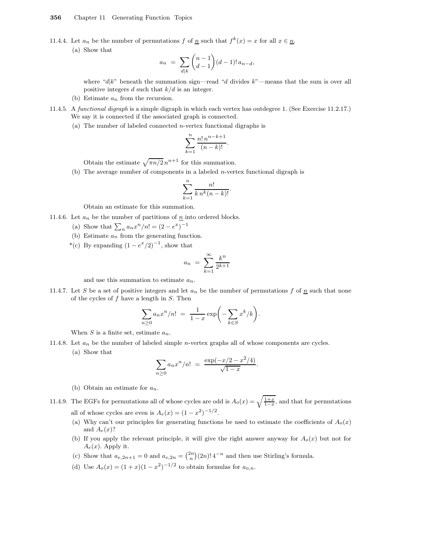- 11.4.4. Let  $a_n$  be the number of permutations  $f$  of  $\underline{n}$  such that  $f^k(x) = x$  for all  $x \in \underline{n}$ .
	- (a) Show that

$$
a_n = \sum_{d|k} {n-1 \choose d-1} (d-1)! a_{n-d},
$$

where "d|k" beneath the summation sign—read "d divides k"—means that the sum is over all positive integers d such that  $k/d$  is an integer.

- (b) Estimate  $a_n$  from the recursion.
- 11.4.5. A functional digraph is a simple digraph in which each vertex has outdegree 1. (See Exercise 11.2.17.) We say it is connected if the associated graph is connected.
	- (a) The number of labeled connected n-vertex functional digraphs is

$$
\sum_{k=1}^n \frac{n! \, n^{n-k+1}}{(n-k)!}.
$$

Obtain the estimate  $\sqrt{\pi n/2} n^{n+1}$  for this summation.

(b) The average number of components in a labeled  $n$ -vertex functional digraph is

$$
\sum_{k=1}^{n} \frac{n!}{k n^k (n-k)!}.
$$

Obtain an estimate for this summation.

- 11.4.6. Let  $a_n$  be the number of partitions of  $\underline{n}$  into ordered blocks.
	- (a) Show that  $\sum_{n} a_n x^n / n! = (2 e^x)^{-1}$
	- (b) Estimate  $a_n$  from the generating function.
	- \*(c) By expanding  $(1 e^x/2)^{-1}$ , show that

$$
a_n = \sum_{k=1}^{\infty} \frac{k^n}{2^{k+1}}
$$

and use this summation to estimate  $a_n$ .

11.4.7. Let S be a set of positive integers and let  $a_n$  be the number of permutations f of  $\underline{n}$  such that none of the cycles of  $f$  have a length in  $S$ . Then

$$
\sum_{n\geq 0} a_n x^n/n! = \frac{1}{1-x} \exp\biggl(-\sum_{k\in S} x^k/k\biggr).
$$

When  $S$  is a finite set, estimate  $a_n$ .

11.4.8. Let  $a_n$  be the number of labeled simple *n*-vertex graphs all of whose components are cycles. (a) Show that

$$
\sum_{n\geq 0} a_n x^n/n! = \frac{\exp(-x/2 - x^2/4)}{\sqrt{1-x}}.
$$

(b) Obtain an estimate for  $a_n$ .

11.4.9. The EGFs for permutations all of whose cycles are odd is  $A_o(x) = \sqrt{\frac{1+x}{1-x}}$ , and that for permutations all of whose cycles are even is  $A_e(x) = (1 - x^2)^{-1/2}$ .

- (a) Why can't our principles for generating functions be used to estimate the coefficients of  $A_o(x)$ and  $A_e(x)$ ?
- (b) If you apply the relevant principle, it will give the right answer anyway for  $A_o(x)$  but not for  $A_e(x)$ . Apply it.
- (c) Show that  $a_{e,2n+1} = 0$  and  $a_{e,2n} = \binom{2n}{n} (2n)! 4^{-n}$  and then use Stirling's formula.
- (d) Use  $A_o(x) = (1+x)(1-x^2)^{-1/2}$  to obtain formulas for  $a_{o,n}$ .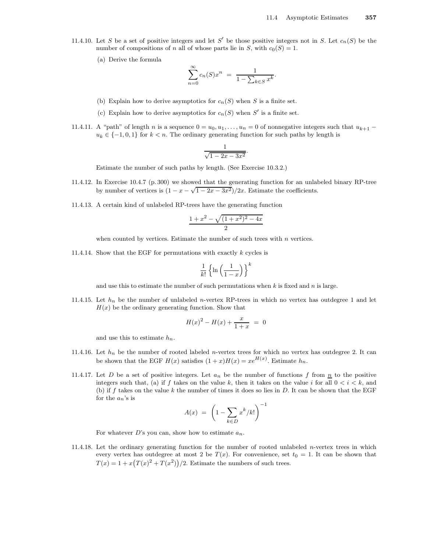- 11.4.10. Let S be a set of positive integers and let S' be those positive integers not in S. Let  $c_n(S)$  be the number of compositions of n all of whose parts lie in S, with  $c_0(S) = 1$ .
	- (a) Derive the formula

$$
\sum_{n=0}^{\infty} c_n(S) x^n = \frac{1}{1 - \sum_{k \in S} x^k}.
$$

- (b) Explain how to derive asymptotics for  $c_n(S)$  when S is a finite set.
- (c) Explain how to derive asymptotics for  $c_n(S)$  when S' is a finite set.
- 11.4.11. A "path" of length n is a sequence  $0 = u_0, u_1, \ldots, u_n = 0$  of nonnegative integers such that  $u_{k+1}$   $u_k \in \{-1, 0, 1\}$  for  $k < n$ . The ordinary generating function for such paths by length is

$$
\frac{1}{\sqrt{1-2x-3x^2}}.
$$

Estimate the number of such paths by length. (See Exercise 10.3.2.)

- 11.4.12. In Exercise 10.4.7 (p. 300) we showed that the generating function for an unlabeled binary RP-tree by number of vertices is  $(1 - x - \sqrt{1 - 2x - 3x^2})/2x$ . Estimate the coefficients.
- 11.4.13. A certain kind of unlabeled RP-trees have the generating function

$$
\frac{1+x^2-\sqrt{(1+x^2)^2-4x}}{2}
$$

when counted by vertices. Estimate the number of such trees with  $n$  vertices.

11.4.14. Show that the EGF for permutations with exactly  $k$  cycles is

$$
\frac{1}{k!} \left\{ \ln \left( \frac{1}{1-x} \right) \right\}^k
$$

and use this to estimate the number of such permutations when  $k$  is fixed and  $n$  is large.

11.4.15. Let  $h_n$  be the number of unlabeled *n*-vertex RP-trees in which no vertex has outdegree 1 and let  $H(x)$  be the ordinary generating function. Show that

$$
H(x)^{2} - H(x) + \frac{x}{1+x} = 0
$$

and use this to estimate  $h_n$ .

- 11.4.16. Let  $h_n$  be the number of rooted labeled *n*-vertex trees for which no vertex has outdegree 2. It can be shown that the EGF  $H(x)$  satisfies  $(1+x)H(x) = xe^{H(x)}$ . Estimate  $h_n$ .
- 11.4.17. Let D be a set of positive integers. Let  $a_n$  be the number of functions f from  $\underline{n}$  to the positive integers such that, (a) if f takes on the value k, then it takes on the value i for all  $0 < i < k$ , and (b) if f takes on the value  $k$  the number of times it does so lies in  $D$ . It can be shown that the EGF for the  $a_n$ 's is

$$
A(x) = \left(1 - \sum_{k \in D} x^k / k! \right)^{-1}
$$

For whatever  $D$ 's you can, show how to estimate  $a_n$ .

11.4.18. Let the ordinary generating function for the number of rooted unlabeled n-vertex trees in which every vertex has outdegree at most 2 be  $T(x)$ . For convenience, set  $t_0 = 1$ . It can be shown that  $T(x) = 1 + x(T(x^2) + T(x^2))/2$ . Estimate the numbers of such trees.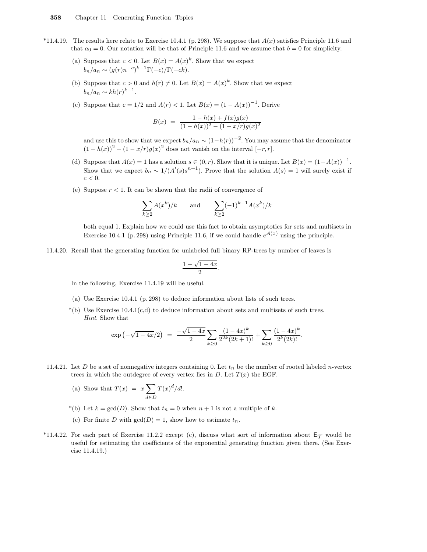- \*11.4.19. The results here relate to Exercise 10.4.1 (p. 298). We suppose that  $A(x)$  satisfies Principle 11.6 and that  $a_0 = 0$ . Our notation will be that of Principle 11.6 and we assume that  $b = 0$  for simplicity.
	- (a) Suppose that  $c < 0$ . Let  $B(x) = A(x)^k$ . Show that we expect  $b_n/a_n \sim (g(r)n^{-c})^{k-1}\Gamma(-c)/\Gamma(-ck).$
	- (b) Suppose that  $c > 0$  and  $h(r) \neq 0$ . Let  $B(x) = A(x)^k$ . Show that we expect  $b_n/a_n \sim kh(r)^{k-1}.$
	- (c) Suppose that  $c = 1/2$  and  $A(r) < 1$ . Let  $B(x) = (1 A(x))^{-1}$ . Derive

$$
B(x) = \frac{1 - h(x) + f(x)g(x)}{(1 - h(x))^2 - (1 - x/r)g(x)^2}
$$

and use this to show that we expect  $b_n/a_n \sim (1-h(r))^{-2}$ . You may assume that the denominator  $(1 - h(x))^2 - (1 - x/r)g(x)^2$  does not vanish on the interval  $[-r, r]$ .

- (d) Suppose that  $A(x) = 1$  has a solution  $s \in (0, r)$ . Show that it is unique. Let  $B(x) = (1 A(x))^{-1}$ . Show that we expect  $b_n \sim 1/(A'(s)s^{n+1})$ . Prove that the solution  $A(s) = 1$  will surely exist if  $c < 0$ .
- (e) Suppose  $r < 1$ . It can be shown that the radii of convergence of

$$
\sum_{k\geq 2} A(x^k)/k \qquad \text{and} \qquad \sum_{k\geq 2} (-1)^{k-1} A(x^k)/k
$$

both equal 1. Explain how we could use this fact to obtain asymptotics for sets and multisets in Exercise 10.4.1 (p. 298) using Principle 11.6, if we could handle  $e^{A(x)}$  using the principle.

11.4.20. Recall that the generating function for unlabeled full binary RP-trees by number of leaves is

$$
\frac{1-\sqrt{1-4x}}{2}.
$$

In the following, Exercise 11.4.19 will be useful.

- (a) Use Exercise 10.4.1 (p. 298) to deduce information about lists of such trees.
- $*(b)$  Use Exercise 10.4.1(c,d) to deduce information about sets and multisets of such trees. Hint. Show that

$$
\exp\left(-\sqrt{1-4x}/2\right) = \frac{-\sqrt{1-4x}}{2} \sum_{k\geq 0} \frac{(1-4x)^k}{2^{2k}(2k+1)!} + \sum_{k\geq 0} \frac{(1-4x)^k}{2^k(2k)!}.
$$

- 11.4.21. Let D be a set of nonnegative integers containing 0. Let  $t_n$  be the number of rooted labeled n-vertex trees in which the outdegree of every vertex lies in  $D$ . Let  $T(x)$  the EGF.
	- (a) Show that  $T(x) = x \sum$ d∈D  $T(x)^d/d!$ .
	- \*(b) Let  $k = \gcd(D)$ . Show that  $t_n = 0$  when  $n + 1$  is not a multiple of k.
	- (c) For finite D with  $gcd(D) = 1$ , show how to estimate  $t_n$ .
- \*11.4.22. For each part of Exercise 11.2.2 except (c), discuss what sort of information about  $E_{\mathcal{T}}$  would be useful for estimating the coefficients of the exponential generating function given there. (See Exercise 11.4.19.)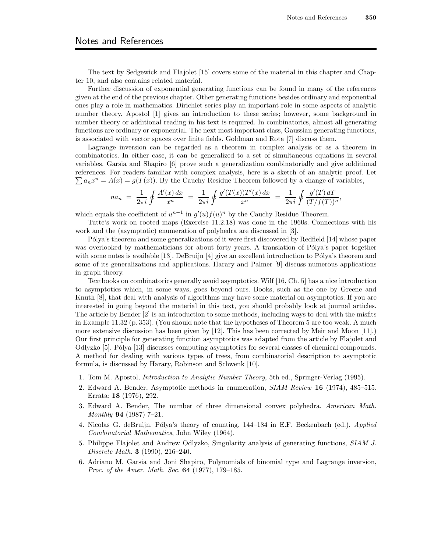The text by Sedgewick and Flajolet [15] covers some of the material in this chapter and Chapter 10, and also contains related material.

Further discussion of exponential generating functions can be found in many of the references given at the end of the previous chapter. Other generating functions besides ordinary and exponential ones play a role in mathematics. Dirichlet series play an important role in some aspects of analytic number theory. Apostol [1] gives an introduction to these series; however, some background in number theory or additional reading in his text is required. In combinatorics, almost all generating functions are ordinary or exponential. The next most important class, Gaussian generating functions, is associated with vector spaces over finite fields. Goldman and Rota [7] discuss them.

Lagrange inversion can be regarded as a theorem in complex analysis or as a theorem in combinatorics. In either case, it can be generalized to a set of simultaneous equations in several variables. Garsia and Shapiro [6] prove such a generalization combinatorially and give additional references. For readers familiar with complex analysis, he re is a sketch of an analytic proof. Let  $\sum a_n x^n = A(x) = g(T(x))$ . By the Cauchy Residue Theorem followed by a change of variables,

$$
na_n = \frac{1}{2\pi i} \oint \frac{A'(x) dx}{x^n} = \frac{1}{2\pi i} \oint \frac{g'(T(x))T'(x) dx}{x^n} = \frac{1}{2\pi i} \oint \frac{g'(T) dT}{(T/f(T))^n},
$$

which equals the coefficient of  $u^{n-1}$  in  $g'(u)f(u)^n$  by the Cauchy Residue Theorem.

Tutte's work on rooted maps (Exercise 11.2.18) was done in the 1960s. Connections with his work and the (asymptotic) enumeration of polyhedra are discussed in [3].

Pólya's theorem and some generalizations of it were first discovered by Redfield [14] whose paper was overlooked by mathematicians for about forty years. A translation of Pólya's paper together with some notes is available  $[13]$ . DeBruijn  $[4]$  give an excellent introduction to Pólya's theorem and some of its generalizations and applications. Harary and Palmer [9] discuss numerous applications in graph theory.

Textbooks on combinatorics generally avoid asymptotics. Wilf [16, Ch. 5] has a nice introduction to asymptotics which, in some ways, goes beyond ours. Books, such as the one by Greene and Knuth [8], that deal with analysis of algorithms may have some material on asymptotics. If you are interested in going beyond the material in this text, you should probably look at journal articles. The article by Bender [2] is an introduction to some methods, including ways to deal with the misfits in Example 11.32 (p. 353). (You should note that the hypotheses of Theorem 5 are too weak. A much more extensive discussion has been given by [12]. This has been corrected by Meir and Moon [11].) Our first principle for generating function asymptotics was adapted from the article by Flajolet and Odlyzko [5]. Pólya [13] discusses computing asymptotics for several classes of chemical compounds. A method for dealing with various types of trees, from combinatorial description to asymptotic formula, is discussed by Harary, Robinson and Schwenk [10].

- 1. Tom M. Apostol, Introduction to Analytic Number Theory, 5th ed., Springer-Verlag (1995).
- 2. Edward A. Bender, Asymptotic methods in enumeration, SIAM Review 16 (1974), 485–515. Errata: 18 (1976), 292.
- 3. Edward A. Bender, The number of three dimensional convex polyhedra. American Math. Monthly 94 (1987) 7–21.
- 4. Nicolas G. deBruijn, Pólya's theory of counting, 144–184 in E.F. Beckenbach (ed.), Applied Combinatorial Mathematics, John Wiley (1964).
- 5. Philippe Flajolet and Andrew Odlyzko, Singularity analysis of generating functions, SIAM J. Discrete Math. 3 (1990), 216–240.
- 6. Adriano M. Garsia and Joni Shapiro, Polynomials of binomial type and Lagrange inversion, Proc. of the Amer. Math. Soc. 64 (1977), 179–185.